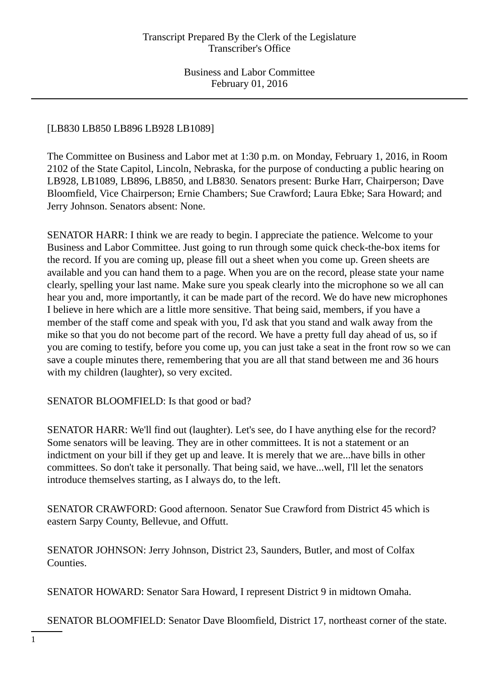# [LB830 LB850 LB896 LB928 LB1089]

The Committee on Business and Labor met at 1:30 p.m. on Monday, February 1, 2016, in Room 2102 of the State Capitol, Lincoln, Nebraska, for the purpose of conducting a public hearing on LB928, LB1089, LB896, LB850, and LB830. Senators present: Burke Harr, Chairperson; Dave Bloomfield, Vice Chairperson; Ernie Chambers; Sue Crawford; Laura Ebke; Sara Howard; and Jerry Johnson. Senators absent: None.

SENATOR HARR: I think we are ready to begin. I appreciate the patience. Welcome to your Business and Labor Committee. Just going to run through some quick check-the-box items for the record. If you are coming up, please fill out a sheet when you come up. Green sheets are available and you can hand them to a page. When you are on the record, please state your name clearly, spelling your last name. Make sure you speak clearly into the microphone so we all can hear you and, more importantly, it can be made part of the record. We do have new microphones I believe in here which are a little more sensitive. That being said, members, if you have a member of the staff come and speak with you, I'd ask that you stand and walk away from the mike so that you do not become part of the record. We have a pretty full day ahead of us, so if you are coming to testify, before you come up, you can just take a seat in the front row so we can save a couple minutes there, remembering that you are all that stand between me and 36 hours with my children (laughter), so very excited.

## SENATOR BLOOMFIELD: Is that good or bad?

SENATOR HARR: We'll find out (laughter). Let's see, do I have anything else for the record? Some senators will be leaving. They are in other committees. It is not a statement or an indictment on your bill if they get up and leave. It is merely that we are...have bills in other committees. So don't take it personally. That being said, we have...well, I'll let the senators introduce themselves starting, as I always do, to the left.

SENATOR CRAWFORD: Good afternoon. Senator Sue Crawford from District 45 which is eastern Sarpy County, Bellevue, and Offutt.

SENATOR JOHNSON: Jerry Johnson, District 23, Saunders, Butler, and most of Colfax Counties.

SENATOR HOWARD: Senator Sara Howard, I represent District 9 in midtown Omaha.

SENATOR BLOOMFIELD: Senator Dave Bloomfield, District 17, northeast corner of the state.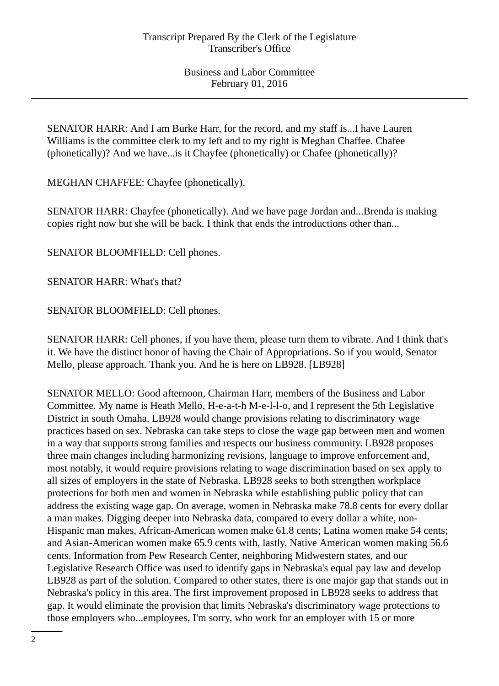SENATOR HARR: And I am Burke Harr, for the record, and my staff is...I have Lauren Williams is the committee clerk to my left and to my right is Meghan Chaffee. Chafee (phonetically)? And we have...is it Chayfee (phonetically) or Chafee (phonetically)?

MEGHAN CHAFFEE: Chayfee (phonetically).

SENATOR HARR: Chayfee (phonetically). And we have page Jordan and...Brenda is making copies right now but she will be back. I think that ends the introductions other than...

SENATOR BLOOMFIELD: Cell phones.

SENATOR HARR: What's that?

SENATOR BLOOMFIELD: Cell phones.

SENATOR HARR: Cell phones, if you have them, please turn them to vibrate. And I think that's it. We have the distinct honor of having the Chair of Appropriations. So if you would, Senator Mello, please approach. Thank you. And he is here on LB928. [LB928]

SENATOR MELLO: Good afternoon, Chairman Harr, members of the Business and Labor Committee. My name is Heath Mello, H-e-a-t-h M-e-l-l-o, and I represent the 5th Legislative District in south Omaha. LB928 would change provisions relating to discriminatory wage practices based on sex. Nebraska can take steps to close the wage gap between men and women in a way that supports strong families and respects our business community. LB928 proposes three main changes including harmonizing revisions, language to improve enforcement and, most notably, it would require provisions relating to wage discrimination based on sex apply to all sizes of employers in the state of Nebraska. LB928 seeks to both strengthen workplace protections for both men and women in Nebraska while establishing public policy that can address the existing wage gap. On average, women in Nebraska make 78.8 cents for every dollar a man makes. Digging deeper into Nebraska data, compared to every dollar a white, non-Hispanic man makes, African-American women make 61.8 cents; Latina women make 54 cents; and Asian-American women make 65.9 cents with, lastly, Native American women making 56.6 cents. Information from Pew Research Center, neighboring Midwestern states, and our Legislative Research Office was used to identify gaps in Nebraska's equal pay law and develop LB928 as part of the solution. Compared to other states, there is one major gap that stands out in Nebraska's policy in this area. The first improvement proposed in LB928 seeks to address that gap. It would eliminate the provision that limits Nebraska's discriminatory wage protections to those employers who...employees, I'm sorry, who work for an employer with 15 or more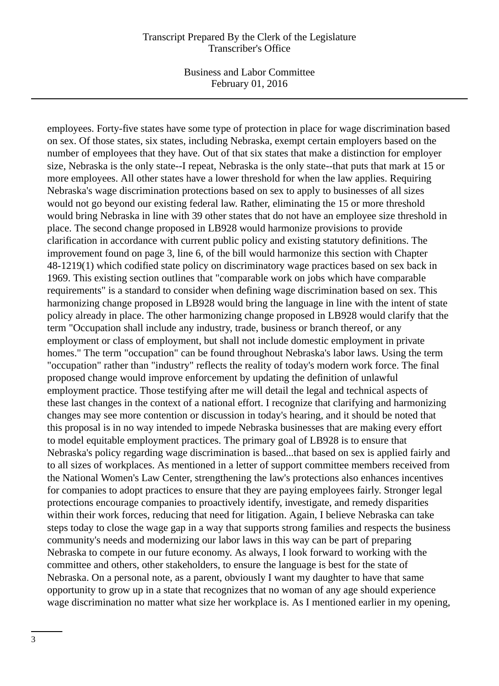Business and Labor Committee February 01, 2016

employees. Forty-five states have some type of protection in place for wage discrimination based on sex. Of those states, six states, including Nebraska, exempt certain employers based on the number of employees that they have. Out of that six states that make a distinction for employer size, Nebraska is the only state--I repeat, Nebraska is the only state--that puts that mark at 15 or more employees. All other states have a lower threshold for when the law applies. Requiring Nebraska's wage discrimination protections based on sex to apply to businesses of all sizes would not go beyond our existing federal law. Rather, eliminating the 15 or more threshold would bring Nebraska in line with 39 other states that do not have an employee size threshold in place. The second change proposed in LB928 would harmonize provisions to provide clarification in accordance with current public policy and existing statutory definitions. The improvement found on page 3, line 6, of the bill would harmonize this section with Chapter 48-1219(1) which codified state policy on discriminatory wage practices based on sex back in 1969. This existing section outlines that "comparable work on jobs which have comparable requirements" is a standard to consider when defining wage discrimination based on sex. This harmonizing change proposed in LB928 would bring the language in line with the intent of state policy already in place. The other harmonizing change proposed in LB928 would clarify that the term "Occupation shall include any industry, trade, business or branch thereof, or any employment or class of employment, but shall not include domestic employment in private homes." The term "occupation" can be found throughout Nebraska's labor laws. Using the term "occupation" rather than "industry" reflects the reality of today's modern work force. The final proposed change would improve enforcement by updating the definition of unlawful employment practice. Those testifying after me will detail the legal and technical aspects of these last changes in the context of a national effort. I recognize that clarifying and harmonizing changes may see more contention or discussion in today's hearing, and it should be noted that this proposal is in no way intended to impede Nebraska businesses that are making every effort to model equitable employment practices. The primary goal of LB928 is to ensure that Nebraska's policy regarding wage discrimination is based...that based on sex is applied fairly and to all sizes of workplaces. As mentioned in a letter of support committee members received from the National Women's Law Center, strengthening the law's protections also enhances incentives for companies to adopt practices to ensure that they are paying employees fairly. Stronger legal protections encourage companies to proactively identify, investigate, and remedy disparities within their work forces, reducing that need for litigation. Again, I believe Nebraska can take steps today to close the wage gap in a way that supports strong families and respects the business community's needs and modernizing our labor laws in this way can be part of preparing Nebraska to compete in our future economy. As always, I look forward to working with the committee and others, other stakeholders, to ensure the language is best for the state of Nebraska. On a personal note, as a parent, obviously I want my daughter to have that same opportunity to grow up in a state that recognizes that no woman of any age should experience wage discrimination no matter what size her workplace is. As I mentioned earlier in my opening,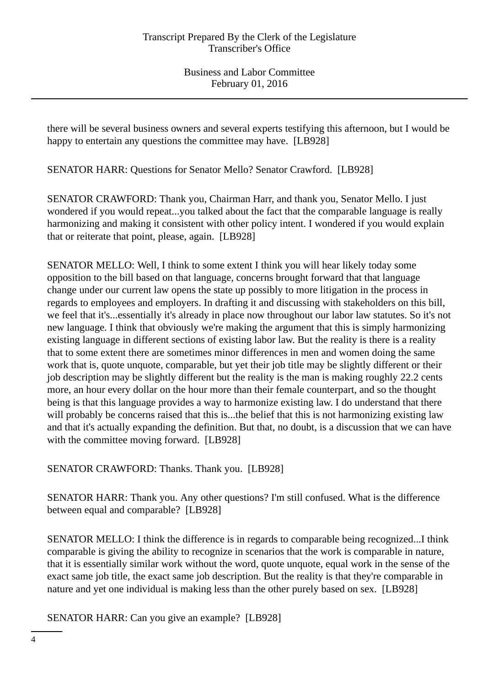there will be several business owners and several experts testifying this afternoon, but I would be happy to entertain any questions the committee may have. [LB928]

SENATOR HARR: Questions for Senator Mello? Senator Crawford. [LB928]

SENATOR CRAWFORD: Thank you, Chairman Harr, and thank you, Senator Mello. I just wondered if you would repeat...you talked about the fact that the comparable language is really harmonizing and making it consistent with other policy intent. I wondered if you would explain that or reiterate that point, please, again. [LB928]

SENATOR MELLO: Well, I think to some extent I think you will hear likely today some opposition to the bill based on that language, concerns brought forward that that language change under our current law opens the state up possibly to more litigation in the process in regards to employees and employers. In drafting it and discussing with stakeholders on this bill, we feel that it's...essentially it's already in place now throughout our labor law statutes. So it's not new language. I think that obviously we're making the argument that this is simply harmonizing existing language in different sections of existing labor law. But the reality is there is a reality that to some extent there are sometimes minor differences in men and women doing the same work that is, quote unquote, comparable, but yet their job title may be slightly different or their job description may be slightly different but the reality is the man is making roughly 22.2 cents more, an hour every dollar on the hour more than their female counterpart, and so the thought being is that this language provides a way to harmonize existing law. I do understand that there will probably be concerns raised that this is...the belief that this is not harmonizing existing law and that it's actually expanding the definition. But that, no doubt, is a discussion that we can have with the committee moving forward. [LB928]

SENATOR CRAWFORD: Thanks. Thank you. [LB928]

SENATOR HARR: Thank you. Any other questions? I'm still confused. What is the difference between equal and comparable? [LB928]

SENATOR MELLO: I think the difference is in regards to comparable being recognized...I think comparable is giving the ability to recognize in scenarios that the work is comparable in nature, that it is essentially similar work without the word, quote unquote, equal work in the sense of the exact same job title, the exact same job description. But the reality is that they're comparable in nature and yet one individual is making less than the other purely based on sex. [LB928]

SENATOR HARR: Can you give an example? [LB928]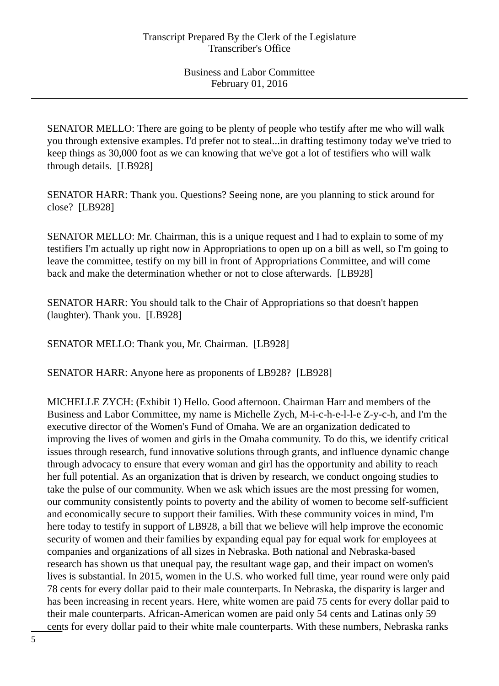SENATOR MELLO: There are going to be plenty of people who testify after me who will walk you through extensive examples. I'd prefer not to steal...in drafting testimony today we've tried to keep things as 30,000 foot as we can knowing that we've got a lot of testifiers who will walk through details. [LB928]

SENATOR HARR: Thank you. Questions? Seeing none, are you planning to stick around for close? [LB928]

SENATOR MELLO: Mr. Chairman, this is a unique request and I had to explain to some of my testifiers I'm actually up right now in Appropriations to open up on a bill as well, so I'm going to leave the committee, testify on my bill in front of Appropriations Committee, and will come back and make the determination whether or not to close afterwards. [LB928]

SENATOR HARR: You should talk to the Chair of Appropriations so that doesn't happen (laughter). Thank you. [LB928]

SENATOR MELLO: Thank you, Mr. Chairman. [LB928]

SENATOR HARR: Anyone here as proponents of LB928? [LB928]

MICHELLE ZYCH: (Exhibit 1) Hello. Good afternoon. Chairman Harr and members of the Business and Labor Committee, my name is Michelle Zych, M-i-c-h-e-l-l-e Z-y-c-h, and I'm the executive director of the Women's Fund of Omaha. We are an organization dedicated to improving the lives of women and girls in the Omaha community. To do this, we identify critical issues through research, fund innovative solutions through grants, and influence dynamic change through advocacy to ensure that every woman and girl has the opportunity and ability to reach her full potential. As an organization that is driven by research, we conduct ongoing studies to take the pulse of our community. When we ask which issues are the most pressing for women, our community consistently points to poverty and the ability of women to become self-sufficient and economically secure to support their families. With these community voices in mind, I'm here today to testify in support of LB928, a bill that we believe will help improve the economic security of women and their families by expanding equal pay for equal work for employees at companies and organizations of all sizes in Nebraska. Both national and Nebraska-based research has shown us that unequal pay, the resultant wage gap, and their impact on women's lives is substantial. In 2015, women in the U.S. who worked full time, year round were only paid 78 cents for every dollar paid to their male counterparts. In Nebraska, the disparity is larger and has been increasing in recent years. Here, white women are paid 75 cents for every dollar paid to their male counterparts. African-American women are paid only 54 cents and Latinas only 59 cents for every dollar paid to their white male counterparts. With these numbers, Nebraska ranks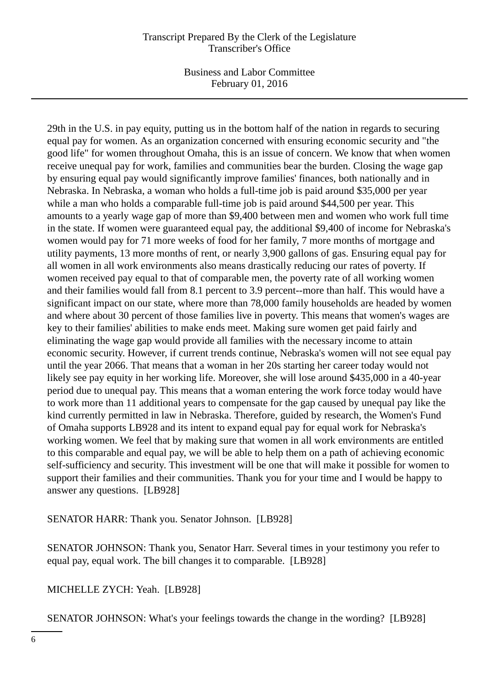Business and Labor Committee February 01, 2016

29th in the U.S. in pay equity, putting us in the bottom half of the nation in regards to securing equal pay for women. As an organization concerned with ensuring economic security and "the good life" for women throughout Omaha, this is an issue of concern. We know that when women receive unequal pay for work, families and communities bear the burden. Closing the wage gap by ensuring equal pay would significantly improve families' finances, both nationally and in Nebraska. In Nebraska, a woman who holds a full-time job is paid around \$35,000 per year while a man who holds a comparable full-time job is paid around \$44,500 per year. This amounts to a yearly wage gap of more than \$9,400 between men and women who work full time in the state. If women were guaranteed equal pay, the additional \$9,400 of income for Nebraska's women would pay for 71 more weeks of food for her family, 7 more months of mortgage and utility payments, 13 more months of rent, or nearly 3,900 gallons of gas. Ensuring equal pay for all women in all work environments also means drastically reducing our rates of poverty. If women received pay equal to that of comparable men, the poverty rate of all working women and their families would fall from 8.1 percent to 3.9 percent--more than half. This would have a significant impact on our state, where more than 78,000 family households are headed by women and where about 30 percent of those families live in poverty. This means that women's wages are key to their families' abilities to make ends meet. Making sure women get paid fairly and eliminating the wage gap would provide all families with the necessary income to attain economic security. However, if current trends continue, Nebraska's women will not see equal pay until the year 2066. That means that a woman in her 20s starting her career today would not likely see pay equity in her working life. Moreover, she will lose around \$435,000 in a 40-year period due to unequal pay. This means that a woman entering the work force today would have to work more than 11 additional years to compensate for the gap caused by unequal pay like the kind currently permitted in law in Nebraska. Therefore, guided by research, the Women's Fund of Omaha supports LB928 and its intent to expand equal pay for equal work for Nebraska's working women. We feel that by making sure that women in all work environments are entitled to this comparable and equal pay, we will be able to help them on a path of achieving economic self-sufficiency and security. This investment will be one that will make it possible for women to support their families and their communities. Thank you for your time and I would be happy to answer any questions. [LB928]

SENATOR HARR: Thank you. Senator Johnson. [LB928]

SENATOR JOHNSON: Thank you, Senator Harr. Several times in your testimony you refer to equal pay, equal work. The bill changes it to comparable. [LB928]

MICHELLE ZYCH: Yeah. [LB928]

SENATOR JOHNSON: What's your feelings towards the change in the wording? [LB928]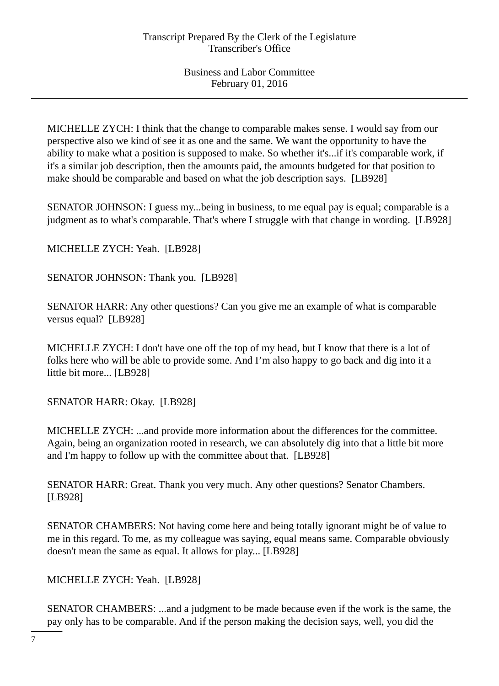MICHELLE ZYCH: I think that the change to comparable makes sense. I would say from our perspective also we kind of see it as one and the same. We want the opportunity to have the ability to make what a position is supposed to make. So whether it's...if it's comparable work, if it's a similar job description, then the amounts paid, the amounts budgeted for that position to make should be comparable and based on what the job description says. [LB928]

SENATOR JOHNSON: I guess my...being in business, to me equal pay is equal; comparable is a judgment as to what's comparable. That's where I struggle with that change in wording. [LB928]

MICHELLE ZYCH: Yeah. [LB928]

SENATOR JOHNSON: Thank you. [LB928]

SENATOR HARR: Any other questions? Can you give me an example of what is comparable versus equal? [LB928]

MICHELLE ZYCH: I don't have one off the top of my head, but I know that there is a lot of folks here who will be able to provide some. And I'm also happy to go back and dig into it a little bit more... [LB928]

SENATOR HARR: Okay. [LB928]

MICHELLE ZYCH: ...and provide more information about the differences for the committee. Again, being an organization rooted in research, we can absolutely dig into that a little bit more and I'm happy to follow up with the committee about that. [LB928]

SENATOR HARR: Great. Thank you very much. Any other questions? Senator Chambers. [LB928]

SENATOR CHAMBERS: Not having come here and being totally ignorant might be of value to me in this regard. To me, as my colleague was saying, equal means same. Comparable obviously doesn't mean the same as equal. It allows for play... [LB928]

MICHELLE ZYCH: Yeah. [LB928]

SENATOR CHAMBERS: ...and a judgment to be made because even if the work is the same, the pay only has to be comparable. And if the person making the decision says, well, you did the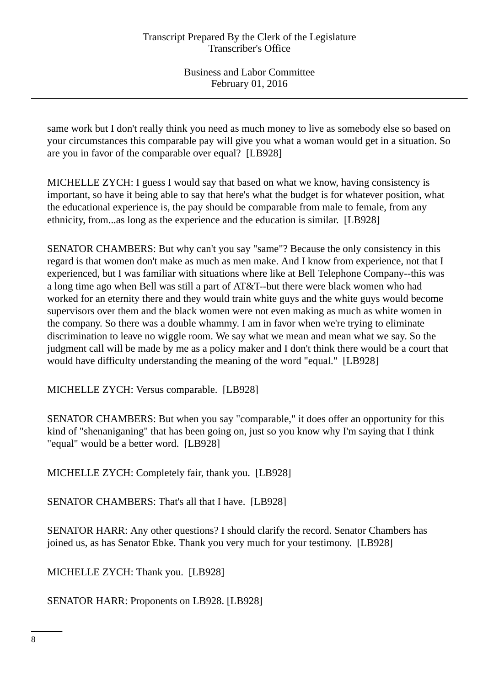same work but I don't really think you need as much money to live as somebody else so based on your circumstances this comparable pay will give you what a woman would get in a situation. So are you in favor of the comparable over equal? [LB928]

MICHELLE ZYCH: I guess I would say that based on what we know, having consistency is important, so have it being able to say that here's what the budget is for whatever position, what the educational experience is, the pay should be comparable from male to female, from any ethnicity, from...as long as the experience and the education is similar. [LB928]

SENATOR CHAMBERS: But why can't you say "same"? Because the only consistency in this regard is that women don't make as much as men make. And I know from experience, not that I experienced, but I was familiar with situations where like at Bell Telephone Company--this was a long time ago when Bell was still a part of AT&T--but there were black women who had worked for an eternity there and they would train white guys and the white guys would become supervisors over them and the black women were not even making as much as white women in the company. So there was a double whammy. I am in favor when we're trying to eliminate discrimination to leave no wiggle room. We say what we mean and mean what we say. So the judgment call will be made by me as a policy maker and I don't think there would be a court that would have difficulty understanding the meaning of the word "equal." [LB928]

MICHELLE ZYCH: Versus comparable. [LB928]

SENATOR CHAMBERS: But when you say "comparable," it does offer an opportunity for this kind of "shenaniganing" that has been going on, just so you know why I'm saying that I think "equal" would be a better word. [LB928]

MICHELLE ZYCH: Completely fair, thank you. [LB928]

SENATOR CHAMBERS: That's all that I have. [LB928]

SENATOR HARR: Any other questions? I should clarify the record. Senator Chambers has joined us, as has Senator Ebke. Thank you very much for your testimony. [LB928]

MICHELLE ZYCH: Thank you. [LB928]

SENATOR HARR: Proponents on LB928. [LB928]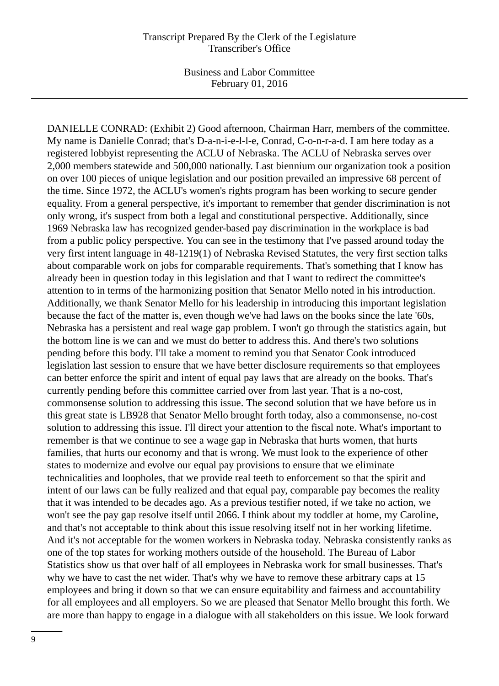Business and Labor Committee February 01, 2016

DANIELLE CONRAD: (Exhibit 2) Good afternoon, Chairman Harr, members of the committee. My name is Danielle Conrad; that's D-a-n-i-e-l-l-e, Conrad, C-o-n-r-a-d. I am here today as a registered lobbyist representing the ACLU of Nebraska. The ACLU of Nebraska serves over 2,000 members statewide and 500,000 nationally. Last biennium our organization took a position on over 100 pieces of unique legislation and our position prevailed an impressive 68 percent of the time. Since 1972, the ACLU's women's rights program has been working to secure gender equality. From a general perspective, it's important to remember that gender discrimination is not only wrong, it's suspect from both a legal and constitutional perspective. Additionally, since 1969 Nebraska law has recognized gender-based pay discrimination in the workplace is bad from a public policy perspective. You can see in the testimony that I've passed around today the very first intent language in 48-1219(1) of Nebraska Revised Statutes, the very first section talks about comparable work on jobs for comparable requirements. That's something that I know has already been in question today in this legislation and that I want to redirect the committee's attention to in terms of the harmonizing position that Senator Mello noted in his introduction. Additionally, we thank Senator Mello for his leadership in introducing this important legislation because the fact of the matter is, even though we've had laws on the books since the late '60s, Nebraska has a persistent and real wage gap problem. I won't go through the statistics again, but the bottom line is we can and we must do better to address this. And there's two solutions pending before this body. I'll take a moment to remind you that Senator Cook introduced legislation last session to ensure that we have better disclosure requirements so that employees can better enforce the spirit and intent of equal pay laws that are already on the books. That's currently pending before this committee carried over from last year. That is a no-cost, commonsense solution to addressing this issue. The second solution that we have before us in this great state is LB928 that Senator Mello brought forth today, also a commonsense, no-cost solution to addressing this issue. I'll direct your attention to the fiscal note. What's important to remember is that we continue to see a wage gap in Nebraska that hurts women, that hurts families, that hurts our economy and that is wrong. We must look to the experience of other states to modernize and evolve our equal pay provisions to ensure that we eliminate technicalities and loopholes, that we provide real teeth to enforcement so that the spirit and intent of our laws can be fully realized and that equal pay, comparable pay becomes the reality that it was intended to be decades ago. As a previous testifier noted, if we take no action, we won't see the pay gap resolve itself until 2066. I think about my toddler at home, my Caroline, and that's not acceptable to think about this issue resolving itself not in her working lifetime. And it's not acceptable for the women workers in Nebraska today. Nebraska consistently ranks as one of the top states for working mothers outside of the household. The Bureau of Labor Statistics show us that over half of all employees in Nebraska work for small businesses. That's why we have to cast the net wider. That's why we have to remove these arbitrary caps at 15 employees and bring it down so that we can ensure equitability and fairness and accountability for all employees and all employers. So we are pleased that Senator Mello brought this forth. We are more than happy to engage in a dialogue with all stakeholders on this issue. We look forward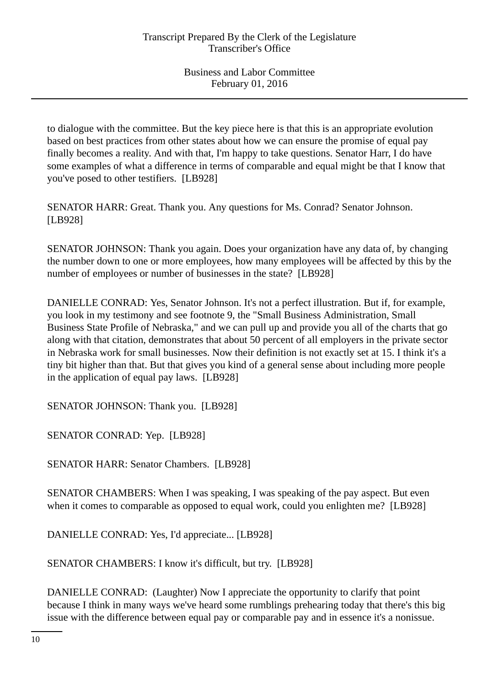to dialogue with the committee. But the key piece here is that this is an appropriate evolution based on best practices from other states about how we can ensure the promise of equal pay finally becomes a reality. And with that, I'm happy to take questions. Senator Harr, I do have some examples of what a difference in terms of comparable and equal might be that I know that you've posed to other testifiers. [LB928]

SENATOR HARR: Great. Thank you. Any questions for Ms. Conrad? Senator Johnson. [LB928]

SENATOR JOHNSON: Thank you again. Does your organization have any data of, by changing the number down to one or more employees, how many employees will be affected by this by the number of employees or number of businesses in the state? [LB928]

DANIELLE CONRAD: Yes, Senator Johnson. It's not a perfect illustration. But if, for example, you look in my testimony and see footnote 9, the "Small Business Administration, Small Business State Profile of Nebraska," and we can pull up and provide you all of the charts that go along with that citation, demonstrates that about 50 percent of all employers in the private sector in Nebraska work for small businesses. Now their definition is not exactly set at 15. I think it's a tiny bit higher than that. But that gives you kind of a general sense about including more people in the application of equal pay laws. [LB928]

SENATOR JOHNSON: Thank you. [LB928]

SENATOR CONRAD: Yep. [LB928]

SENATOR HARR: Senator Chambers. [LB928]

SENATOR CHAMBERS: When I was speaking, I was speaking of the pay aspect. But even when it comes to comparable as opposed to equal work, could you enlighten me? [LB928]

DANIELLE CONRAD: Yes, I'd appreciate... [LB928]

SENATOR CHAMBERS: I know it's difficult, but try. [LB928]

DANIELLE CONRAD: (Laughter) Now I appreciate the opportunity to clarify that point because I think in many ways we've heard some rumblings prehearing today that there's this big issue with the difference between equal pay or comparable pay and in essence it's a nonissue.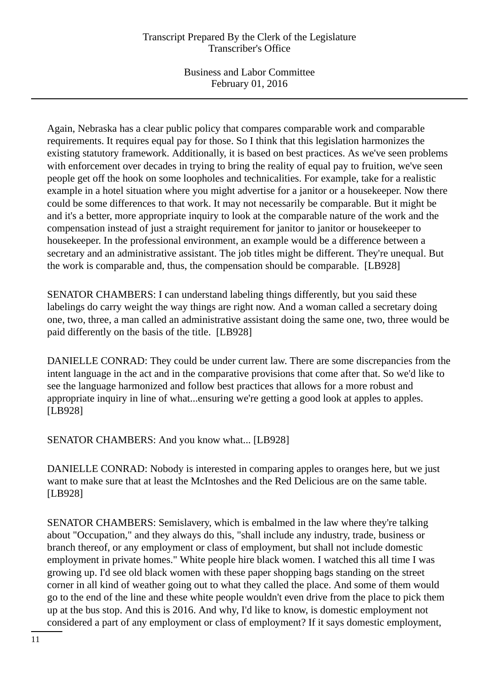Business and Labor Committee February 01, 2016

Again, Nebraska has a clear public policy that compares comparable work and comparable requirements. It requires equal pay for those. So I think that this legislation harmonizes the existing statutory framework. Additionally, it is based on best practices. As we've seen problems with enforcement over decades in trying to bring the reality of equal pay to fruition, we've seen people get off the hook on some loopholes and technicalities. For example, take for a realistic example in a hotel situation where you might advertise for a janitor or a housekeeper. Now there could be some differences to that work. It may not necessarily be comparable. But it might be and it's a better, more appropriate inquiry to look at the comparable nature of the work and the compensation instead of just a straight requirement for janitor to janitor or housekeeper to housekeeper. In the professional environment, an example would be a difference between a secretary and an administrative assistant. The job titles might be different. They're unequal. But the work is comparable and, thus, the compensation should be comparable. [LB928]

SENATOR CHAMBERS: I can understand labeling things differently, but you said these labelings do carry weight the way things are right now. And a woman called a secretary doing one, two, three, a man called an administrative assistant doing the same one, two, three would be paid differently on the basis of the title. [LB928]

DANIELLE CONRAD: They could be under current law. There are some discrepancies from the intent language in the act and in the comparative provisions that come after that. So we'd like to see the language harmonized and follow best practices that allows for a more robust and appropriate inquiry in line of what...ensuring we're getting a good look at apples to apples. [LB928]

SENATOR CHAMBERS: And you know what... [LB928]

DANIELLE CONRAD: Nobody is interested in comparing apples to oranges here, but we just want to make sure that at least the McIntoshes and the Red Delicious are on the same table. [LB928]

SENATOR CHAMBERS: Semislavery, which is embalmed in the law where they're talking about "Occupation," and they always do this, "shall include any industry, trade, business or branch thereof, or any employment or class of employment, but shall not include domestic employment in private homes." White people hire black women. I watched this all time I was growing up. I'd see old black women with these paper shopping bags standing on the street corner in all kind of weather going out to what they called the place. And some of them would go to the end of the line and these white people wouldn't even drive from the place to pick them up at the bus stop. And this is 2016. And why, I'd like to know, is domestic employment not considered a part of any employment or class of employment? If it says domestic employment,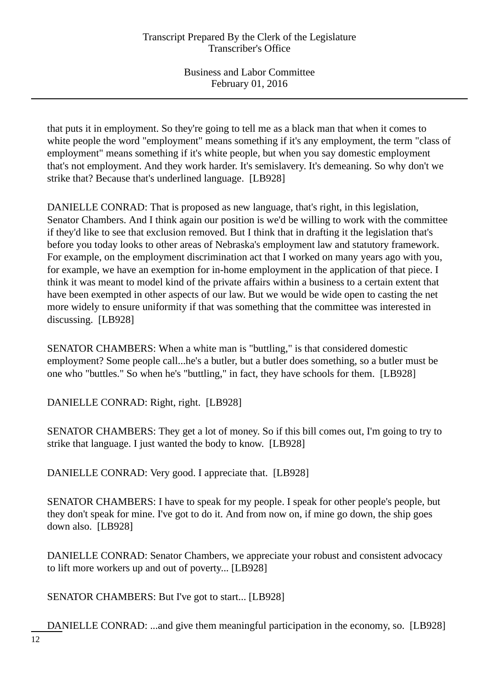that puts it in employment. So they're going to tell me as a black man that when it comes to white people the word "employment" means something if it's any employment, the term "class of employment" means something if it's white people, but when you say domestic employment that's not employment. And they work harder. It's semislavery. It's demeaning. So why don't we strike that? Because that's underlined language. [LB928]

DANIELLE CONRAD: That is proposed as new language, that's right, in this legislation, Senator Chambers. And I think again our position is we'd be willing to work with the committee if they'd like to see that exclusion removed. But I think that in drafting it the legislation that's before you today looks to other areas of Nebraska's employment law and statutory framework. For example, on the employment discrimination act that I worked on many years ago with you, for example, we have an exemption for in-home employment in the application of that piece. I think it was meant to model kind of the private affairs within a business to a certain extent that have been exempted in other aspects of our law. But we would be wide open to casting the net more widely to ensure uniformity if that was something that the committee was interested in discussing. [LB928]

SENATOR CHAMBERS: When a white man is "buttling," is that considered domestic employment? Some people call...he's a butler, but a butler does something, so a butler must be one who "buttles." So when he's "buttling," in fact, they have schools for them. [LB928]

DANIELLE CONRAD: Right, right. [LB928]

SENATOR CHAMBERS: They get a lot of money. So if this bill comes out, I'm going to try to strike that language. I just wanted the body to know. [LB928]

DANIELLE CONRAD: Very good. I appreciate that. [LB928]

SENATOR CHAMBERS: I have to speak for my people. I speak for other people's people, but they don't speak for mine. I've got to do it. And from now on, if mine go down, the ship goes down also. [LB928]

DANIELLE CONRAD: Senator Chambers, we appreciate your robust and consistent advocacy to lift more workers up and out of poverty... [LB928]

SENATOR CHAMBERS: But I've got to start... [LB928]

DANIELLE CONRAD: ...and give them meaningful participation in the economy, so. [LB928]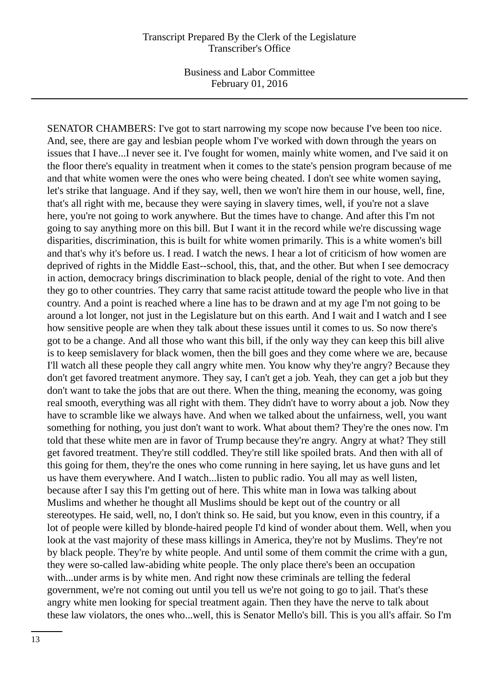SENATOR CHAMBERS: I've got to start narrowing my scope now because I've been too nice. And, see, there are gay and lesbian people whom I've worked with down through the years on issues that I have...I never see it. I've fought for women, mainly white women, and I've said it on the floor there's equality in treatment when it comes to the state's pension program because of me and that white women were the ones who were being cheated. I don't see white women saying, let's strike that language. And if they say, well, then we won't hire them in our house, well, fine, that's all right with me, because they were saying in slavery times, well, if you're not a slave here, you're not going to work anywhere. But the times have to change. And after this I'm not going to say anything more on this bill. But I want it in the record while we're discussing wage disparities, discrimination, this is built for white women primarily. This is a white women's bill and that's why it's before us. I read. I watch the news. I hear a lot of criticism of how women are deprived of rights in the Middle East--school, this, that, and the other. But when I see democracy in action, democracy brings discrimination to black people, denial of the right to vote. And then they go to other countries. They carry that same racist attitude toward the people who live in that country. And a point is reached where a line has to be drawn and at my age I'm not going to be around a lot longer, not just in the Legislature but on this earth. And I wait and I watch and I see how sensitive people are when they talk about these issues until it comes to us. So now there's got to be a change. And all those who want this bill, if the only way they can keep this bill alive is to keep semislavery for black women, then the bill goes and they come where we are, because I'll watch all these people they call angry white men. You know why they're angry? Because they don't get favored treatment anymore. They say, I can't get a job. Yeah, they can get a job but they don't want to take the jobs that are out there. When the thing, meaning the economy, was going real smooth, everything was all right with them. They didn't have to worry about a job. Now they have to scramble like we always have. And when we talked about the unfairness, well, you want something for nothing, you just don't want to work. What about them? They're the ones now. I'm told that these white men are in favor of Trump because they're angry. Angry at what? They still get favored treatment. They're still coddled. They're still like spoiled brats. And then with all of this going for them, they're the ones who come running in here saying, let us have guns and let us have them everywhere. And I watch...listen to public radio. You all may as well listen, because after I say this I'm getting out of here. This white man in Iowa was talking about Muslims and whether he thought all Muslims should be kept out of the country or all stereotypes. He said, well, no, I don't think so. He said, but you know, even in this country, if a lot of people were killed by blonde-haired people I'd kind of wonder about them. Well, when you look at the vast majority of these mass killings in America, they're not by Muslims. They're not by black people. They're by white people. And until some of them commit the crime with a gun, they were so-called law-abiding white people. The only place there's been an occupation with...under arms is by white men. And right now these criminals are telling the federal government, we're not coming out until you tell us we're not going to go to jail. That's these angry white men looking for special treatment again. Then they have the nerve to talk about these law violators, the ones who...well, this is Senator Mello's bill. This is you all's affair. So I'm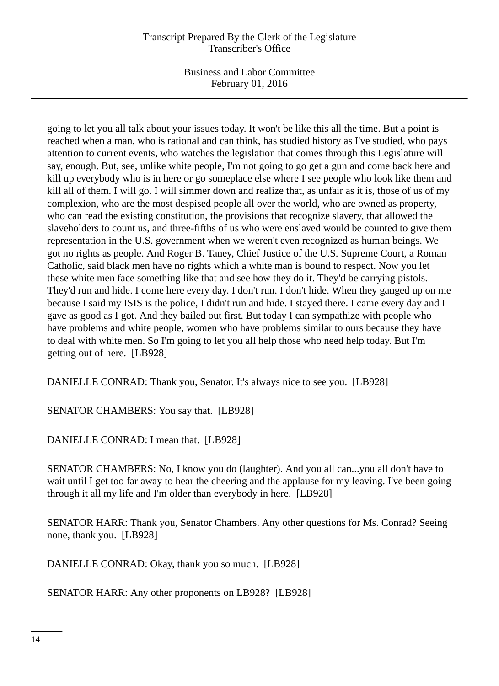Business and Labor Committee February 01, 2016

going to let you all talk about your issues today. It won't be like this all the time. But a point is reached when a man, who is rational and can think, has studied history as I've studied, who pays attention to current events, who watches the legislation that comes through this Legislature will say, enough. But, see, unlike white people, I'm not going to go get a gun and come back here and kill up everybody who is in here or go someplace else where I see people who look like them and kill all of them. I will go. I will simmer down and realize that, as unfair as it is, those of us of my complexion, who are the most despised people all over the world, who are owned as property, who can read the existing constitution, the provisions that recognize slavery, that allowed the slaveholders to count us, and three-fifths of us who were enslaved would be counted to give them representation in the U.S. government when we weren't even recognized as human beings. We got no rights as people. And Roger B. Taney, Chief Justice of the U.S. Supreme Court, a Roman Catholic, said black men have no rights which a white man is bound to respect. Now you let these white men face something like that and see how they do it. They'd be carrying pistols. They'd run and hide. I come here every day. I don't run. I don't hide. When they ganged up on me because I said my ISIS is the police, I didn't run and hide. I stayed there. I came every day and I gave as good as I got. And they bailed out first. But today I can sympathize with people who have problems and white people, women who have problems similar to ours because they have to deal with white men. So I'm going to let you all help those who need help today. But I'm getting out of here. [LB928]

DANIELLE CONRAD: Thank you, Senator. It's always nice to see you. [LB928]

SENATOR CHAMBERS: You say that. [LB928]

DANIELLE CONRAD: I mean that. [LB928]

SENATOR CHAMBERS: No, I know you do (laughter). And you all can...you all don't have to wait until I get too far away to hear the cheering and the applause for my leaving. I've been going through it all my life and I'm older than everybody in here. [LB928]

SENATOR HARR: Thank you, Senator Chambers. Any other questions for Ms. Conrad? Seeing none, thank you. [LB928]

DANIELLE CONRAD: Okay, thank you so much. [LB928]

SENATOR HARR: Any other proponents on LB928? [LB928]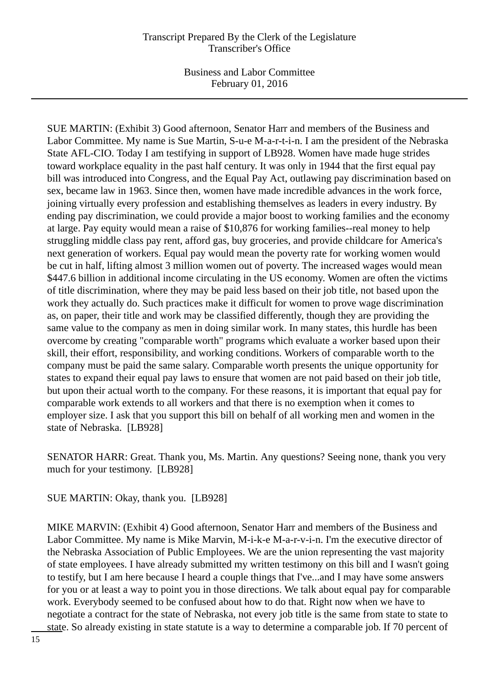Business and Labor Committee February 01, 2016

SUE MARTIN: (Exhibit 3) Good afternoon, Senator Harr and members of the Business and Labor Committee. My name is Sue Martin, S-u-e M-a-r-t-i-n. I am the president of the Nebraska State AFL-CIO. Today I am testifying in support of LB928. Women have made huge strides toward workplace equality in the past half century. It was only in 1944 that the first equal pay bill was introduced into Congress, and the Equal Pay Act, outlawing pay discrimination based on sex, became law in 1963. Since then, women have made incredible advances in the work force, joining virtually every profession and establishing themselves as leaders in every industry. By ending pay discrimination, we could provide a major boost to working families and the economy at large. Pay equity would mean a raise of \$10,876 for working families--real money to help struggling middle class pay rent, afford gas, buy groceries, and provide childcare for America's next generation of workers. Equal pay would mean the poverty rate for working women would be cut in half, lifting almost 3 million women out of poverty. The increased wages would mean \$447.6 billion in additional income circulating in the US economy. Women are often the victims of title discrimination, where they may be paid less based on their job title, not based upon the work they actually do. Such practices make it difficult for women to prove wage discrimination as, on paper, their title and work may be classified differently, though they are providing the same value to the company as men in doing similar work. In many states, this hurdle has been overcome by creating "comparable worth" programs which evaluate a worker based upon their skill, their effort, responsibility, and working conditions. Workers of comparable worth to the company must be paid the same salary. Comparable worth presents the unique opportunity for states to expand their equal pay laws to ensure that women are not paid based on their job title, but upon their actual worth to the company. For these reasons, it is important that equal pay for comparable work extends to all workers and that there is no exemption when it comes to employer size. I ask that you support this bill on behalf of all working men and women in the state of Nebraska. [LB928]

SENATOR HARR: Great. Thank you, Ms. Martin. Any questions? Seeing none, thank you very much for your testimony. [LB928]

SUE MARTIN: Okay, thank you. [LB928]

MIKE MARVIN: (Exhibit 4) Good afternoon, Senator Harr and members of the Business and Labor Committee. My name is Mike Marvin, M-i-k-e M-a-r-v-i-n. I'm the executive director of the Nebraska Association of Public Employees. We are the union representing the vast majority of state employees. I have already submitted my written testimony on this bill and I wasn't going to testify, but I am here because I heard a couple things that I've...and I may have some answers for you or at least a way to point you in those directions. We talk about equal pay for comparable work. Everybody seemed to be confused about how to do that. Right now when we have to negotiate a contract for the state of Nebraska, not every job title is the same from state to state to state. So already existing in state statute is a way to determine a comparable job. If 70 percent of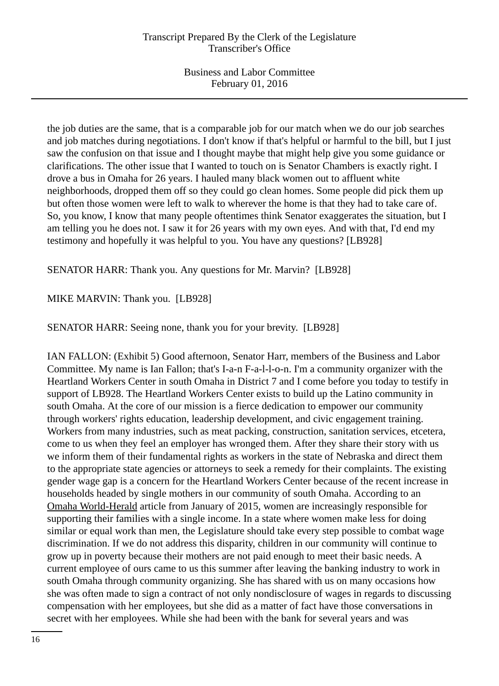the job duties are the same, that is a comparable job for our match when we do our job searches and job matches during negotiations. I don't know if that's helpful or harmful to the bill, but I just saw the confusion on that issue and I thought maybe that might help give you some guidance or clarifications. The other issue that I wanted to touch on is Senator Chambers is exactly right. I drove a bus in Omaha for 26 years. I hauled many black women out to affluent white neighborhoods, dropped them off so they could go clean homes. Some people did pick them up but often those women were left to walk to wherever the home is that they had to take care of. So, you know, I know that many people oftentimes think Senator exaggerates the situation, but I am telling you he does not. I saw it for 26 years with my own eyes. And with that, I'd end my testimony and hopefully it was helpful to you. You have any questions? [LB928]

SENATOR HARR: Thank you. Any questions for Mr. Marvin? [LB928]

# MIKE MARVIN: Thank you. [LB928]

SENATOR HARR: Seeing none, thank you for your brevity. [LB928]

IAN FALLON: (Exhibit 5) Good afternoon, Senator Harr, members of the Business and Labor Committee. My name is Ian Fallon; that's I-a-n F-a-l-l-o-n. I'm a community organizer with the Heartland Workers Center in south Omaha in District 7 and I come before you today to testify in support of LB928. The Heartland Workers Center exists to build up the Latino community in south Omaha. At the core of our mission is a fierce dedication to empower our community through workers' rights education, leadership development, and civic engagement training. Workers from many industries, such as meat packing, construction, sanitation services, etcetera, come to us when they feel an employer has wronged them. After they share their story with us we inform them of their fundamental rights as workers in the state of Nebraska and direct them to the appropriate state agencies or attorneys to seek a remedy for their complaints. The existing gender wage gap is a concern for the Heartland Workers Center because of the recent increase in households headed by single mothers in our community of south Omaha. According to an Omaha World-Herald article from January of 2015, women are increasingly responsible for supporting their families with a single income. In a state where women make less for doing similar or equal work than men, the Legislature should take every step possible to combat wage discrimination. If we do not address this disparity, children in our community will continue to grow up in poverty because their mothers are not paid enough to meet their basic needs. A current employee of ours came to us this summer after leaving the banking industry to work in south Omaha through community organizing. She has shared with us on many occasions how she was often made to sign a contract of not only nondisclosure of wages in regards to discussing compensation with her employees, but she did as a matter of fact have those conversations in secret with her employees. While she had been with the bank for several years and was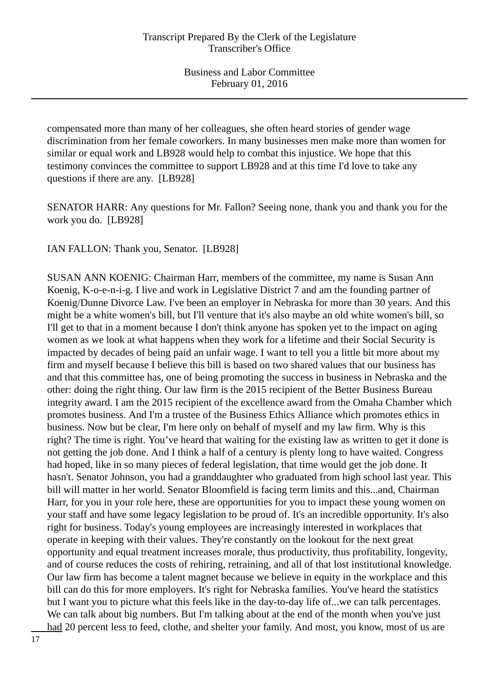compensated more than many of her colleagues, she often heard stories of gender wage discrimination from her female coworkers. In many businesses men make more than women for similar or equal work and LB928 would help to combat this injustice. We hope that this testimony convinces the committee to support LB928 and at this time I'd love to take any questions if there are any. [LB928]

SENATOR HARR: Any questions for Mr. Fallon? Seeing none, thank you and thank you for the work you do. [LB928]

IAN FALLON: Thank you, Senator. [LB928]

SUSAN ANN KOENIG: Chairman Harr, members of the committee, my name is Susan Ann Koenig, K-o-e-n-i-g. I live and work in Legislative District 7 and am the founding partner of Koenig/Dunne Divorce Law. I've been an employer in Nebraska for more than 30 years. And this might be a white women's bill, but I'll venture that it's also maybe an old white women's bill, so I'll get to that in a moment because I don't think anyone has spoken yet to the impact on aging women as we look at what happens when they work for a lifetime and their Social Security is impacted by decades of being paid an unfair wage. I want to tell you a little bit more about my firm and myself because I believe this bill is based on two shared values that our business has and that this committee has, one of being promoting the success in business in Nebraska and the other: doing the right thing. Our law firm is the 2015 recipient of the Better Business Bureau integrity award. I am the 2015 recipient of the excellence award from the Omaha Chamber which promotes business. And I'm a trustee of the Business Ethics Alliance which promotes ethics in business. Now but be clear, I'm here only on behalf of myself and my law firm. Why is this right? The time is right. You've heard that waiting for the existing law as written to get it done is not getting the job done. And I think a half of a century is plenty long to have waited. Congress had hoped, like in so many pieces of federal legislation, that time would get the job done. It hasn't. Senator Johnson, you had a granddaughter who graduated from high school last year. This bill will matter in her world. Senator Bloomfield is facing term limits and this...and, Chairman Harr, for you in your role here, these are opportunities for you to impact these young women on your staff and have some legacy legislation to be proud of. It's an incredible opportunity. It's also right for business. Today's young employees are increasingly interested in workplaces that operate in keeping with their values. They're constantly on the lookout for the next great opportunity and equal treatment increases morale, thus productivity, thus profitability, longevity, and of course reduces the costs of rehiring, retraining, and all of that lost institutional knowledge. Our law firm has become a talent magnet because we believe in equity in the workplace and this bill can do this for more employers. It's right for Nebraska families. You've heard the statistics but I want you to picture what this feels like in the day-to-day life of...we can talk percentages. We can talk about big numbers. But I'm talking about at the end of the month when you've just had 20 percent less to feed, clothe, and shelter your family. And most, you know, most of us are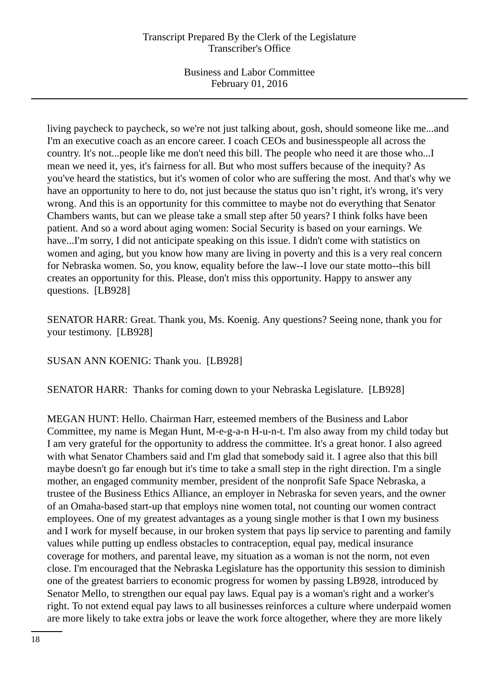living paycheck to paycheck, so we're not just talking about, gosh, should someone like me...and I'm an executive coach as an encore career. I coach CEOs and businesspeople all across the country. It's not...people like me don't need this bill. The people who need it are those who...I mean we need it, yes, it's fairness for all. But who most suffers because of the inequity? As you've heard the statistics, but it's women of color who are suffering the most. And that's why we have an opportunity to here to do, not just because the status quo isn't right, it's wrong, it's very wrong. And this is an opportunity for this committee to maybe not do everything that Senator Chambers wants, but can we please take a small step after 50 years? I think folks have been patient. And so a word about aging women: Social Security is based on your earnings. We have...I'm sorry, I did not anticipate speaking on this issue. I didn't come with statistics on women and aging, but you know how many are living in poverty and this is a very real concern for Nebraska women. So, you know, equality before the law--I love our state motto--this bill creates an opportunity for this. Please, don't miss this opportunity. Happy to answer any questions. [LB928]

SENATOR HARR: Great. Thank you, Ms. Koenig. Any questions? Seeing none, thank you for your testimony. [LB928]

SUSAN ANN KOENIG: Thank you. [LB928]

SENATOR HARR: Thanks for coming down to your Nebraska Legislature. [LB928]

MEGAN HUNT: Hello. Chairman Harr, esteemed members of the Business and Labor Committee, my name is Megan Hunt, M-e-g-a-n H-u-n-t. I'm also away from my child today but I am very grateful for the opportunity to address the committee. It's a great honor. I also agreed with what Senator Chambers said and I'm glad that somebody said it. I agree also that this bill maybe doesn't go far enough but it's time to take a small step in the right direction. I'm a single mother, an engaged community member, president of the nonprofit Safe Space Nebraska, a trustee of the Business Ethics Alliance, an employer in Nebraska for seven years, and the owner of an Omaha-based start-up that employs nine women total, not counting our women contract employees. One of my greatest advantages as a young single mother is that I own my business and I work for myself because, in our broken system that pays lip service to parenting and family values while putting up endless obstacles to contraception, equal pay, medical insurance coverage for mothers, and parental leave, my situation as a woman is not the norm, not even close. I'm encouraged that the Nebraska Legislature has the opportunity this session to diminish one of the greatest barriers to economic progress for women by passing LB928, introduced by Senator Mello, to strengthen our equal pay laws. Equal pay is a woman's right and a worker's right. To not extend equal pay laws to all businesses reinforces a culture where underpaid women are more likely to take extra jobs or leave the work force altogether, where they are more likely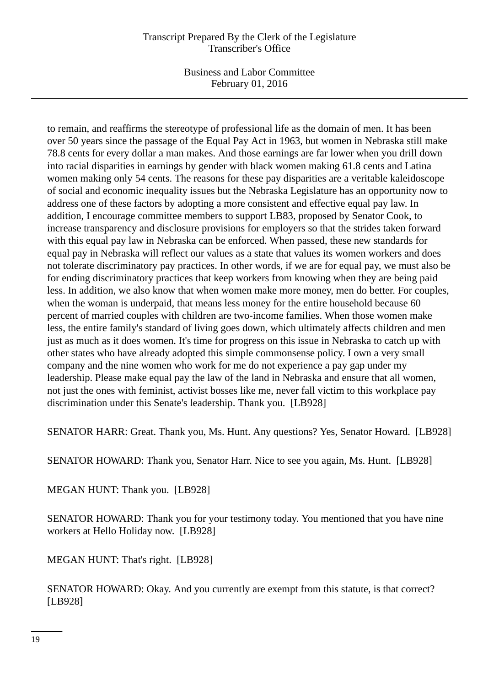Business and Labor Committee February 01, 2016

to remain, and reaffirms the stereotype of professional life as the domain of men. It has been over 50 years since the passage of the Equal Pay Act in 1963, but women in Nebraska still make 78.8 cents for every dollar a man makes. And those earnings are far lower when you drill down into racial disparities in earnings by gender with black women making 61.8 cents and Latina women making only 54 cents. The reasons for these pay disparities are a veritable kaleidoscope of social and economic inequality issues but the Nebraska Legislature has an opportunity now to address one of these factors by adopting a more consistent and effective equal pay law. In addition, I encourage committee members to support LB83, proposed by Senator Cook, to increase transparency and disclosure provisions for employers so that the strides taken forward with this equal pay law in Nebraska can be enforced. When passed, these new standards for equal pay in Nebraska will reflect our values as a state that values its women workers and does not tolerate discriminatory pay practices. In other words, if we are for equal pay, we must also be for ending discriminatory practices that keep workers from knowing when they are being paid less. In addition, we also know that when women make more money, men do better. For couples, when the woman is underpaid, that means less money for the entire household because 60 percent of married couples with children are two-income families. When those women make less, the entire family's standard of living goes down, which ultimately affects children and men just as much as it does women. It's time for progress on this issue in Nebraska to catch up with other states who have already adopted this simple commonsense policy. I own a very small company and the nine women who work for me do not experience a pay gap under my leadership. Please make equal pay the law of the land in Nebraska and ensure that all women, not just the ones with feminist, activist bosses like me, never fall victim to this workplace pay discrimination under this Senate's leadership. Thank you. [LB928]

SENATOR HARR: Great. Thank you, Ms. Hunt. Any questions? Yes, Senator Howard. [LB928]

SENATOR HOWARD: Thank you, Senator Harr. Nice to see you again, Ms. Hunt. [LB928]

MEGAN HUNT: Thank you. [LB928]

SENATOR HOWARD: Thank you for your testimony today. You mentioned that you have nine workers at Hello Holiday now. [LB928]

MEGAN HUNT: That's right. [LB928]

SENATOR HOWARD: Okay. And you currently are exempt from this statute, is that correct? [LB928]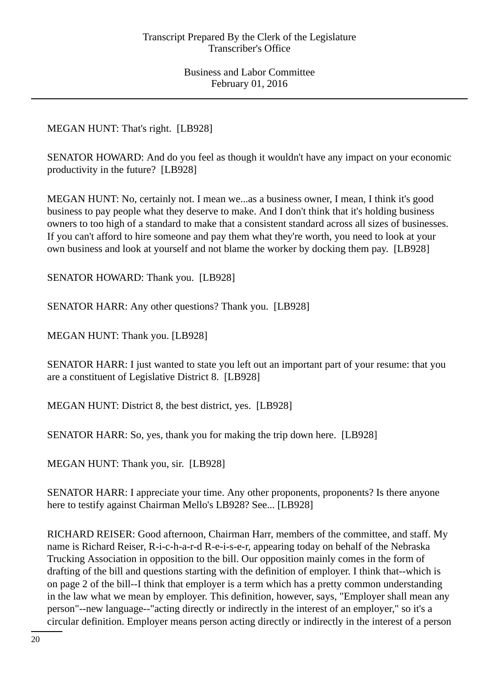MEGAN HUNT: That's right. [LB928]

SENATOR HOWARD: And do you feel as though it wouldn't have any impact on your economic productivity in the future? [LB928]

MEGAN HUNT: No, certainly not. I mean we...as a business owner, I mean, I think it's good business to pay people what they deserve to make. And I don't think that it's holding business owners to too high of a standard to make that a consistent standard across all sizes of businesses. If you can't afford to hire someone and pay them what they're worth, you need to look at your own business and look at yourself and not blame the worker by docking them pay. [LB928]

SENATOR HOWARD: Thank you. [LB928]

SENATOR HARR: Any other questions? Thank you. [LB928]

MEGAN HUNT: Thank you. [LB928]

SENATOR HARR: I just wanted to state you left out an important part of your resume: that you are a constituent of Legislative District 8. [LB928]

MEGAN HUNT: District 8, the best district, yes. [LB928]

SENATOR HARR: So, yes, thank you for making the trip down here. [LB928]

MEGAN HUNT: Thank you, sir. [LB928]

SENATOR HARR: I appreciate your time. Any other proponents, proponents? Is there anyone here to testify against Chairman Mello's LB928? See... [LB928]

RICHARD REISER: Good afternoon, Chairman Harr, members of the committee, and staff. My name is Richard Reiser, R-i-c-h-a-r-d R-e-i-s-e-r, appearing today on behalf of the Nebraska Trucking Association in opposition to the bill. Our opposition mainly comes in the form of drafting of the bill and questions starting with the definition of employer. I think that--which is on page 2 of the bill--I think that employer is a term which has a pretty common understanding in the law what we mean by employer. This definition, however, says, "Employer shall mean any person"--new language--"acting directly or indirectly in the interest of an employer," so it's a circular definition. Employer means person acting directly or indirectly in the interest of a person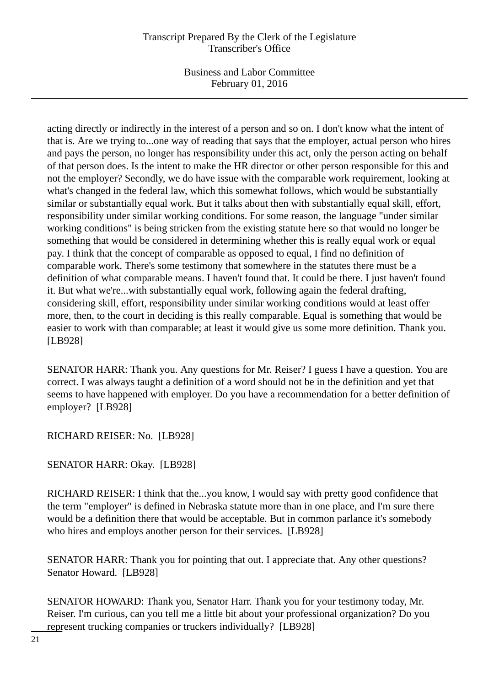Business and Labor Committee February 01, 2016

acting directly or indirectly in the interest of a person and so on. I don't know what the intent of that is. Are we trying to...one way of reading that says that the employer, actual person who hires and pays the person, no longer has responsibility under this act, only the person acting on behalf of that person does. Is the intent to make the HR director or other person responsible for this and not the employer? Secondly, we do have issue with the comparable work requirement, looking at what's changed in the federal law, which this somewhat follows, which would be substantially similar or substantially equal work. But it talks about then with substantially equal skill, effort, responsibility under similar working conditions. For some reason, the language "under similar working conditions" is being stricken from the existing statute here so that would no longer be something that would be considered in determining whether this is really equal work or equal pay. I think that the concept of comparable as opposed to equal, I find no definition of comparable work. There's some testimony that somewhere in the statutes there must be a definition of what comparable means. I haven't found that. It could be there. I just haven't found it. But what we're...with substantially equal work, following again the federal drafting, considering skill, effort, responsibility under similar working conditions would at least offer more, then, to the court in deciding is this really comparable. Equal is something that would be easier to work with than comparable; at least it would give us some more definition. Thank you. [LB928]

SENATOR HARR: Thank you. Any questions for Mr. Reiser? I guess I have a question. You are correct. I was always taught a definition of a word should not be in the definition and yet that seems to have happened with employer. Do you have a recommendation for a better definition of employer? [LB928]

RICHARD REISER: No. [LB928]

SENATOR HARR: Okay. [LB928]

RICHARD REISER: I think that the...you know, I would say with pretty good confidence that the term "employer" is defined in Nebraska statute more than in one place, and I'm sure there would be a definition there that would be acceptable. But in common parlance it's somebody who hires and employs another person for their services. [LB928]

SENATOR HARR: Thank you for pointing that out. I appreciate that. Any other questions? Senator Howard. [LB928]

SENATOR HOWARD: Thank you, Senator Harr. Thank you for your testimony today, Mr. Reiser. I'm curious, can you tell me a little bit about your professional organization? Do you represent trucking companies or truckers individually? [LB928]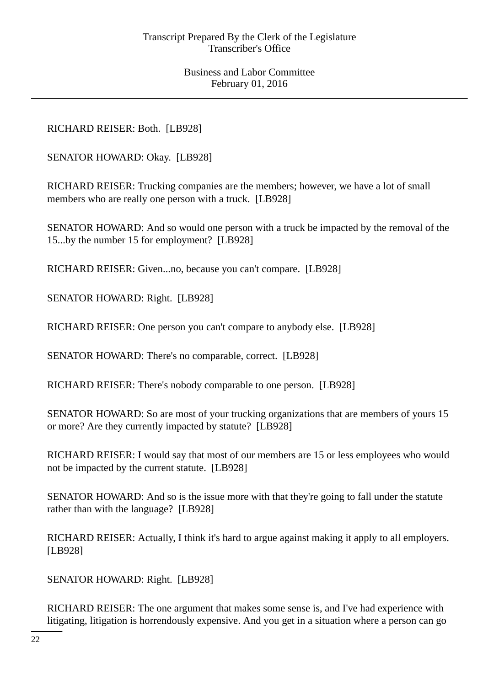RICHARD REISER: Both. [LB928]

SENATOR HOWARD: Okay. [LB928]

RICHARD REISER: Trucking companies are the members; however, we have a lot of small members who are really one person with a truck. [LB928]

SENATOR HOWARD: And so would one person with a truck be impacted by the removal of the 15...by the number 15 for employment? [LB928]

RICHARD REISER: Given...no, because you can't compare. [LB928]

SENATOR HOWARD: Right. [LB928]

RICHARD REISER: One person you can't compare to anybody else. [LB928]

SENATOR HOWARD: There's no comparable, correct. [LB928]

RICHARD REISER: There's nobody comparable to one person. [LB928]

SENATOR HOWARD: So are most of your trucking organizations that are members of yours 15 or more? Are they currently impacted by statute? [LB928]

RICHARD REISER: I would say that most of our members are 15 or less employees who would not be impacted by the current statute. [LB928]

SENATOR HOWARD: And so is the issue more with that they're going to fall under the statute rather than with the language? [LB928]

RICHARD REISER: Actually, I think it's hard to argue against making it apply to all employers. [LB928]

SENATOR HOWARD: Right. [LB928]

RICHARD REISER: The one argument that makes some sense is, and I've had experience with litigating, litigation is horrendously expensive. And you get in a situation where a person can go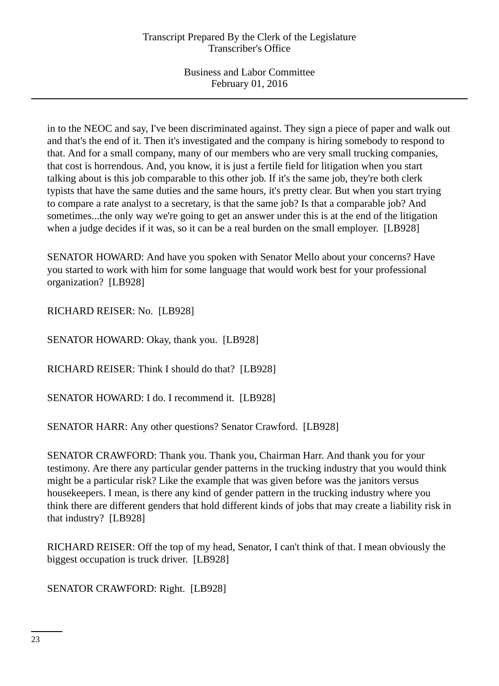in to the NEOC and say, I've been discriminated against. They sign a piece of paper and walk out and that's the end of it. Then it's investigated and the company is hiring somebody to respond to that. And for a small company, many of our members who are very small trucking companies, that cost is horrendous. And, you know, it is just a fertile field for litigation when you start talking about is this job comparable to this other job. If it's the same job, they're both clerk typists that have the same duties and the same hours, it's pretty clear. But when you start trying to compare a rate analyst to a secretary, is that the same job? Is that a comparable job? And sometimes...the only way we're going to get an answer under this is at the end of the litigation when a judge decides if it was, so it can be a real burden on the small employer. [LB928]

SENATOR HOWARD: And have you spoken with Senator Mello about your concerns? Have you started to work with him for some language that would work best for your professional organization? [LB928]

RICHARD REISER: No. [LB928]

SENATOR HOWARD: Okay, thank you. [LB928]

RICHARD REISER: Think I should do that? [LB928]

SENATOR HOWARD: I do. I recommend it. [LB928]

SENATOR HARR: Any other questions? Senator Crawford. [LB928]

SENATOR CRAWFORD: Thank you. Thank you, Chairman Harr. And thank you for your testimony. Are there any particular gender patterns in the trucking industry that you would think might be a particular risk? Like the example that was given before was the janitors versus housekeepers. I mean, is there any kind of gender pattern in the trucking industry where you think there are different genders that hold different kinds of jobs that may create a liability risk in that industry? [LB928]

RICHARD REISER: Off the top of my head, Senator, I can't think of that. I mean obviously the biggest occupation is truck driver. [LB928]

SENATOR CRAWFORD: Right. [LB928]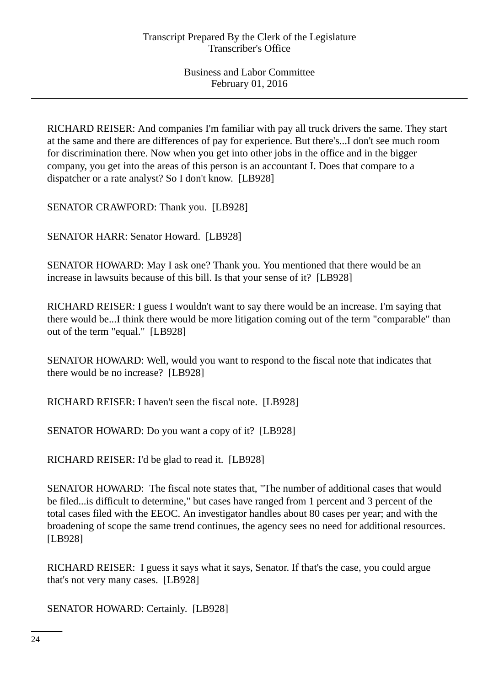RICHARD REISER: And companies I'm familiar with pay all truck drivers the same. They start at the same and there are differences of pay for experience. But there's...I don't see much room for discrimination there. Now when you get into other jobs in the office and in the bigger company, you get into the areas of this person is an accountant I. Does that compare to a dispatcher or a rate analyst? So I don't know. [LB928]

SENATOR CRAWFORD: Thank you. [LB928]

SENATOR HARR: Senator Howard. [LB928]

SENATOR HOWARD: May I ask one? Thank you. You mentioned that there would be an increase in lawsuits because of this bill. Is that your sense of it? [LB928]

RICHARD REISER: I guess I wouldn't want to say there would be an increase. I'm saying that there would be...I think there would be more litigation coming out of the term "comparable" than out of the term "equal." [LB928]

SENATOR HOWARD: Well, would you want to respond to the fiscal note that indicates that there would be no increase? [LB928]

RICHARD REISER: I haven't seen the fiscal note. [LB928]

SENATOR HOWARD: Do you want a copy of it? [LB928]

RICHARD REISER: I'd be glad to read it. [LB928]

SENATOR HOWARD: The fiscal note states that, "The number of additional cases that would be filed...is difficult to determine," but cases have ranged from 1 percent and 3 percent of the total cases filed with the EEOC. An investigator handles about 80 cases per year; and with the broadening of scope the same trend continues, the agency sees no need for additional resources. [LB928]

RICHARD REISER: I guess it says what it says, Senator. If that's the case, you could argue that's not very many cases. [LB928]

SENATOR HOWARD: Certainly. [LB928]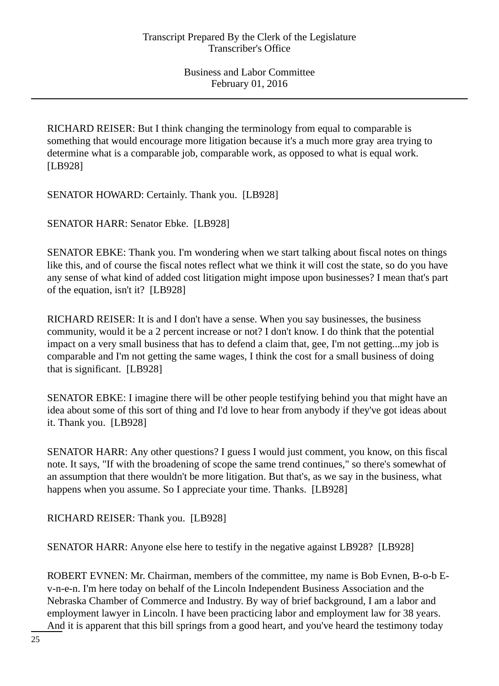RICHARD REISER: But I think changing the terminology from equal to comparable is something that would encourage more litigation because it's a much more gray area trying to determine what is a comparable job, comparable work, as opposed to what is equal work. [LB928]

SENATOR HOWARD: Certainly. Thank you. [LB928]

SENATOR HARR: Senator Ebke. [LB928]

SENATOR EBKE: Thank you. I'm wondering when we start talking about fiscal notes on things like this, and of course the fiscal notes reflect what we think it will cost the state, so do you have any sense of what kind of added cost litigation might impose upon businesses? I mean that's part of the equation, isn't it? [LB928]

RICHARD REISER: It is and I don't have a sense. When you say businesses, the business community, would it be a 2 percent increase or not? I don't know. I do think that the potential impact on a very small business that has to defend a claim that, gee, I'm not getting...my job is comparable and I'm not getting the same wages, I think the cost for a small business of doing that is significant. [LB928]

SENATOR EBKE: I imagine there will be other people testifying behind you that might have an idea about some of this sort of thing and I'd love to hear from anybody if they've got ideas about it. Thank you. [LB928]

SENATOR HARR: Any other questions? I guess I would just comment, you know, on this fiscal note. It says, "If with the broadening of scope the same trend continues," so there's somewhat of an assumption that there wouldn't be more litigation. But that's, as we say in the business, what happens when you assume. So I appreciate your time. Thanks. [LB928]

RICHARD REISER: Thank you. [LB928]

SENATOR HARR: Anyone else here to testify in the negative against LB928? [LB928]

ROBERT EVNEN: Mr. Chairman, members of the committee, my name is Bob Evnen, B-o-b Ev-n-e-n. I'm here today on behalf of the Lincoln Independent Business Association and the Nebraska Chamber of Commerce and Industry. By way of brief background, I am a labor and employment lawyer in Lincoln. I have been practicing labor and employment law for 38 years. And it is apparent that this bill springs from a good heart, and you've heard the testimony today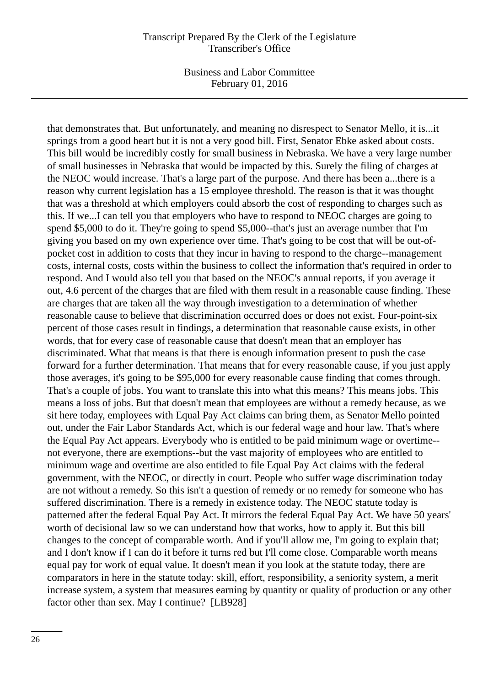Business and Labor Committee February 01, 2016

that demonstrates that. But unfortunately, and meaning no disrespect to Senator Mello, it is...it springs from a good heart but it is not a very good bill. First, Senator Ebke asked about costs. This bill would be incredibly costly for small business in Nebraska. We have a very large number of small businesses in Nebraska that would be impacted by this. Surely the filing of charges at the NEOC would increase. That's a large part of the purpose. And there has been a...there is a reason why current legislation has a 15 employee threshold. The reason is that it was thought that was a threshold at which employers could absorb the cost of responding to charges such as this. If we...I can tell you that employers who have to respond to NEOC charges are going to spend \$5,000 to do it. They're going to spend \$5,000--that's just an average number that I'm giving you based on my own experience over time. That's going to be cost that will be out-ofpocket cost in addition to costs that they incur in having to respond to the charge--management costs, internal costs, costs within the business to collect the information that's required in order to respond. And I would also tell you that based on the NEOC's annual reports, if you average it out, 4.6 percent of the charges that are filed with them result in a reasonable cause finding. These are charges that are taken all the way through investigation to a determination of whether reasonable cause to believe that discrimination occurred does or does not exist. Four-point-six percent of those cases result in findings, a determination that reasonable cause exists, in other words, that for every case of reasonable cause that doesn't mean that an employer has discriminated. What that means is that there is enough information present to push the case forward for a further determination. That means that for every reasonable cause, if you just apply those averages, it's going to be \$95,000 for every reasonable cause finding that comes through. That's a couple of jobs. You want to translate this into what this means? This means jobs. This means a loss of jobs. But that doesn't mean that employees are without a remedy because, as we sit here today, employees with Equal Pay Act claims can bring them, as Senator Mello pointed out, under the Fair Labor Standards Act, which is our federal wage and hour law. That's where the Equal Pay Act appears. Everybody who is entitled to be paid minimum wage or overtime- not everyone, there are exemptions--but the vast majority of employees who are entitled to minimum wage and overtime are also entitled to file Equal Pay Act claims with the federal government, with the NEOC, or directly in court. People who suffer wage discrimination today are not without a remedy. So this isn't a question of remedy or no remedy for someone who has suffered discrimination. There is a remedy in existence today. The NEOC statute today is patterned after the federal Equal Pay Act. It mirrors the federal Equal Pay Act. We have 50 years' worth of decisional law so we can understand how that works, how to apply it. But this bill changes to the concept of comparable worth. And if you'll allow me, I'm going to explain that; and I don't know if I can do it before it turns red but I'll come close. Comparable worth means equal pay for work of equal value. It doesn't mean if you look at the statute today, there are comparators in here in the statute today: skill, effort, responsibility, a seniority system, a merit increase system, a system that measures earning by quantity or quality of production or any other factor other than sex. May I continue? [LB928]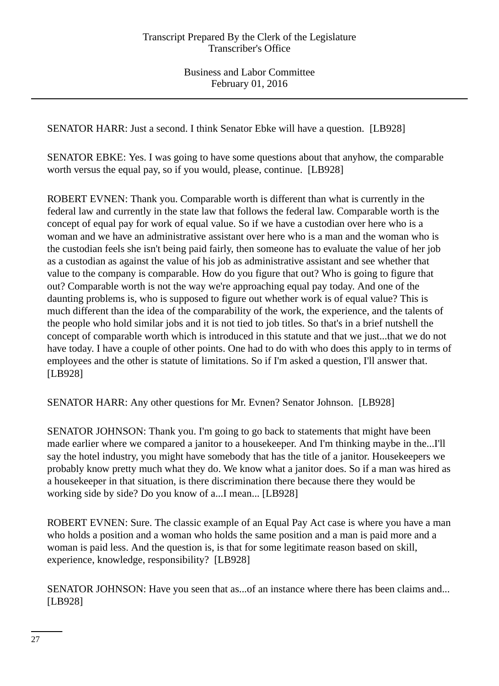SENATOR HARR: Just a second. I think Senator Ebke will have a question. [LB928]

SENATOR EBKE: Yes. I was going to have some questions about that anyhow, the comparable worth versus the equal pay, so if you would, please, continue. [LB928]

ROBERT EVNEN: Thank you. Comparable worth is different than what is currently in the federal law and currently in the state law that follows the federal law. Comparable worth is the concept of equal pay for work of equal value. So if we have a custodian over here who is a woman and we have an administrative assistant over here who is a man and the woman who is the custodian feels she isn't being paid fairly, then someone has to evaluate the value of her job as a custodian as against the value of his job as administrative assistant and see whether that value to the company is comparable. How do you figure that out? Who is going to figure that out? Comparable worth is not the way we're approaching equal pay today. And one of the daunting problems is, who is supposed to figure out whether work is of equal value? This is much different than the idea of the comparability of the work, the experience, and the talents of the people who hold similar jobs and it is not tied to job titles. So that's in a brief nutshell the concept of comparable worth which is introduced in this statute and that we just...that we do not have today. I have a couple of other points. One had to do with who does this apply to in terms of employees and the other is statute of limitations. So if I'm asked a question, I'll answer that. [LB928]

SENATOR HARR: Any other questions for Mr. Evnen? Senator Johnson. [LB928]

SENATOR JOHNSON: Thank you. I'm going to go back to statements that might have been made earlier where we compared a janitor to a housekeeper. And I'm thinking maybe in the...I'll say the hotel industry, you might have somebody that has the title of a janitor. Housekeepers we probably know pretty much what they do. We know what a janitor does. So if a man was hired as a housekeeper in that situation, is there discrimination there because there they would be working side by side? Do you know of a...I mean... [LB928]

ROBERT EVNEN: Sure. The classic example of an Equal Pay Act case is where you have a man who holds a position and a woman who holds the same position and a man is paid more and a woman is paid less. And the question is, is that for some legitimate reason based on skill, experience, knowledge, responsibility? [LB928]

SENATOR JOHNSON: Have you seen that as...of an instance where there has been claims and... [LB928]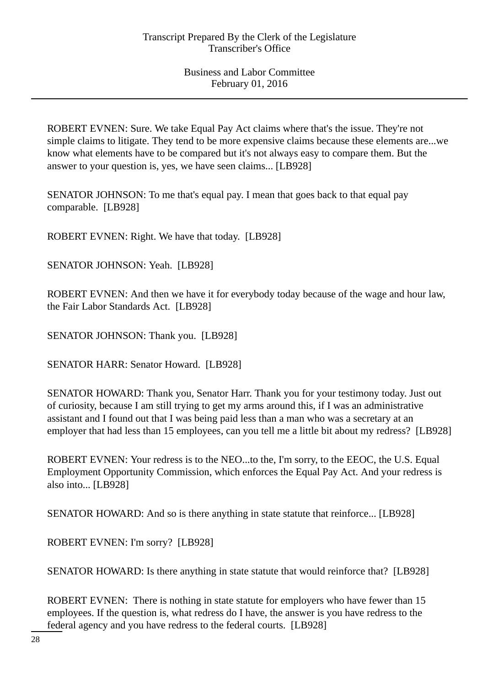ROBERT EVNEN: Sure. We take Equal Pay Act claims where that's the issue. They're not simple claims to litigate. They tend to be more expensive claims because these elements are...we know what elements have to be compared but it's not always easy to compare them. But the answer to your question is, yes, we have seen claims... [LB928]

SENATOR JOHNSON: To me that's equal pay. I mean that goes back to that equal pay comparable. [LB928]

ROBERT EVNEN: Right. We have that today. [LB928]

SENATOR JOHNSON: Yeah. [LB928]

ROBERT EVNEN: And then we have it for everybody today because of the wage and hour law, the Fair Labor Standards Act. [LB928]

SENATOR JOHNSON: Thank you. [LB928]

SENATOR HARR: Senator Howard. [LB928]

SENATOR HOWARD: Thank you, Senator Harr. Thank you for your testimony today. Just out of curiosity, because I am still trying to get my arms around this, if I was an administrative assistant and I found out that I was being paid less than a man who was a secretary at an employer that had less than 15 employees, can you tell me a little bit about my redress? [LB928]

ROBERT EVNEN: Your redress is to the NEO...to the, I'm sorry, to the EEOC, the U.S. Equal Employment Opportunity Commission, which enforces the Equal Pay Act. And your redress is also into... [LB928]

SENATOR HOWARD: And so is there anything in state statute that reinforce... [LB928]

ROBERT EVNEN: I'm sorry? [LB928]

SENATOR HOWARD: Is there anything in state statute that would reinforce that? [LB928]

ROBERT EVNEN: There is nothing in state statute for employers who have fewer than 15 employees. If the question is, what redress do I have, the answer is you have redress to the federal agency and you have redress to the federal courts. [LB928]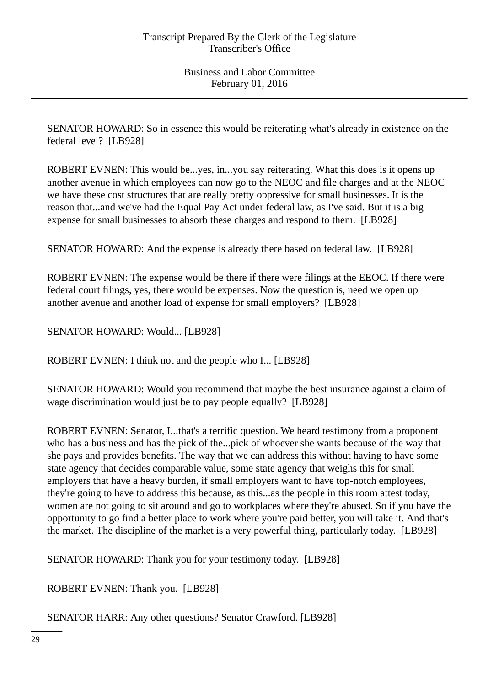SENATOR HOWARD: So in essence this would be reiterating what's already in existence on the federal level? [LB928]

ROBERT EVNEN: This would be...yes, in...you say reiterating. What this does is it opens up another avenue in which employees can now go to the NEOC and file charges and at the NEOC we have these cost structures that are really pretty oppressive for small businesses. It is the reason that...and we've had the Equal Pay Act under federal law, as I've said. But it is a big expense for small businesses to absorb these charges and respond to them. [LB928]

SENATOR HOWARD: And the expense is already there based on federal law. [LB928]

ROBERT EVNEN: The expense would be there if there were filings at the EEOC. If there were federal court filings, yes, there would be expenses. Now the question is, need we open up another avenue and another load of expense for small employers? [LB928]

SENATOR HOWARD: Would... [LB928]

ROBERT EVNEN: I think not and the people who I... [LB928]

SENATOR HOWARD: Would you recommend that maybe the best insurance against a claim of wage discrimination would just be to pay people equally? [LB928]

ROBERT EVNEN: Senator, I...that's a terrific question. We heard testimony from a proponent who has a business and has the pick of the...pick of whoever she wants because of the way that she pays and provides benefits. The way that we can address this without having to have some state agency that decides comparable value, some state agency that weighs this for small employers that have a heavy burden, if small employers want to have top-notch employees, they're going to have to address this because, as this...as the people in this room attest today, women are not going to sit around and go to workplaces where they're abused. So if you have the opportunity to go find a better place to work where you're paid better, you will take it. And that's the market. The discipline of the market is a very powerful thing, particularly today. [LB928]

SENATOR HOWARD: Thank you for your testimony today. [LB928]

ROBERT EVNEN: Thank you. [LB928]

SENATOR HARR: Any other questions? Senator Crawford. [LB928]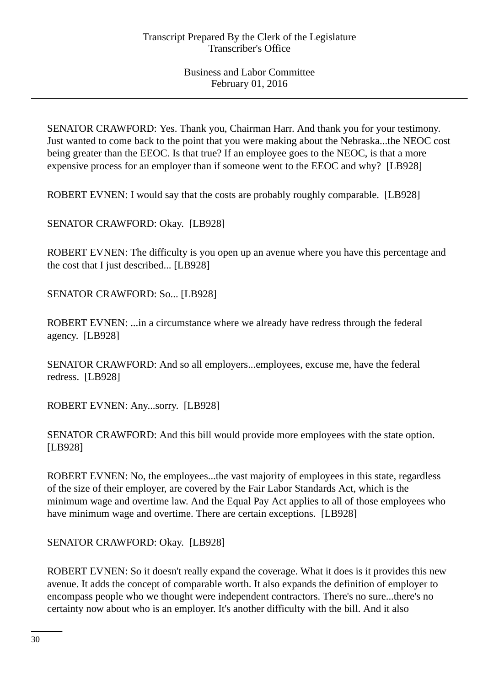SENATOR CRAWFORD: Yes. Thank you, Chairman Harr. And thank you for your testimony. Just wanted to come back to the point that you were making about the Nebraska...the NEOC cost being greater than the EEOC. Is that true? If an employee goes to the NEOC, is that a more expensive process for an employer than if someone went to the EEOC and why? [LB928]

ROBERT EVNEN: I would say that the costs are probably roughly comparable. [LB928]

SENATOR CRAWFORD: Okay. [LB928]

ROBERT EVNEN: The difficulty is you open up an avenue where you have this percentage and the cost that I just described... [LB928]

SENATOR CRAWFORD: So... [LB928]

ROBERT EVNEN: ...in a circumstance where we already have redress through the federal agency. [LB928]

SENATOR CRAWFORD: And so all employers...employees, excuse me, have the federal redress. [LB928]

ROBERT EVNEN: Any...sorry. [LB928]

SENATOR CRAWFORD: And this bill would provide more employees with the state option. [LB928]

ROBERT EVNEN: No, the employees...the vast majority of employees in this state, regardless of the size of their employer, are covered by the Fair Labor Standards Act, which is the minimum wage and overtime law. And the Equal Pay Act applies to all of those employees who have minimum wage and overtime. There are certain exceptions. [LB928]

SENATOR CRAWFORD: Okay. [LB928]

ROBERT EVNEN: So it doesn't really expand the coverage. What it does is it provides this new avenue. It adds the concept of comparable worth. It also expands the definition of employer to encompass people who we thought were independent contractors. There's no sure...there's no certainty now about who is an employer. It's another difficulty with the bill. And it also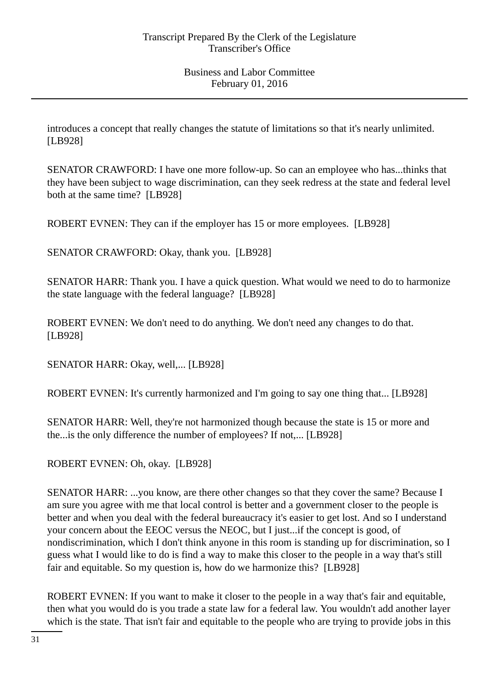introduces a concept that really changes the statute of limitations so that it's nearly unlimited. [LB928]

SENATOR CRAWFORD: I have one more follow-up. So can an employee who has...thinks that they have been subject to wage discrimination, can they seek redress at the state and federal level both at the same time? [LB928]

ROBERT EVNEN: They can if the employer has 15 or more employees. [LB928]

SENATOR CRAWFORD: Okay, thank you. [LB928]

SENATOR HARR: Thank you. I have a quick question. What would we need to do to harmonize the state language with the federal language? [LB928]

ROBERT EVNEN: We don't need to do anything. We don't need any changes to do that. [LB928]

SENATOR HARR: Okay, well,... [LB928]

ROBERT EVNEN: It's currently harmonized and I'm going to say one thing that... [LB928]

SENATOR HARR: Well, they're not harmonized though because the state is 15 or more and the...is the only difference the number of employees? If not,... [LB928]

ROBERT EVNEN: Oh, okay. [LB928]

SENATOR HARR: ...you know, are there other changes so that they cover the same? Because I am sure you agree with me that local control is better and a government closer to the people is better and when you deal with the federal bureaucracy it's easier to get lost. And so I understand your concern about the EEOC versus the NEOC, but I just...if the concept is good, of nondiscrimination, which I don't think anyone in this room is standing up for discrimination, so I guess what I would like to do is find a way to make this closer to the people in a way that's still fair and equitable. So my question is, how do we harmonize this? [LB928]

ROBERT EVNEN: If you want to make it closer to the people in a way that's fair and equitable, then what you would do is you trade a state law for a federal law. You wouldn't add another layer which is the state. That isn't fair and equitable to the people who are trying to provide jobs in this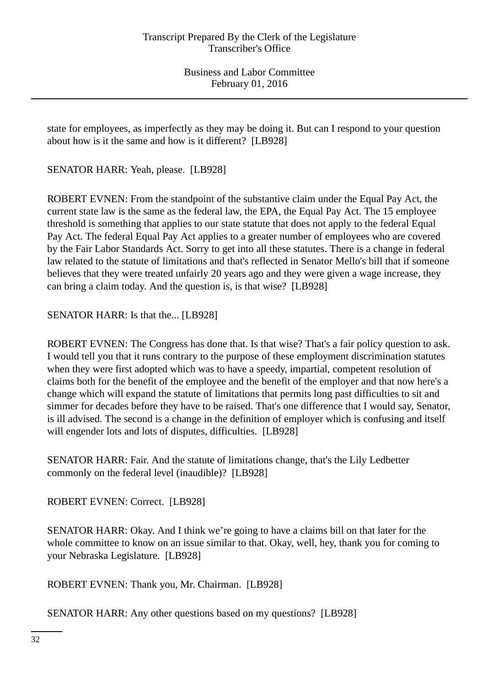state for employees, as imperfectly as they may be doing it. But can I respond to your question about how is it the same and how is it different? [LB928]

SENATOR HARR: Yeah, please. [LB928]

ROBERT EVNEN: From the standpoint of the substantive claim under the Equal Pay Act, the current state law is the same as the federal law, the EPA, the Equal Pay Act. The 15 employee threshold is something that applies to our state statute that does not apply to the federal Equal Pay Act. The federal Equal Pay Act applies to a greater number of employees who are covered by the Fair Labor Standards Act. Sorry to get into all these statutes. There is a change in federal law related to the statute of limitations and that's reflected in Senator Mello's bill that if someone believes that they were treated unfairly 20 years ago and they were given a wage increase, they can bring a claim today. And the question is, is that wise? [LB928]

SENATOR HARR: Is that the... [LB928]

ROBERT EVNEN: The Congress has done that. Is that wise? That's a fair policy question to ask. I would tell you that it runs contrary to the purpose of these employment discrimination statutes when they were first adopted which was to have a speedy, impartial, competent resolution of claims both for the benefit of the employee and the benefit of the employer and that now here's a change which will expand the statute of limitations that permits long past difficulties to sit and simmer for decades before they have to be raised. That's one difference that I would say, Senator, is ill advised. The second is a change in the definition of employer which is confusing and itself will engender lots and lots of disputes, difficulties. [LB928]

SENATOR HARR: Fair. And the statute of limitations change, that's the Lily Ledbetter commonly on the federal level (inaudible)? [LB928]

ROBERT EVNEN: Correct. [LB928]

SENATOR HARR: Okay. And I think we're going to have a claims bill on that later for the whole committee to know on an issue similar to that. Okay, well, hey, thank you for coming to your Nebraska Legislature. [LB928]

ROBERT EVNEN: Thank you, Mr. Chairman. [LB928]

SENATOR HARR: Any other questions based on my questions? [LB928]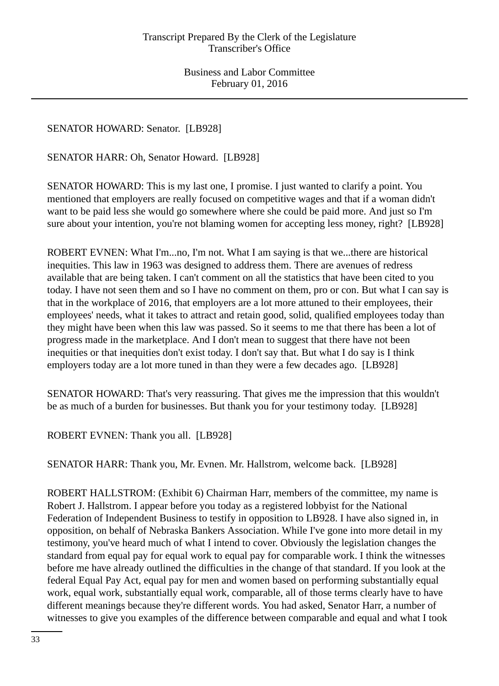SENATOR HOWARD: Senator. [LB928]

SENATOR HARR: Oh, Senator Howard. [LB928]

SENATOR HOWARD: This is my last one, I promise. I just wanted to clarify a point. You mentioned that employers are really focused on competitive wages and that if a woman didn't want to be paid less she would go somewhere where she could be paid more. And just so I'm sure about your intention, you're not blaming women for accepting less money, right? [LB928]

ROBERT EVNEN: What I'm...no, I'm not. What I am saying is that we...there are historical inequities. This law in 1963 was designed to address them. There are avenues of redress available that are being taken. I can't comment on all the statistics that have been cited to you today. I have not seen them and so I have no comment on them, pro or con. But what I can say is that in the workplace of 2016, that employers are a lot more attuned to their employees, their employees' needs, what it takes to attract and retain good, solid, qualified employees today than they might have been when this law was passed. So it seems to me that there has been a lot of progress made in the marketplace. And I don't mean to suggest that there have not been inequities or that inequities don't exist today. I don't say that. But what I do say is I think employers today are a lot more tuned in than they were a few decades ago. [LB928]

SENATOR HOWARD: That's very reassuring. That gives me the impression that this wouldn't be as much of a burden for businesses. But thank you for your testimony today. [LB928]

ROBERT EVNEN: Thank you all. [LB928]

SENATOR HARR: Thank you, Mr. Evnen. Mr. Hallstrom, welcome back. [LB928]

ROBERT HALLSTROM: (Exhibit 6) Chairman Harr, members of the committee, my name is Robert J. Hallstrom. I appear before you today as a registered lobbyist for the National Federation of Independent Business to testify in opposition to LB928. I have also signed in, in opposition, on behalf of Nebraska Bankers Association. While I've gone into more detail in my testimony, you've heard much of what I intend to cover. Obviously the legislation changes the standard from equal pay for equal work to equal pay for comparable work. I think the witnesses before me have already outlined the difficulties in the change of that standard. If you look at the federal Equal Pay Act, equal pay for men and women based on performing substantially equal work, equal work, substantially equal work, comparable, all of those terms clearly have to have different meanings because they're different words. You had asked, Senator Harr, a number of witnesses to give you examples of the difference between comparable and equal and what I took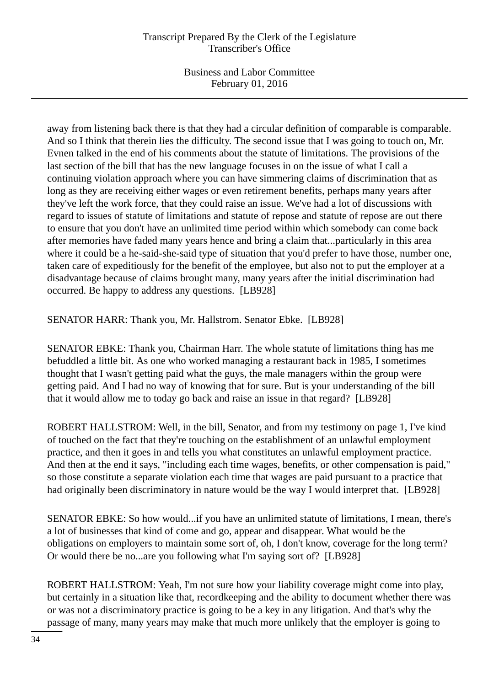away from listening back there is that they had a circular definition of comparable is comparable. And so I think that therein lies the difficulty. The second issue that I was going to touch on, Mr. Evnen talked in the end of his comments about the statute of limitations. The provisions of the last section of the bill that has the new language focuses in on the issue of what I call a continuing violation approach where you can have simmering claims of discrimination that as long as they are receiving either wages or even retirement benefits, perhaps many years after they've left the work force, that they could raise an issue. We've had a lot of discussions with regard to issues of statute of limitations and statute of repose and statute of repose are out there to ensure that you don't have an unlimited time period within which somebody can come back after memories have faded many years hence and bring a claim that...particularly in this area where it could be a he-said-she-said type of situation that you'd prefer to have those, number one, taken care of expeditiously for the benefit of the employee, but also not to put the employer at a disadvantage because of claims brought many, many years after the initial discrimination had occurred. Be happy to address any questions. [LB928]

SENATOR HARR: Thank you, Mr. Hallstrom. Senator Ebke. [LB928]

SENATOR EBKE: Thank you, Chairman Harr. The whole statute of limitations thing has me befuddled a little bit. As one who worked managing a restaurant back in 1985, I sometimes thought that I wasn't getting paid what the guys, the male managers within the group were getting paid. And I had no way of knowing that for sure. But is your understanding of the bill that it would allow me to today go back and raise an issue in that regard? [LB928]

ROBERT HALLSTROM: Well, in the bill, Senator, and from my testimony on page 1, I've kind of touched on the fact that they're touching on the establishment of an unlawful employment practice, and then it goes in and tells you what constitutes an unlawful employment practice. And then at the end it says, "including each time wages, benefits, or other compensation is paid," so those constitute a separate violation each time that wages are paid pursuant to a practice that had originally been discriminatory in nature would be the way I would interpret that. [LB928]

SENATOR EBKE: So how would...if you have an unlimited statute of limitations, I mean, there's a lot of businesses that kind of come and go, appear and disappear. What would be the obligations on employers to maintain some sort of, oh, I don't know, coverage for the long term? Or would there be no...are you following what I'm saying sort of? [LB928]

ROBERT HALLSTROM: Yeah, I'm not sure how your liability coverage might come into play, but certainly in a situation like that, recordkeeping and the ability to document whether there was or was not a discriminatory practice is going to be a key in any litigation. And that's why the passage of many, many years may make that much more unlikely that the employer is going to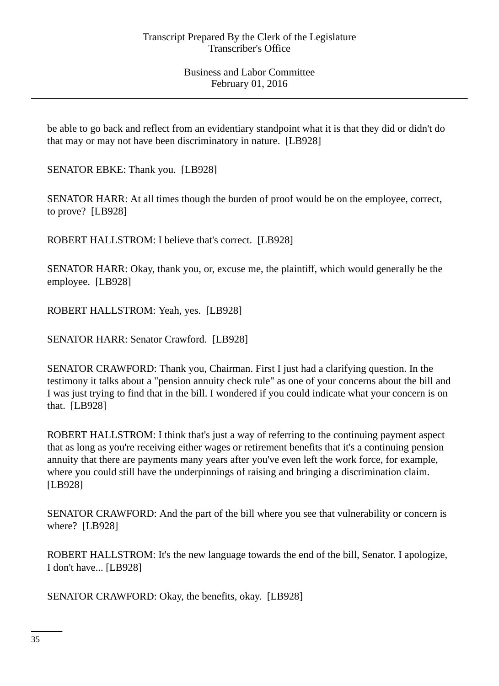be able to go back and reflect from an evidentiary standpoint what it is that they did or didn't do that may or may not have been discriminatory in nature. [LB928]

SENATOR EBKE: Thank you. [LB928]

SENATOR HARR: At all times though the burden of proof would be on the employee, correct, to prove? [LB928]

ROBERT HALLSTROM: I believe that's correct. [LB928]

SENATOR HARR: Okay, thank you, or, excuse me, the plaintiff, which would generally be the employee. [LB928]

ROBERT HALLSTROM: Yeah, yes. [LB928]

SENATOR HARR: Senator Crawford. [LB928]

SENATOR CRAWFORD: Thank you, Chairman. First I just had a clarifying question. In the testimony it talks about a "pension annuity check rule" as one of your concerns about the bill and I was just trying to find that in the bill. I wondered if you could indicate what your concern is on that. [LB928]

ROBERT HALLSTROM: I think that's just a way of referring to the continuing payment aspect that as long as you're receiving either wages or retirement benefits that it's a continuing pension annuity that there are payments many years after you've even left the work force, for example, where you could still have the underpinnings of raising and bringing a discrimination claim. [LB928]

SENATOR CRAWFORD: And the part of the bill where you see that vulnerability or concern is where? [LB928]

ROBERT HALLSTROM: It's the new language towards the end of the bill, Senator. I apologize, I don't have... [LB928]

SENATOR CRAWFORD: Okay, the benefits, okay. [LB928]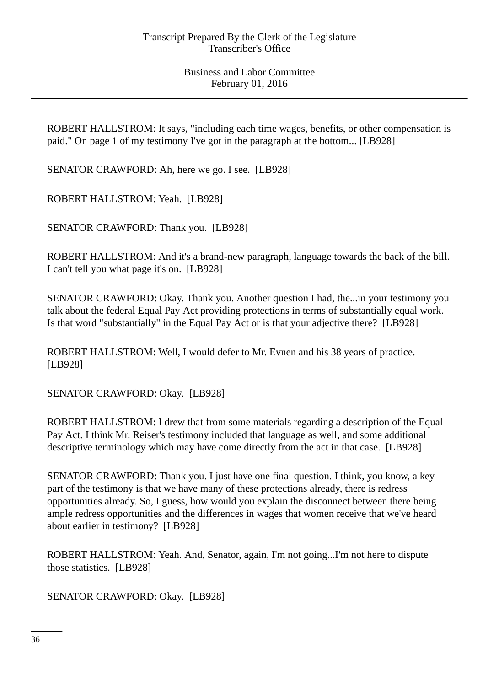ROBERT HALLSTROM: It says, "including each time wages, benefits, or other compensation is paid." On page 1 of my testimony I've got in the paragraph at the bottom... [LB928]

SENATOR CRAWFORD: Ah, here we go. I see. [LB928]

ROBERT HALLSTROM: Yeah. [LB928]

SENATOR CRAWFORD: Thank you. [LB928]

ROBERT HALLSTROM: And it's a brand-new paragraph, language towards the back of the bill. I can't tell you what page it's on. [LB928]

SENATOR CRAWFORD: Okay. Thank you. Another question I had, the...in your testimony you talk about the federal Equal Pay Act providing protections in terms of substantially equal work. Is that word "substantially" in the Equal Pay Act or is that your adjective there? [LB928]

ROBERT HALLSTROM: Well, I would defer to Mr. Evnen and his 38 years of practice. [LB928]

SENATOR CRAWFORD: Okay. [LB928]

ROBERT HALLSTROM: I drew that from some materials regarding a description of the Equal Pay Act. I think Mr. Reiser's testimony included that language as well, and some additional descriptive terminology which may have come directly from the act in that case. [LB928]

SENATOR CRAWFORD: Thank you. I just have one final question. I think, you know, a key part of the testimony is that we have many of these protections already, there is redress opportunities already. So, I guess, how would you explain the disconnect between there being ample redress opportunities and the differences in wages that women receive that we've heard about earlier in testimony? [LB928]

ROBERT HALLSTROM: Yeah. And, Senator, again, I'm not going...I'm not here to dispute those statistics. [LB928]

SENATOR CRAWFORD: Okay. [LB928]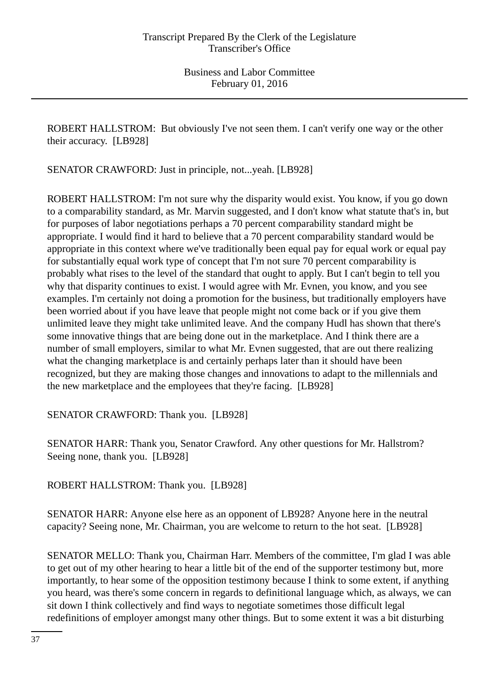ROBERT HALLSTROM: But obviously I've not seen them. I can't verify one way or the other their accuracy. [LB928]

SENATOR CRAWFORD: Just in principle, not...yeah. [LB928]

ROBERT HALLSTROM: I'm not sure why the disparity would exist. You know, if you go down to a comparability standard, as Mr. Marvin suggested, and I don't know what statute that's in, but for purposes of labor negotiations perhaps a 70 percent comparability standard might be appropriate. I would find it hard to believe that a 70 percent comparability standard would be appropriate in this context where we've traditionally been equal pay for equal work or equal pay for substantially equal work type of concept that I'm not sure 70 percent comparability is probably what rises to the level of the standard that ought to apply. But I can't begin to tell you why that disparity continues to exist. I would agree with Mr. Evnen, you know, and you see examples. I'm certainly not doing a promotion for the business, but traditionally employers have been worried about if you have leave that people might not come back or if you give them unlimited leave they might take unlimited leave. And the company Hudl has shown that there's some innovative things that are being done out in the marketplace. And I think there are a number of small employers, similar to what Mr. Evnen suggested, that are out there realizing what the changing marketplace is and certainly perhaps later than it should have been recognized, but they are making those changes and innovations to adapt to the millennials and the new marketplace and the employees that they're facing. [LB928]

SENATOR CRAWFORD: Thank you. [LB928]

SENATOR HARR: Thank you, Senator Crawford. Any other questions for Mr. Hallstrom? Seeing none, thank you. [LB928]

ROBERT HALLSTROM: Thank you. [LB928]

SENATOR HARR: Anyone else here as an opponent of LB928? Anyone here in the neutral capacity? Seeing none, Mr. Chairman, you are welcome to return to the hot seat. [LB928]

SENATOR MELLO: Thank you, Chairman Harr. Members of the committee, I'm glad I was able to get out of my other hearing to hear a little bit of the end of the supporter testimony but, more importantly, to hear some of the opposition testimony because I think to some extent, if anything you heard, was there's some concern in regards to definitional language which, as always, we can sit down I think collectively and find ways to negotiate sometimes those difficult legal redefinitions of employer amongst many other things. But to some extent it was a bit disturbing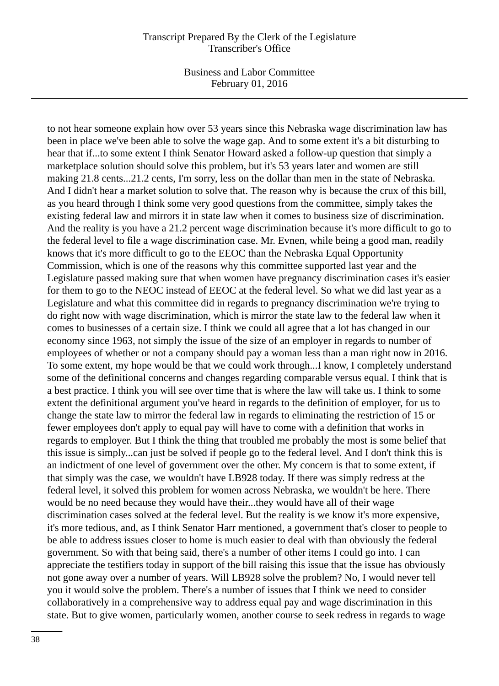Business and Labor Committee February 01, 2016

to not hear someone explain how over 53 years since this Nebraska wage discrimination law has been in place we've been able to solve the wage gap. And to some extent it's a bit disturbing to hear that if...to some extent I think Senator Howard asked a follow-up question that simply a marketplace solution should solve this problem, but it's 53 years later and women are still making 21.8 cents...21.2 cents, I'm sorry, less on the dollar than men in the state of Nebraska. And I didn't hear a market solution to solve that. The reason why is because the crux of this bill, as you heard through I think some very good questions from the committee, simply takes the existing federal law and mirrors it in state law when it comes to business size of discrimination. And the reality is you have a 21.2 percent wage discrimination because it's more difficult to go to the federal level to file a wage discrimination case. Mr. Evnen, while being a good man, readily knows that it's more difficult to go to the EEOC than the Nebraska Equal Opportunity Commission, which is one of the reasons why this committee supported last year and the Legislature passed making sure that when women have pregnancy discrimination cases it's easier for them to go to the NEOC instead of EEOC at the federal level. So what we did last year as a Legislature and what this committee did in regards to pregnancy discrimination we're trying to do right now with wage discrimination, which is mirror the state law to the federal law when it comes to businesses of a certain size. I think we could all agree that a lot has changed in our economy since 1963, not simply the issue of the size of an employer in regards to number of employees of whether or not a company should pay a woman less than a man right now in 2016. To some extent, my hope would be that we could work through...I know, I completely understand some of the definitional concerns and changes regarding comparable versus equal. I think that is a best practice. I think you will see over time that is where the law will take us. I think to some extent the definitional argument you've heard in regards to the definition of employer, for us to change the state law to mirror the federal law in regards to eliminating the restriction of 15 or fewer employees don't apply to equal pay will have to come with a definition that works in regards to employer. But I think the thing that troubled me probably the most is some belief that this issue is simply...can just be solved if people go to the federal level. And I don't think this is an indictment of one level of government over the other. My concern is that to some extent, if that simply was the case, we wouldn't have LB928 today. If there was simply redress at the federal level, it solved this problem for women across Nebraska, we wouldn't be here. There would be no need because they would have their...they would have all of their wage discrimination cases solved at the federal level. But the reality is we know it's more expensive, it's more tedious, and, as I think Senator Harr mentioned, a government that's closer to people to be able to address issues closer to home is much easier to deal with than obviously the federal government. So with that being said, there's a number of other items I could go into. I can appreciate the testifiers today in support of the bill raising this issue that the issue has obviously not gone away over a number of years. Will LB928 solve the problem? No, I would never tell you it would solve the problem. There's a number of issues that I think we need to consider collaboratively in a comprehensive way to address equal pay and wage discrimination in this state. But to give women, particularly women, another course to seek redress in regards to wage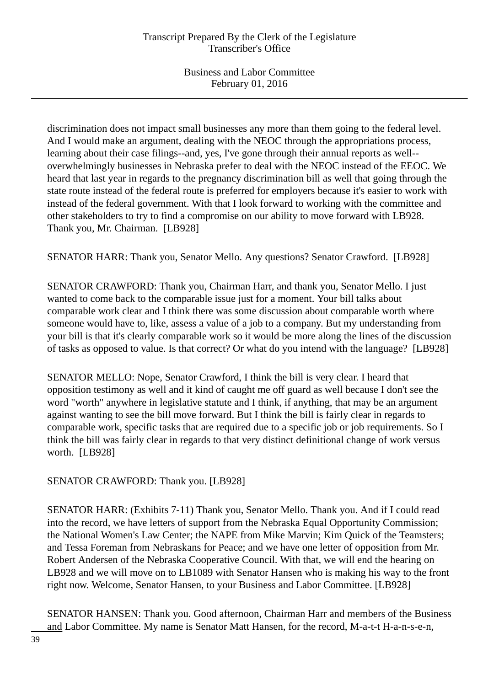discrimination does not impact small businesses any more than them going to the federal level. And I would make an argument, dealing with the NEOC through the appropriations process, learning about their case filings--and, yes, I've gone through their annual reports as well- overwhelmingly businesses in Nebraska prefer to deal with the NEOC instead of the EEOC. We heard that last year in regards to the pregnancy discrimination bill as well that going through the state route instead of the federal route is preferred for employers because it's easier to work with instead of the federal government. With that I look forward to working with the committee and other stakeholders to try to find a compromise on our ability to move forward with LB928. Thank you, Mr. Chairman. [LB928]

SENATOR HARR: Thank you, Senator Mello. Any questions? Senator Crawford. [LB928]

SENATOR CRAWFORD: Thank you, Chairman Harr, and thank you, Senator Mello. I just wanted to come back to the comparable issue just for a moment. Your bill talks about comparable work clear and I think there was some discussion about comparable worth where someone would have to, like, assess a value of a job to a company. But my understanding from your bill is that it's clearly comparable work so it would be more along the lines of the discussion of tasks as opposed to value. Is that correct? Or what do you intend with the language? [LB928]

SENATOR MELLO: Nope, Senator Crawford, I think the bill is very clear. I heard that opposition testimony as well and it kind of caught me off guard as well because I don't see the word "worth" anywhere in legislative statute and I think, if anything, that may be an argument against wanting to see the bill move forward. But I think the bill is fairly clear in regards to comparable work, specific tasks that are required due to a specific job or job requirements. So I think the bill was fairly clear in regards to that very distinct definitional change of work versus worth. [LB928]

SENATOR CRAWFORD: Thank you. [LB928]

SENATOR HARR: (Exhibits 7-11) Thank you, Senator Mello. Thank you. And if I could read into the record, we have letters of support from the Nebraska Equal Opportunity Commission; the National Women's Law Center; the NAPE from Mike Marvin; Kim Quick of the Teamsters; and Tessa Foreman from Nebraskans for Peace; and we have one letter of opposition from Mr. Robert Andersen of the Nebraska Cooperative Council. With that, we will end the hearing on LB928 and we will move on to LB1089 with Senator Hansen who is making his way to the front right now. Welcome, Senator Hansen, to your Business and Labor Committee. [LB928]

SENATOR HANSEN: Thank you. Good afternoon, Chairman Harr and members of the Business and Labor Committee. My name is Senator Matt Hansen, for the record, M-a-t-t H-a-n-s-e-n,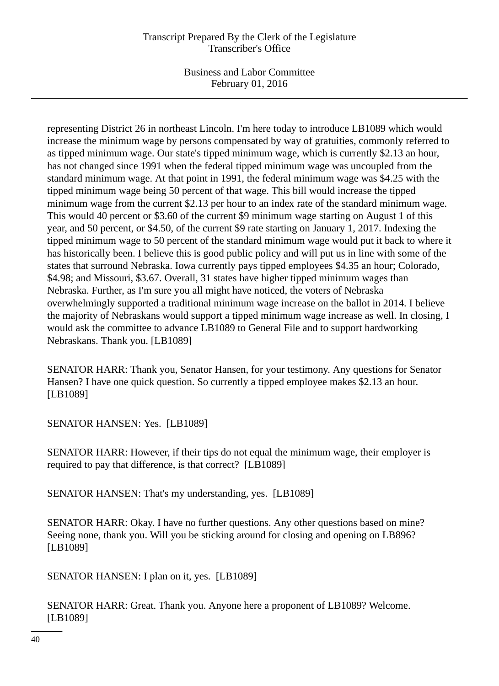Business and Labor Committee February 01, 2016

representing District 26 in northeast Lincoln. I'm here today to introduce LB1089 which would increase the minimum wage by persons compensated by way of gratuities, commonly referred to as tipped minimum wage. Our state's tipped minimum wage, which is currently \$2.13 an hour, has not changed since 1991 when the federal tipped minimum wage was uncoupled from the standard minimum wage. At that point in 1991, the federal minimum wage was \$4.25 with the tipped minimum wage being 50 percent of that wage. This bill would increase the tipped minimum wage from the current \$2.13 per hour to an index rate of the standard minimum wage. This would 40 percent or \$3.60 of the current \$9 minimum wage starting on August 1 of this year, and 50 percent, or \$4.50, of the current \$9 rate starting on January 1, 2017. Indexing the tipped minimum wage to 50 percent of the standard minimum wage would put it back to where it has historically been. I believe this is good public policy and will put us in line with some of the states that surround Nebraska. Iowa currently pays tipped employees \$4.35 an hour; Colorado, \$4.98; and Missouri, \$3.67. Overall, 31 states have higher tipped minimum wages than Nebraska. Further, as I'm sure you all might have noticed, the voters of Nebraska overwhelmingly supported a traditional minimum wage increase on the ballot in 2014. I believe the majority of Nebraskans would support a tipped minimum wage increase as well. In closing, I would ask the committee to advance LB1089 to General File and to support hardworking Nebraskans. Thank you. [LB1089]

SENATOR HARR: Thank you, Senator Hansen, for your testimony. Any questions for Senator Hansen? I have one quick question. So currently a tipped employee makes \$2.13 an hour. [LB1089]

SENATOR HANSEN: Yes. [LB1089]

SENATOR HARR: However, if their tips do not equal the minimum wage, their employer is required to pay that difference, is that correct? [LB1089]

SENATOR HANSEN: That's my understanding, yes. [LB1089]

SENATOR HARR: Okay. I have no further questions. Any other questions based on mine? Seeing none, thank you. Will you be sticking around for closing and opening on LB896? [LB1089]

SENATOR HANSEN: I plan on it, yes. [LB1089]

SENATOR HARR: Great. Thank you. Anyone here a proponent of LB1089? Welcome. [LB1089]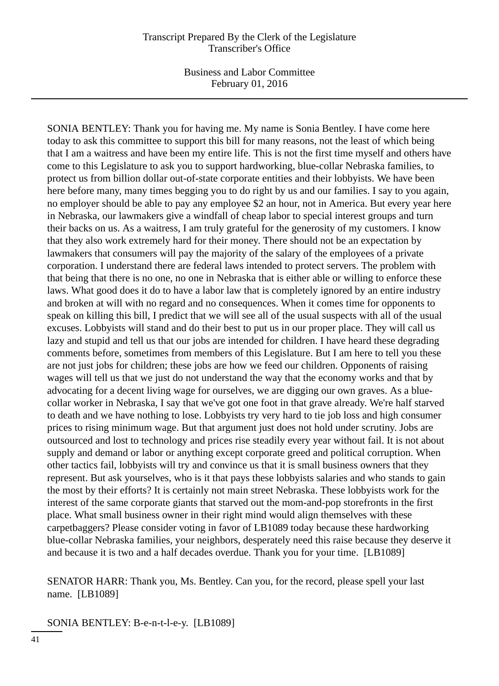SONIA BENTLEY: Thank you for having me. My name is Sonia Bentley. I have come here today to ask this committee to support this bill for many reasons, not the least of which being that I am a waitress and have been my entire life. This is not the first time myself and others have come to this Legislature to ask you to support hardworking, blue-collar Nebraska families, to protect us from billion dollar out-of-state corporate entities and their lobbyists. We have been here before many, many times begging you to do right by us and our families. I say to you again, no employer should be able to pay any employee \$2 an hour, not in America. But every year here in Nebraska, our lawmakers give a windfall of cheap labor to special interest groups and turn their backs on us. As a waitress, I am truly grateful for the generosity of my customers. I know that they also work extremely hard for their money. There should not be an expectation by lawmakers that consumers will pay the majority of the salary of the employees of a private corporation. I understand there are federal laws intended to protect servers. The problem with that being that there is no one, no one in Nebraska that is either able or willing to enforce these laws. What good does it do to have a labor law that is completely ignored by an entire industry and broken at will with no regard and no consequences. When it comes time for opponents to speak on killing this bill, I predict that we will see all of the usual suspects with all of the usual excuses. Lobbyists will stand and do their best to put us in our proper place. They will call us lazy and stupid and tell us that our jobs are intended for children. I have heard these degrading comments before, sometimes from members of this Legislature. But I am here to tell you these are not just jobs for children; these jobs are how we feed our children. Opponents of raising wages will tell us that we just do not understand the way that the economy works and that by advocating for a decent living wage for ourselves, we are digging our own graves. As a bluecollar worker in Nebraska, I say that we've got one foot in that grave already. We're half starved to death and we have nothing to lose. Lobbyists try very hard to tie job loss and high consumer prices to rising minimum wage. But that argument just does not hold under scrutiny. Jobs are outsourced and lost to technology and prices rise steadily every year without fail. It is not about supply and demand or labor or anything except corporate greed and political corruption. When other tactics fail, lobbyists will try and convince us that it is small business owners that they represent. But ask yourselves, who is it that pays these lobbyists salaries and who stands to gain the most by their efforts? It is certainly not main street Nebraska. These lobbyists work for the interest of the same corporate giants that starved out the mom-and-pop storefronts in the first place. What small business owner in their right mind would align themselves with these carpetbaggers? Please consider voting in favor of LB1089 today because these hardworking blue-collar Nebraska families, your neighbors, desperately need this raise because they deserve it and because it is two and a half decades overdue. Thank you for your time. [LB1089]

SENATOR HARR: Thank you, Ms. Bentley. Can you, for the record, please spell your last name. [LB1089]

SONIA BENTLEY: B-e-n-t-l-e-y. [LB1089]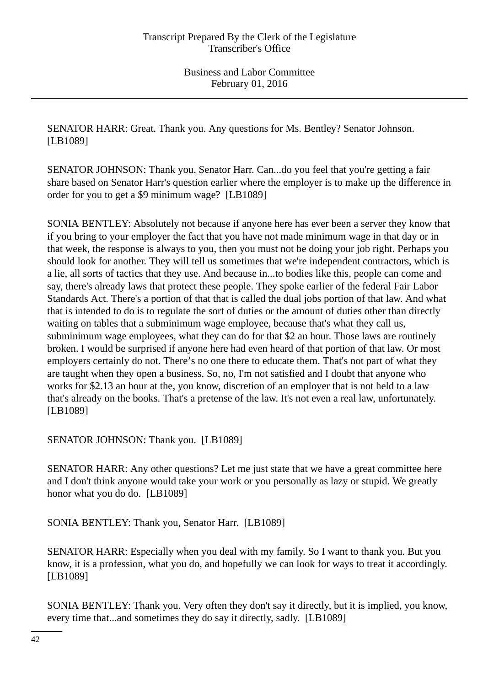SENATOR HARR: Great. Thank you. Any questions for Ms. Bentley? Senator Johnson. [LB1089]

SENATOR JOHNSON: Thank you, Senator Harr. Can...do you feel that you're getting a fair share based on Senator Harr's question earlier where the employer is to make up the difference in order for you to get a \$9 minimum wage? [LB1089]

SONIA BENTLEY: Absolutely not because if anyone here has ever been a server they know that if you bring to your employer the fact that you have not made minimum wage in that day or in that week, the response is always to you, then you must not be doing your job right. Perhaps you should look for another. They will tell us sometimes that we're independent contractors, which is a lie, all sorts of tactics that they use. And because in...to bodies like this, people can come and say, there's already laws that protect these people. They spoke earlier of the federal Fair Labor Standards Act. There's a portion of that that is called the dual jobs portion of that law. And what that is intended to do is to regulate the sort of duties or the amount of duties other than directly waiting on tables that a subminimum wage employee, because that's what they call us, subminimum wage employees, what they can do for that \$2 an hour. Those laws are routinely broken. I would be surprised if anyone here had even heard of that portion of that law. Or most employers certainly do not. There's no one there to educate them. That's not part of what they are taught when they open a business. So, no, I'm not satisfied and I doubt that anyone who works for \$2.13 an hour at the, you know, discretion of an employer that is not held to a law that's already on the books. That's a pretense of the law. It's not even a real law, unfortunately. [LB1089]

SENATOR JOHNSON: Thank you. [LB1089]

SENATOR HARR: Any other questions? Let me just state that we have a great committee here and I don't think anyone would take your work or you personally as lazy or stupid. We greatly honor what you do do. [LB1089]

SONIA BENTLEY: Thank you, Senator Harr. [LB1089]

SENATOR HARR: Especially when you deal with my family. So I want to thank you. But you know, it is a profession, what you do, and hopefully we can look for ways to treat it accordingly. [LB1089]

SONIA BENTLEY: Thank you. Very often they don't say it directly, but it is implied, you know, every time that...and sometimes they do say it directly, sadly. [LB1089]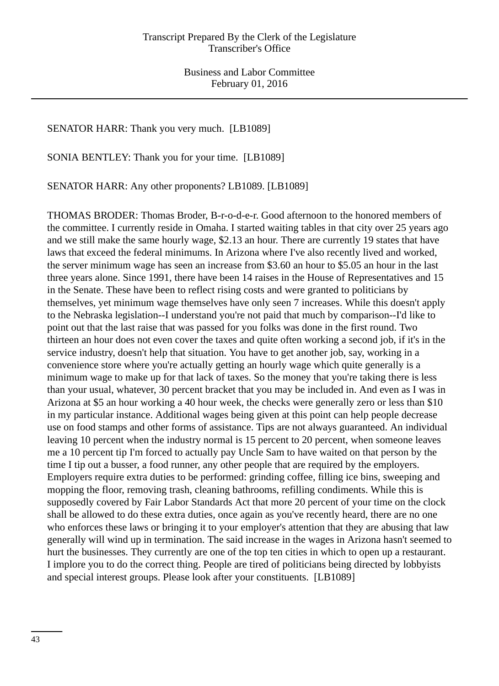### SENATOR HARR: Thank you very much. [LB1089]

SONIA BENTLEY: Thank you for your time. [LB1089]

SENATOR HARR: Any other proponents? LB1089. [LB1089]

THOMAS BRODER: Thomas Broder, B-r-o-d-e-r. Good afternoon to the honored members of the committee. I currently reside in Omaha. I started waiting tables in that city over 25 years ago and we still make the same hourly wage, \$2.13 an hour. There are currently 19 states that have laws that exceed the federal minimums. In Arizona where I've also recently lived and worked, the server minimum wage has seen an increase from \$3.60 an hour to \$5.05 an hour in the last three years alone. Since 1991, there have been 14 raises in the House of Representatives and 15 in the Senate. These have been to reflect rising costs and were granted to politicians by themselves, yet minimum wage themselves have only seen 7 increases. While this doesn't apply to the Nebraska legislation--I understand you're not paid that much by comparison--I'd like to point out that the last raise that was passed for you folks was done in the first round. Two thirteen an hour does not even cover the taxes and quite often working a second job, if it's in the service industry, doesn't help that situation. You have to get another job, say, working in a convenience store where you're actually getting an hourly wage which quite generally is a minimum wage to make up for that lack of taxes. So the money that you're taking there is less than your usual, whatever, 30 percent bracket that you may be included in. And even as I was in Arizona at \$5 an hour working a 40 hour week, the checks were generally zero or less than \$10 in my particular instance. Additional wages being given at this point can help people decrease use on food stamps and other forms of assistance. Tips are not always guaranteed. An individual leaving 10 percent when the industry normal is 15 percent to 20 percent, when someone leaves me a 10 percent tip I'm forced to actually pay Uncle Sam to have waited on that person by the time I tip out a busser, a food runner, any other people that are required by the employers. Employers require extra duties to be performed: grinding coffee, filling ice bins, sweeping and mopping the floor, removing trash, cleaning bathrooms, refilling condiments. While this is supposedly covered by Fair Labor Standards Act that more 20 percent of your time on the clock shall be allowed to do these extra duties, once again as you've recently heard, there are no one who enforces these laws or bringing it to your employer's attention that they are abusing that law generally will wind up in termination. The said increase in the wages in Arizona hasn't seemed to hurt the businesses. They currently are one of the top ten cities in which to open up a restaurant. I implore you to do the correct thing. People are tired of politicians being directed by lobbyists and special interest groups. Please look after your constituents. [LB1089]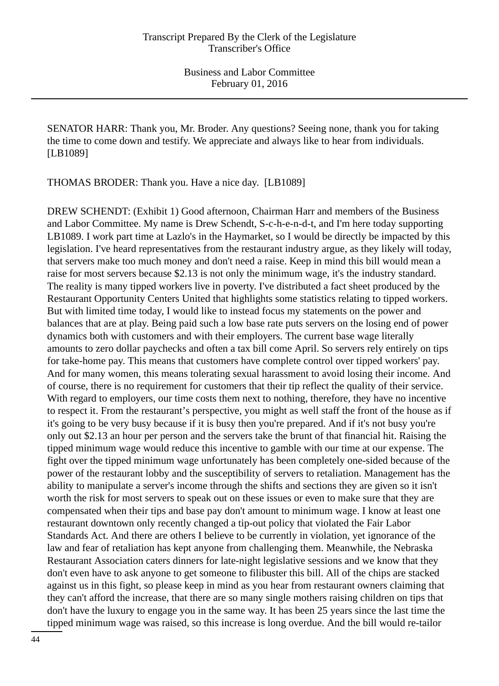SENATOR HARR: Thank you, Mr. Broder. Any questions? Seeing none, thank you for taking the time to come down and testify. We appreciate and always like to hear from individuals. [LB1089]

THOMAS BRODER: Thank you. Have a nice day. [LB1089]

DREW SCHENDT: (Exhibit 1) Good afternoon, Chairman Harr and members of the Business and Labor Committee. My name is Drew Schendt, S-c-h-e-n-d-t, and I'm here today supporting LB1089. I work part time at Lazlo's in the Haymarket, so I would be directly be impacted by this legislation. I've heard representatives from the restaurant industry argue, as they likely will today, that servers make too much money and don't need a raise. Keep in mind this bill would mean a raise for most servers because \$2.13 is not only the minimum wage, it's the industry standard. The reality is many tipped workers live in poverty. I've distributed a fact sheet produced by the Restaurant Opportunity Centers United that highlights some statistics relating to tipped workers. But with limited time today, I would like to instead focus my statements on the power and balances that are at play. Being paid such a low base rate puts servers on the losing end of power dynamics both with customers and with their employers. The current base wage literally amounts to zero dollar paychecks and often a tax bill come April. So servers rely entirely on tips for take-home pay. This means that customers have complete control over tipped workers' pay. And for many women, this means tolerating sexual harassment to avoid losing their income. And of course, there is no requirement for customers that their tip reflect the quality of their service. With regard to employers, our time costs them next to nothing, therefore, they have no incentive to respect it. From the restaurant's perspective, you might as well staff the front of the house as if it's going to be very busy because if it is busy then you're prepared. And if it's not busy you're only out \$2.13 an hour per person and the servers take the brunt of that financial hit. Raising the tipped minimum wage would reduce this incentive to gamble with our time at our expense. The fight over the tipped minimum wage unfortunately has been completely one-sided because of the power of the restaurant lobby and the susceptibility of servers to retaliation. Management has the ability to manipulate a server's income through the shifts and sections they are given so it isn't worth the risk for most servers to speak out on these issues or even to make sure that they are compensated when their tips and base pay don't amount to minimum wage. I know at least one restaurant downtown only recently changed a tip-out policy that violated the Fair Labor Standards Act. And there are others I believe to be currently in violation, yet ignorance of the law and fear of retaliation has kept anyone from challenging them. Meanwhile, the Nebraska Restaurant Association caters dinners for late-night legislative sessions and we know that they don't even have to ask anyone to get someone to filibuster this bill. All of the chips are stacked against us in this fight, so please keep in mind as you hear from restaurant owners claiming that they can't afford the increase, that there are so many single mothers raising children on tips that don't have the luxury to engage you in the same way. It has been 25 years since the last time the tipped minimum wage was raised, so this increase is long overdue. And the bill would re-tailor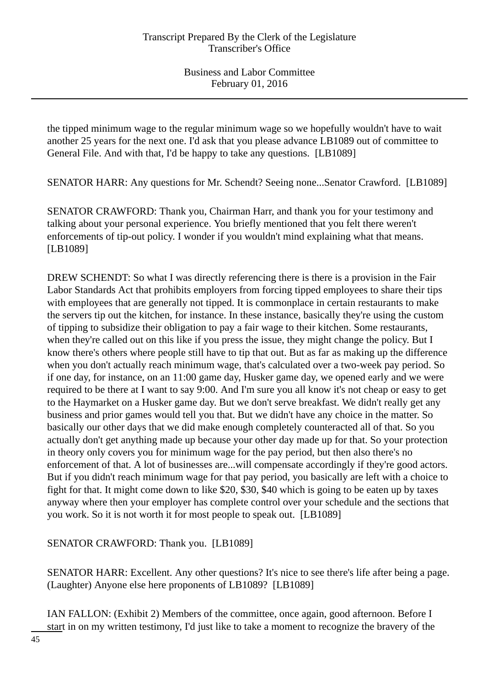the tipped minimum wage to the regular minimum wage so we hopefully wouldn't have to wait another 25 years for the next one. I'd ask that you please advance LB1089 out of committee to General File. And with that, I'd be happy to take any questions. [LB1089]

SENATOR HARR: Any questions for Mr. Schendt? Seeing none...Senator Crawford. [LB1089]

SENATOR CRAWFORD: Thank you, Chairman Harr, and thank you for your testimony and talking about your personal experience. You briefly mentioned that you felt there weren't enforcements of tip-out policy. I wonder if you wouldn't mind explaining what that means. [LB1089]

DREW SCHENDT: So what I was directly referencing there is there is a provision in the Fair Labor Standards Act that prohibits employers from forcing tipped employees to share their tips with employees that are generally not tipped. It is commonplace in certain restaurants to make the servers tip out the kitchen, for instance. In these instance, basically they're using the custom of tipping to subsidize their obligation to pay a fair wage to their kitchen. Some restaurants, when they're called out on this like if you press the issue, they might change the policy. But I know there's others where people still have to tip that out. But as far as making up the difference when you don't actually reach minimum wage, that's calculated over a two-week pay period. So if one day, for instance, on an 11:00 game day, Husker game day, we opened early and we were required to be there at I want to say 9:00. And I'm sure you all know it's not cheap or easy to get to the Haymarket on a Husker game day. But we don't serve breakfast. We didn't really get any business and prior games would tell you that. But we didn't have any choice in the matter. So basically our other days that we did make enough completely counteracted all of that. So you actually don't get anything made up because your other day made up for that. So your protection in theory only covers you for minimum wage for the pay period, but then also there's no enforcement of that. A lot of businesses are...will compensate accordingly if they're good actors. But if you didn't reach minimum wage for that pay period, you basically are left with a choice to fight for that. It might come down to like \$20, \$30, \$40 which is going to be eaten up by taxes anyway where then your employer has complete control over your schedule and the sections that you work. So it is not worth it for most people to speak out. [LB1089]

SENATOR CRAWFORD: Thank you. [LB1089]

SENATOR HARR: Excellent. Any other questions? It's nice to see there's life after being a page. (Laughter) Anyone else here proponents of LB1089? [LB1089]

IAN FALLON: (Exhibit 2) Members of the committee, once again, good afternoon. Before I start in on my written testimony, I'd just like to take a moment to recognize the bravery of the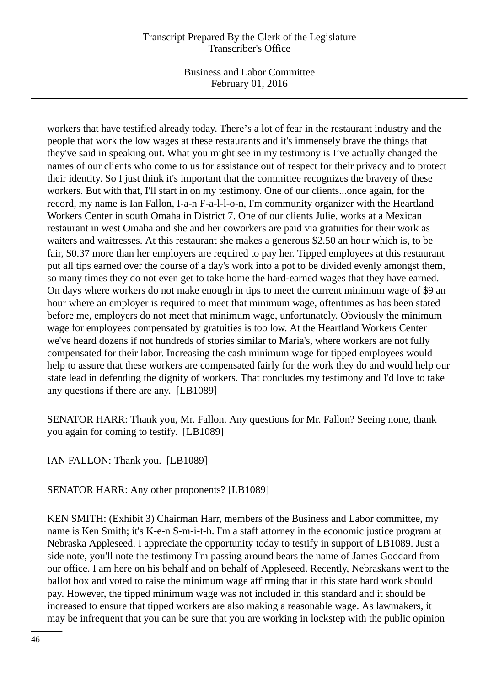Business and Labor Committee February 01, 2016

workers that have testified already today. There's a lot of fear in the restaurant industry and the people that work the low wages at these restaurants and it's immensely brave the things that they've said in speaking out. What you might see in my testimony is I've actually changed the names of our clients who come to us for assistance out of respect for their privacy and to protect their identity. So I just think it's important that the committee recognizes the bravery of these workers. But with that, I'll start in on my testimony. One of our clients...once again, for the record, my name is Ian Fallon, I-a-n F-a-l-l-o-n, I'm community organizer with the Heartland Workers Center in south Omaha in District 7. One of our clients Julie, works at a Mexican restaurant in west Omaha and she and her coworkers are paid via gratuities for their work as waiters and waitresses. At this restaurant she makes a generous \$2.50 an hour which is, to be fair, \$0.37 more than her employers are required to pay her. Tipped employees at this restaurant put all tips earned over the course of a day's work into a pot to be divided evenly amongst them, so many times they do not even get to take home the hard-earned wages that they have earned. On days where workers do not make enough in tips to meet the current minimum wage of \$9 an hour where an employer is required to meet that minimum wage, oftentimes as has been stated before me, employers do not meet that minimum wage, unfortunately. Obviously the minimum wage for employees compensated by gratuities is too low. At the Heartland Workers Center we've heard dozens if not hundreds of stories similar to Maria's, where workers are not fully compensated for their labor. Increasing the cash minimum wage for tipped employees would help to assure that these workers are compensated fairly for the work they do and would help our state lead in defending the dignity of workers. That concludes my testimony and I'd love to take any questions if there are any. [LB1089]

SENATOR HARR: Thank you, Mr. Fallon. Any questions for Mr. Fallon? Seeing none, thank you again for coming to testify. [LB1089]

IAN FALLON: Thank you. [LB1089]

SENATOR HARR: Any other proponents? [LB1089]

KEN SMITH: (Exhibit 3) Chairman Harr, members of the Business and Labor committee, my name is Ken Smith; it's K-e-n S-m-i-t-h. I'm a staff attorney in the economic justice program at Nebraska Appleseed. I appreciate the opportunity today to testify in support of LB1089. Just a side note, you'll note the testimony I'm passing around bears the name of James Goddard from our office. I am here on his behalf and on behalf of Appleseed. Recently, Nebraskans went to the ballot box and voted to raise the minimum wage affirming that in this state hard work should pay. However, the tipped minimum wage was not included in this standard and it should be increased to ensure that tipped workers are also making a reasonable wage. As lawmakers, it may be infrequent that you can be sure that you are working in lockstep with the public opinion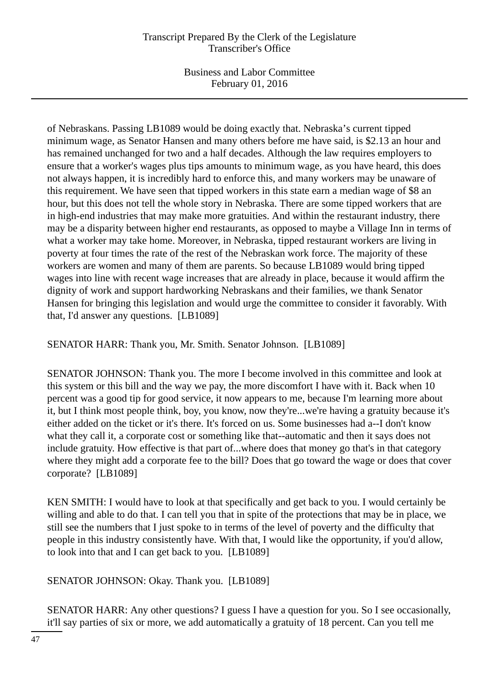Business and Labor Committee February 01, 2016

of Nebraskans. Passing LB1089 would be doing exactly that. Nebraska's current tipped minimum wage, as Senator Hansen and many others before me have said, is \$2.13 an hour and has remained unchanged for two and a half decades. Although the law requires employers to ensure that a worker's wages plus tips amounts to minimum wage, as you have heard, this does not always happen, it is incredibly hard to enforce this, and many workers may be unaware of this requirement. We have seen that tipped workers in this state earn a median wage of \$8 an hour, but this does not tell the whole story in Nebraska. There are some tipped workers that are in high-end industries that may make more gratuities. And within the restaurant industry, there may be a disparity between higher end restaurants, as opposed to maybe a Village Inn in terms of what a worker may take home. Moreover, in Nebraska, tipped restaurant workers are living in poverty at four times the rate of the rest of the Nebraskan work force. The majority of these workers are women and many of them are parents. So because LB1089 would bring tipped wages into line with recent wage increases that are already in place, because it would affirm the dignity of work and support hardworking Nebraskans and their families, we thank Senator Hansen for bringing this legislation and would urge the committee to consider it favorably. With that, I'd answer any questions. [LB1089]

SENATOR HARR: Thank you, Mr. Smith. Senator Johnson. [LB1089]

SENATOR JOHNSON: Thank you. The more I become involved in this committee and look at this system or this bill and the way we pay, the more discomfort I have with it. Back when 10 percent was a good tip for good service, it now appears to me, because I'm learning more about it, but I think most people think, boy, you know, now they're...we're having a gratuity because it's either added on the ticket or it's there. It's forced on us. Some businesses had a--I don't know what they call it, a corporate cost or something like that--automatic and then it says does not include gratuity. How effective is that part of...where does that money go that's in that category where they might add a corporate fee to the bill? Does that go toward the wage or does that cover corporate? [LB1089]

KEN SMITH: I would have to look at that specifically and get back to you. I would certainly be willing and able to do that. I can tell you that in spite of the protections that may be in place, we still see the numbers that I just spoke to in terms of the level of poverty and the difficulty that people in this industry consistently have. With that, I would like the opportunity, if you'd allow, to look into that and I can get back to you. [LB1089]

SENATOR JOHNSON: Okay. Thank you. [LB1089]

SENATOR HARR: Any other questions? I guess I have a question for you. So I see occasionally, it'll say parties of six or more, we add automatically a gratuity of 18 percent. Can you tell me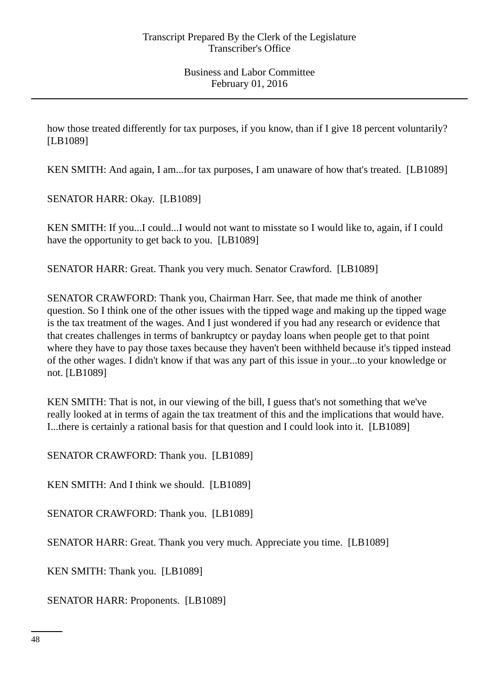how those treated differently for tax purposes, if you know, than if I give 18 percent voluntarily? [LB1089]

KEN SMITH: And again, I am...for tax purposes, I am unaware of how that's treated. [LB1089]

SENATOR HARR: Okay. [LB1089]

KEN SMITH: If you...I could...I would not want to misstate so I would like to, again, if I could have the opportunity to get back to you. [LB1089]

SENATOR HARR: Great. Thank you very much. Senator Crawford. [LB1089]

SENATOR CRAWFORD: Thank you, Chairman Harr. See, that made me think of another question. So I think one of the other issues with the tipped wage and making up the tipped wage is the tax treatment of the wages. And I just wondered if you had any research or evidence that that creates challenges in terms of bankruptcy or payday loans when people get to that point where they have to pay those taxes because they haven't been withheld because it's tipped instead of the other wages. I didn't know if that was any part of this issue in your...to your knowledge or not. [LB1089]

KEN SMITH: That is not, in our viewing of the bill, I guess that's not something that we've really looked at in terms of again the tax treatment of this and the implications that would have. I...there is certainly a rational basis for that question and I could look into it. [LB1089]

SENATOR CRAWFORD: Thank you. [LB1089]

KEN SMITH: And I think we should. [LB1089]

SENATOR CRAWFORD: Thank you. [LB1089]

SENATOR HARR: Great. Thank you very much. Appreciate you time. [LB1089]

KEN SMITH: Thank you. [LB1089]

SENATOR HARR: Proponents. [LB1089]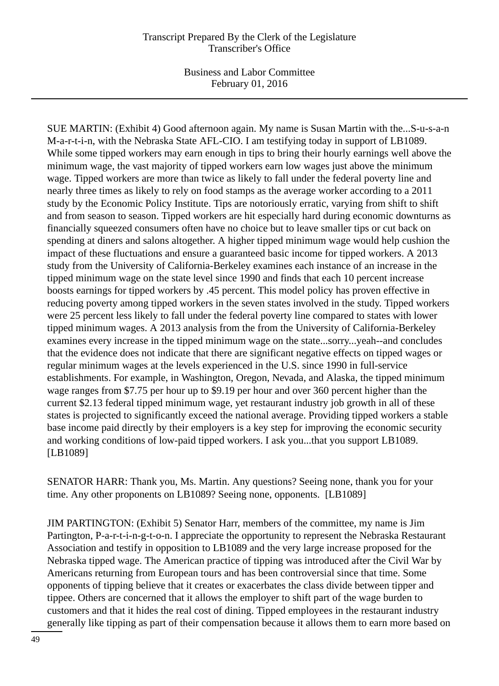Business and Labor Committee February 01, 2016

SUE MARTIN: (Exhibit 4) Good afternoon again. My name is Susan Martin with the...S-u-s-a-n M-a-r-t-i-n, with the Nebraska State AFL-CIO. I am testifying today in support of LB1089. While some tipped workers may earn enough in tips to bring their hourly earnings well above the minimum wage, the vast majority of tipped workers earn low wages just above the minimum wage. Tipped workers are more than twice as likely to fall under the federal poverty line and nearly three times as likely to rely on food stamps as the average worker according to a 2011 study by the Economic Policy Institute. Tips are notoriously erratic, varying from shift to shift and from season to season. Tipped workers are hit especially hard during economic downturns as financially squeezed consumers often have no choice but to leave smaller tips or cut back on spending at diners and salons altogether. A higher tipped minimum wage would help cushion the impact of these fluctuations and ensure a guaranteed basic income for tipped workers. A 2013 study from the University of California-Berkeley examines each instance of an increase in the tipped minimum wage on the state level since 1990 and finds that each 10 percent increase boosts earnings for tipped workers by .45 percent. This model policy has proven effective in reducing poverty among tipped workers in the seven states involved in the study. Tipped workers were 25 percent less likely to fall under the federal poverty line compared to states with lower tipped minimum wages. A 2013 analysis from the from the University of California-Berkeley examines every increase in the tipped minimum wage on the state...sorry...yeah--and concludes that the evidence does not indicate that there are significant negative effects on tipped wages or regular minimum wages at the levels experienced in the U.S. since 1990 in full-service establishments. For example, in Washington, Oregon, Nevada, and Alaska, the tipped minimum wage ranges from \$7.75 per hour up to \$9.19 per hour and over 360 percent higher than the current \$2.13 federal tipped minimum wage, yet restaurant industry job growth in all of these states is projected to significantly exceed the national average. Providing tipped workers a stable base income paid directly by their employers is a key step for improving the economic security and working conditions of low-paid tipped workers. I ask you...that you support LB1089. [LB1089]

SENATOR HARR: Thank you, Ms. Martin. Any questions? Seeing none, thank you for your time. Any other proponents on LB1089? Seeing none, opponents. [LB1089]

JIM PARTINGTON: (Exhibit 5) Senator Harr, members of the committee, my name is Jim Partington, P-a-r-t-i-n-g-t-o-n. I appreciate the opportunity to represent the Nebraska Restaurant Association and testify in opposition to LB1089 and the very large increase proposed for the Nebraska tipped wage. The American practice of tipping was introduced after the Civil War by Americans returning from European tours and has been controversial since that time. Some opponents of tipping believe that it creates or exacerbates the class divide between tipper and tippee. Others are concerned that it allows the employer to shift part of the wage burden to customers and that it hides the real cost of dining. Tipped employees in the restaurant industry generally like tipping as part of their compensation because it allows them to earn more based on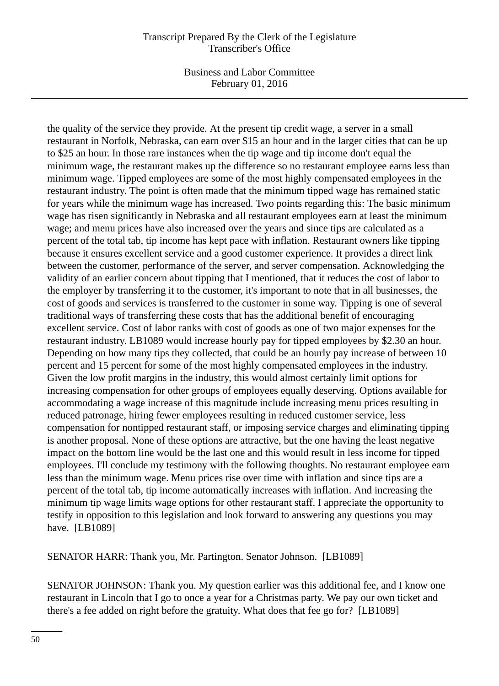Business and Labor Committee February 01, 2016

the quality of the service they provide. At the present tip credit wage, a server in a small restaurant in Norfolk, Nebraska, can earn over \$15 an hour and in the larger cities that can be up to \$25 an hour. In those rare instances when the tip wage and tip income don't equal the minimum wage, the restaurant makes up the difference so no restaurant employee earns less than minimum wage. Tipped employees are some of the most highly compensated employees in the restaurant industry. The point is often made that the minimum tipped wage has remained static for years while the minimum wage has increased. Two points regarding this: The basic minimum wage has risen significantly in Nebraska and all restaurant employees earn at least the minimum wage; and menu prices have also increased over the years and since tips are calculated as a percent of the total tab, tip income has kept pace with inflation. Restaurant owners like tipping because it ensures excellent service and a good customer experience. It provides a direct link between the customer, performance of the server, and server compensation. Acknowledging the validity of an earlier concern about tipping that I mentioned, that it reduces the cost of labor to the employer by transferring it to the customer, it's important to note that in all businesses, the cost of goods and services is transferred to the customer in some way. Tipping is one of several traditional ways of transferring these costs that has the additional benefit of encouraging excellent service. Cost of labor ranks with cost of goods as one of two major expenses for the restaurant industry. LB1089 would increase hourly pay for tipped employees by \$2.30 an hour. Depending on how many tips they collected, that could be an hourly pay increase of between 10 percent and 15 percent for some of the most highly compensated employees in the industry. Given the low profit margins in the industry, this would almost certainly limit options for increasing compensation for other groups of employees equally deserving. Options available for accommodating a wage increase of this magnitude include increasing menu prices resulting in reduced patronage, hiring fewer employees resulting in reduced customer service, less compensation for nontipped restaurant staff, or imposing service charges and eliminating tipping is another proposal. None of these options are attractive, but the one having the least negative impact on the bottom line would be the last one and this would result in less income for tipped employees. I'll conclude my testimony with the following thoughts. No restaurant employee earn less than the minimum wage. Menu prices rise over time with inflation and since tips are a percent of the total tab, tip income automatically increases with inflation. And increasing the minimum tip wage limits wage options for other restaurant staff. I appreciate the opportunity to testify in opposition to this legislation and look forward to answering any questions you may have. [LB1089]

SENATOR HARR: Thank you, Mr. Partington. Senator Johnson. [LB1089]

SENATOR JOHNSON: Thank you. My question earlier was this additional fee, and I know one restaurant in Lincoln that I go to once a year for a Christmas party. We pay our own ticket and there's a fee added on right before the gratuity. What does that fee go for? [LB1089]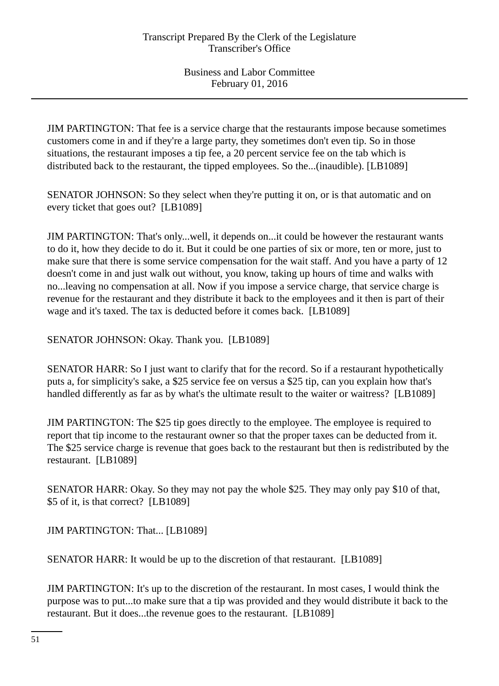JIM PARTINGTON: That fee is a service charge that the restaurants impose because sometimes customers come in and if they're a large party, they sometimes don't even tip. So in those situations, the restaurant imposes a tip fee, a 20 percent service fee on the tab which is distributed back to the restaurant, the tipped employees. So the...(inaudible). [LB1089]

SENATOR JOHNSON: So they select when they're putting it on, or is that automatic and on every ticket that goes out? [LB1089]

JIM PARTINGTON: That's only...well, it depends on...it could be however the restaurant wants to do it, how they decide to do it. But it could be one parties of six or more, ten or more, just to make sure that there is some service compensation for the wait staff. And you have a party of 12 doesn't come in and just walk out without, you know, taking up hours of time and walks with no...leaving no compensation at all. Now if you impose a service charge, that service charge is revenue for the restaurant and they distribute it back to the employees and it then is part of their wage and it's taxed. The tax is deducted before it comes back. [LB1089]

SENATOR JOHNSON: Okay. Thank you. [LB1089]

SENATOR HARR: So I just want to clarify that for the record. So if a restaurant hypothetically puts a, for simplicity's sake, a \$25 service fee on versus a \$25 tip, can you explain how that's handled differently as far as by what's the ultimate result to the waiter or waitress? [LB1089]

JIM PARTINGTON: The \$25 tip goes directly to the employee. The employee is required to report that tip income to the restaurant owner so that the proper taxes can be deducted from it. The \$25 service charge is revenue that goes back to the restaurant but then is redistributed by the restaurant. [LB1089]

SENATOR HARR: Okay. So they may not pay the whole \$25. They may only pay \$10 of that, \$5 of it, is that correct? [LB1089]

JIM PARTINGTON: That... [LB1089]

SENATOR HARR: It would be up to the discretion of that restaurant. [LB1089]

JIM PARTINGTON: It's up to the discretion of the restaurant. In most cases, I would think the purpose was to put...to make sure that a tip was provided and they would distribute it back to the restaurant. But it does...the revenue goes to the restaurant. [LB1089]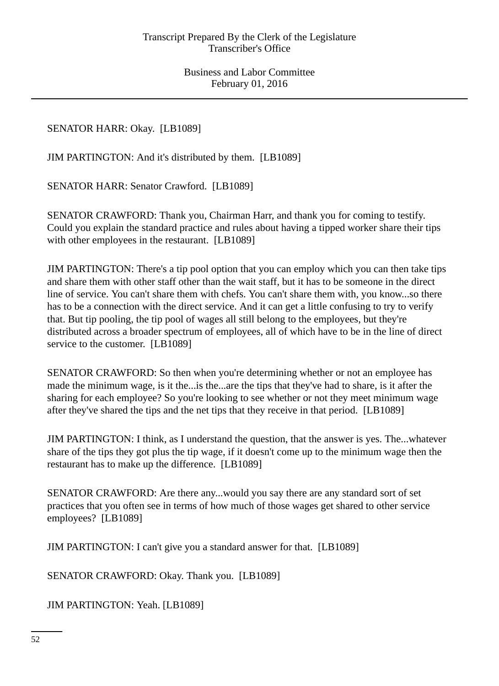SENATOR HARR: Okay. [LB1089]

JIM PARTINGTON: And it's distributed by them. [LB1089]

SENATOR HARR: Senator Crawford. [LB1089]

SENATOR CRAWFORD: Thank you, Chairman Harr, and thank you for coming to testify. Could you explain the standard practice and rules about having a tipped worker share their tips with other employees in the restaurant. [LB1089]

JIM PARTINGTON: There's a tip pool option that you can employ which you can then take tips and share them with other staff other than the wait staff, but it has to be someone in the direct line of service. You can't share them with chefs. You can't share them with, you know...so there has to be a connection with the direct service. And it can get a little confusing to try to verify that. But tip pooling, the tip pool of wages all still belong to the employees, but they're distributed across a broader spectrum of employees, all of which have to be in the line of direct service to the customer. [LB1089]

SENATOR CRAWFORD: So then when you're determining whether or not an employee has made the minimum wage, is it the...is the...are the tips that they've had to share, is it after the sharing for each employee? So you're looking to see whether or not they meet minimum wage after they've shared the tips and the net tips that they receive in that period. [LB1089]

JIM PARTINGTON: I think, as I understand the question, that the answer is yes. The...whatever share of the tips they got plus the tip wage, if it doesn't come up to the minimum wage then the restaurant has to make up the difference. [LB1089]

SENATOR CRAWFORD: Are there any...would you say there are any standard sort of set practices that you often see in terms of how much of those wages get shared to other service employees? [LB1089]

JIM PARTINGTON: I can't give you a standard answer for that. [LB1089]

SENATOR CRAWFORD: Okay. Thank you. [LB1089]

JIM PARTINGTON: Yeah. [LB1089]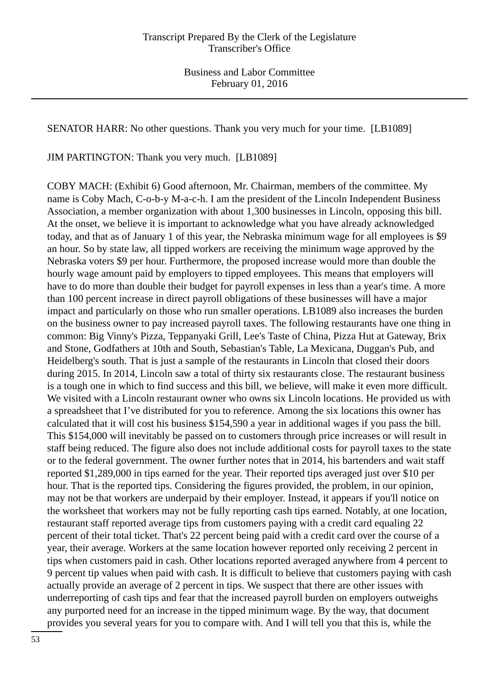SENATOR HARR: No other questions. Thank you very much for your time. [LB1089]

JIM PARTINGTON: Thank you very much. [LB1089]

COBY MACH: (Exhibit 6) Good afternoon, Mr. Chairman, members of the committee. My name is Coby Mach, C-o-b-y M-a-c-h. I am the president of the Lincoln Independent Business Association, a member organization with about 1,300 businesses in Lincoln, opposing this bill. At the onset, we believe it is important to acknowledge what you have already acknowledged today, and that as of January 1 of this year, the Nebraska minimum wage for all employees is \$9 an hour. So by state law, all tipped workers are receiving the minimum wage approved by the Nebraska voters \$9 per hour. Furthermore, the proposed increase would more than double the hourly wage amount paid by employers to tipped employees. This means that employers will have to do more than double their budget for payroll expenses in less than a year's time. A more than 100 percent increase in direct payroll obligations of these businesses will have a major impact and particularly on those who run smaller operations. LB1089 also increases the burden on the business owner to pay increased payroll taxes. The following restaurants have one thing in common: Big Vinny's Pizza, Teppanyaki Grill, Lee's Taste of China, Pizza Hut at Gateway, Brix and Stone, Godfathers at 10th and South, Sebastian's Table, La Mexicana, Duggan's Pub, and Heidelberg's south. That is just a sample of the restaurants in Lincoln that closed their doors during 2015. In 2014, Lincoln saw a total of thirty six restaurants close. The restaurant business is a tough one in which to find success and this bill, we believe, will make it even more difficult. We visited with a Lincoln restaurant owner who owns six Lincoln locations. He provided us with a spreadsheet that I've distributed for you to reference. Among the six locations this owner has calculated that it will cost his business \$154,590 a year in additional wages if you pass the bill. This \$154,000 will inevitably be passed on to customers through price increases or will result in staff being reduced. The figure also does not include additional costs for payroll taxes to the state or to the federal government. The owner further notes that in 2014, his bartenders and wait staff reported \$1,289,000 in tips earned for the year. Their reported tips averaged just over \$10 per hour. That is the reported tips. Considering the figures provided, the problem, in our opinion, may not be that workers are underpaid by their employer. Instead, it appears if you'll notice on the worksheet that workers may not be fully reporting cash tips earned. Notably, at one location, restaurant staff reported average tips from customers paying with a credit card equaling 22 percent of their total ticket. That's 22 percent being paid with a credit card over the course of a year, their average. Workers at the same location however reported only receiving 2 percent in tips when customers paid in cash. Other locations reported averaged anywhere from 4 percent to 9 percent tip values when paid with cash. It is difficult to believe that customers paying with cash actually provide an average of 2 percent in tips. We suspect that there are other issues with underreporting of cash tips and fear that the increased payroll burden on employers outweighs any purported need for an increase in the tipped minimum wage. By the way, that document provides you several years for you to compare with. And I will tell you that this is, while the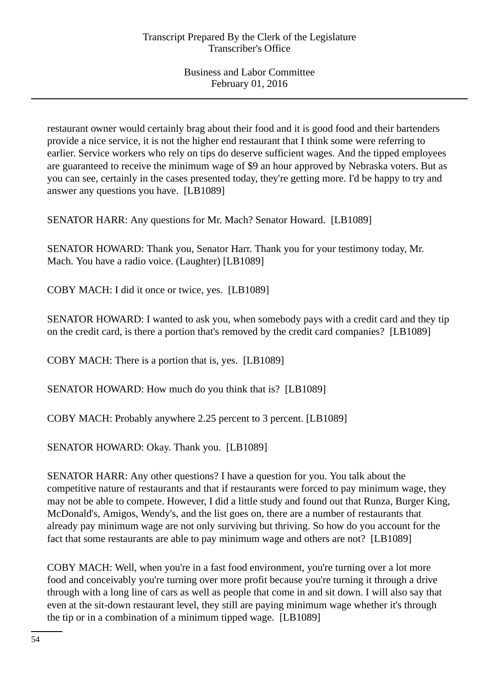restaurant owner would certainly brag about their food and it is good food and their bartenders provide a nice service, it is not the higher end restaurant that I think some were referring to earlier. Service workers who rely on tips do deserve sufficient wages. And the tipped employees are guaranteed to receive the minimum wage of \$9 an hour approved by Nebraska voters. But as you can see, certainly in the cases presented today, they're getting more. I'd be happy to try and answer any questions you have. [LB1089]

SENATOR HARR: Any questions for Mr. Mach? Senator Howard. [LB1089]

SENATOR HOWARD: Thank you, Senator Harr. Thank you for your testimony today, Mr. Mach. You have a radio voice. (Laughter) [LB1089]

COBY MACH: I did it once or twice, yes. [LB1089]

SENATOR HOWARD: I wanted to ask you, when somebody pays with a credit card and they tip on the credit card, is there a portion that's removed by the credit card companies? [LB1089]

COBY MACH: There is a portion that is, yes. [LB1089]

SENATOR HOWARD: How much do you think that is? [LB1089]

COBY MACH: Probably anywhere 2.25 percent to 3 percent. [LB1089]

SENATOR HOWARD: Okay. Thank you. [LB1089]

SENATOR HARR: Any other questions? I have a question for you. You talk about the competitive nature of restaurants and that if restaurants were forced to pay minimum wage, they may not be able to compete. However, I did a little study and found out that Runza, Burger King, McDonald's, Amigos, Wendy's, and the list goes on, there are a number of restaurants that already pay minimum wage are not only surviving but thriving. So how do you account for the fact that some restaurants are able to pay minimum wage and others are not? [LB1089]

COBY MACH: Well, when you're in a fast food environment, you're turning over a lot more food and conceivably you're turning over more profit because you're turning it through a drive through with a long line of cars as well as people that come in and sit down. I will also say that even at the sit-down restaurant level, they still are paying minimum wage whether it's through the tip or in a combination of a minimum tipped wage. [LB1089]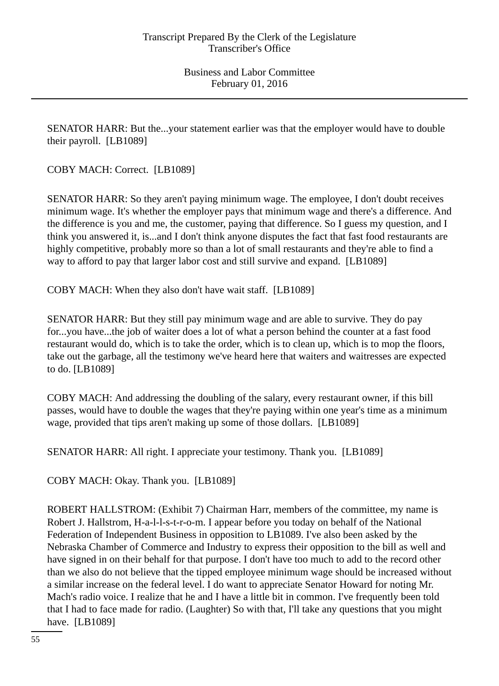SENATOR HARR: But the...your statement earlier was that the employer would have to double their payroll. [LB1089]

COBY MACH: Correct. [LB1089]

SENATOR HARR: So they aren't paying minimum wage. The employee, I don't doubt receives minimum wage. It's whether the employer pays that minimum wage and there's a difference. And the difference is you and me, the customer, paying that difference. So I guess my question, and I think you answered it, is...and I don't think anyone disputes the fact that fast food restaurants are highly competitive, probably more so than a lot of small restaurants and they're able to find a way to afford to pay that larger labor cost and still survive and expand. [LB1089]

COBY MACH: When they also don't have wait staff. [LB1089]

SENATOR HARR: But they still pay minimum wage and are able to survive. They do pay for...you have...the job of waiter does a lot of what a person behind the counter at a fast food restaurant would do, which is to take the order, which is to clean up, which is to mop the floors, take out the garbage, all the testimony we've heard here that waiters and waitresses are expected to do. [LB1089]

COBY MACH: And addressing the doubling of the salary, every restaurant owner, if this bill passes, would have to double the wages that they're paying within one year's time as a minimum wage, provided that tips aren't making up some of those dollars. [LB1089]

SENATOR HARR: All right. I appreciate your testimony. Thank you. [LB1089]

COBY MACH: Okay. Thank you. [LB1089]

ROBERT HALLSTROM: (Exhibit 7) Chairman Harr, members of the committee, my name is Robert J. Hallstrom, H-a-l-l-s-t-r-o-m. I appear before you today on behalf of the National Federation of Independent Business in opposition to LB1089. I've also been asked by the Nebraska Chamber of Commerce and Industry to express their opposition to the bill as well and have signed in on their behalf for that purpose. I don't have too much to add to the record other than we also do not believe that the tipped employee minimum wage should be increased without a similar increase on the federal level. I do want to appreciate Senator Howard for noting Mr. Mach's radio voice. I realize that he and I have a little bit in common. I've frequently been told that I had to face made for radio. (Laughter) So with that, I'll take any questions that you might have. [LB1089]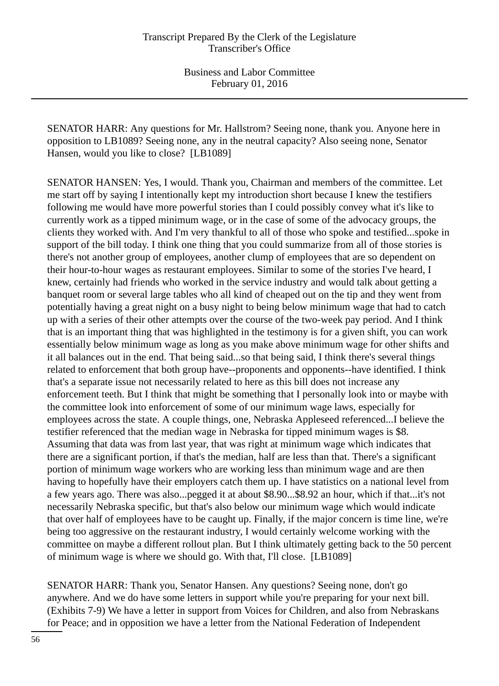SENATOR HARR: Any questions for Mr. Hallstrom? Seeing none, thank you. Anyone here in opposition to LB1089? Seeing none, any in the neutral capacity? Also seeing none, Senator Hansen, would you like to close? [LB1089]

SENATOR HANSEN: Yes, I would. Thank you, Chairman and members of the committee. Let me start off by saying I intentionally kept my introduction short because I knew the testifiers following me would have more powerful stories than I could possibly convey what it's like to currently work as a tipped minimum wage, or in the case of some of the advocacy groups, the clients they worked with. And I'm very thankful to all of those who spoke and testified...spoke in support of the bill today. I think one thing that you could summarize from all of those stories is there's not another group of employees, another clump of employees that are so dependent on their hour-to-hour wages as restaurant employees. Similar to some of the stories I've heard, I knew, certainly had friends who worked in the service industry and would talk about getting a banquet room or several large tables who all kind of cheaped out on the tip and they went from potentially having a great night on a busy night to being below minimum wage that had to catch up with a series of their other attempts over the course of the two-week pay period. And I think that is an important thing that was highlighted in the testimony is for a given shift, you can work essentially below minimum wage as long as you make above minimum wage for other shifts and it all balances out in the end. That being said...so that being said, I think there's several things related to enforcement that both group have--proponents and opponents--have identified. I think that's a separate issue not necessarily related to here as this bill does not increase any enforcement teeth. But I think that might be something that I personally look into or maybe with the committee look into enforcement of some of our minimum wage laws, especially for employees across the state. A couple things, one, Nebraska Appleseed referenced...I believe the testifier referenced that the median wage in Nebraska for tipped minimum wages is \$8. Assuming that data was from last year, that was right at minimum wage which indicates that there are a significant portion, if that's the median, half are less than that. There's a significant portion of minimum wage workers who are working less than minimum wage and are then having to hopefully have their employers catch them up. I have statistics on a national level from a few years ago. There was also...pegged it at about \$8.90...\$8.92 an hour, which if that...it's not necessarily Nebraska specific, but that's also below our minimum wage which would indicate that over half of employees have to be caught up. Finally, if the major concern is time line, we're being too aggressive on the restaurant industry, I would certainly welcome working with the committee on maybe a different rollout plan. But I think ultimately getting back to the 50 percent of minimum wage is where we should go. With that, I'll close. [LB1089]

SENATOR HARR: Thank you, Senator Hansen. Any questions? Seeing none, don't go anywhere. And we do have some letters in support while you're preparing for your next bill. (Exhibits 7-9) We have a letter in support from Voices for Children, and also from Nebraskans for Peace; and in opposition we have a letter from the National Federation of Independent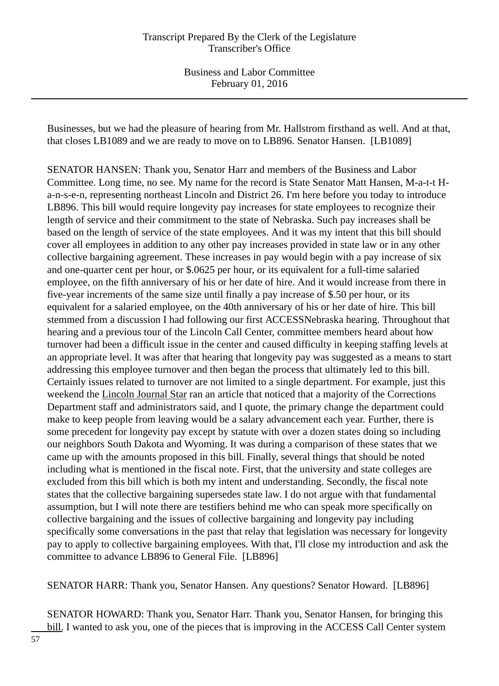Businesses, but we had the pleasure of hearing from Mr. Hallstrom firsthand as well. And at that, that closes LB1089 and we are ready to move on to LB896. Senator Hansen. [LB1089]

SENATOR HANSEN: Thank you, Senator Harr and members of the Business and Labor Committee. Long time, no see. My name for the record is State Senator Matt Hansen, M-a-t-t Ha-n-s-e-n, representing northeast Lincoln and District 26. I'm here before you today to introduce LB896. This bill would require longevity pay increases for state employees to recognize their length of service and their commitment to the state of Nebraska. Such pay increases shall be based on the length of service of the state employees. And it was my intent that this bill should cover all employees in addition to any other pay increases provided in state law or in any other collective bargaining agreement. These increases in pay would begin with a pay increase of six and one-quarter cent per hour, or \$.0625 per hour, or its equivalent for a full-time salaried employee, on the fifth anniversary of his or her date of hire. And it would increase from there in five-year increments of the same size until finally a pay increase of \$.50 per hour, or its equivalent for a salaried employee, on the 40th anniversary of his or her date of hire. This bill stemmed from a discussion I had following our first ACCESSNebraska hearing. Throughout that hearing and a previous tour of the Lincoln Call Center, committee members heard about how turnover had been a difficult issue in the center and caused difficulty in keeping staffing levels at an appropriate level. It was after that hearing that longevity pay was suggested as a means to start addressing this employee turnover and then began the process that ultimately led to this bill. Certainly issues related to turnover are not limited to a single department. For example, just this weekend the Lincoln Journal Star ran an article that noticed that a majority of the Corrections Department staff and administrators said, and I quote, the primary change the department could make to keep people from leaving would be a salary advancement each year. Further, there is some precedent for longevity pay except by statute with over a dozen states doing so including our neighbors South Dakota and Wyoming. It was during a comparison of these states that we came up with the amounts proposed in this bill. Finally, several things that should be noted including what is mentioned in the fiscal note. First, that the university and state colleges are excluded from this bill which is both my intent and understanding. Secondly, the fiscal note states that the collective bargaining supersedes state law. I do not argue with that fundamental assumption, but I will note there are testifiers behind me who can speak more specifically on collective bargaining and the issues of collective bargaining and longevity pay including specifically some conversations in the past that relay that legislation was necessary for longevity pay to apply to collective bargaining employees. With that, I'll close my introduction and ask the committee to advance LB896 to General File. [LB896]

SENATOR HARR: Thank you, Senator Hansen. Any questions? Senator Howard. [LB896]

SENATOR HOWARD: Thank you, Senator Harr. Thank you, Senator Hansen, for bringing this bill. I wanted to ask you, one of the pieces that is improving in the ACCESS Call Center system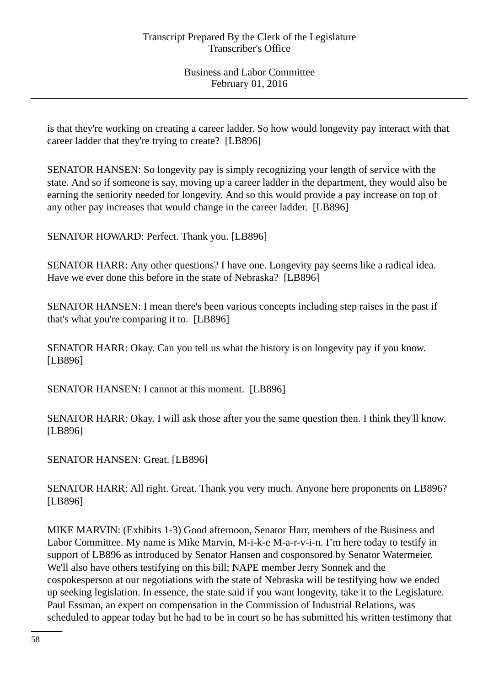is that they're working on creating a career ladder. So how would longevity pay interact with that career ladder that they're trying to create? [LB896]

SENATOR HANSEN: So longevity pay is simply recognizing your length of service with the state. And so if someone is say, moving up a career ladder in the department, they would also be earning the seniority needed for longevity. And so this would provide a pay increase on top of any other pay increases that would change in the career ladder. [LB896]

SENATOR HOWARD: Perfect. Thank you. [LB896]

SENATOR HARR: Any other questions? I have one. Longevity pay seems like a radical idea. Have we ever done this before in the state of Nebraska? [LB896]

SENATOR HANSEN: I mean there's been various concepts including step raises in the past if that's what you're comparing it to. [LB896]

SENATOR HARR: Okay. Can you tell us what the history is on longevity pay if you know. [LB896]

SENATOR HANSEN: I cannot at this moment. [LB896]

SENATOR HARR: Okay. I will ask those after you the same question then. I think they'll know. [LB896]

SENATOR HANSEN: Great. [LB896]

SENATOR HARR: All right. Great. Thank you very much. Anyone here proponents on LB896? [LB896]

MIKE MARVIN: (Exhibits 1-3) Good afternoon, Senator Harr, members of the Business and Labor Committee. My name is Mike Marvin, M-i-k-e M-a-r-v-i-n. I'm here today to testify in support of LB896 as introduced by Senator Hansen and cosponsored by Senator Watermeier. We'll also have others testifying on this bill; NAPE member Jerry Sonnek and the cospokesperson at our negotiations with the state of Nebraska will be testifying how we ended up seeking legislation. In essence, the state said if you want longevity, take it to the Legislature. Paul Essman, an expert on compensation in the Commission of Industrial Relations, was scheduled to appear today but he had to be in court so he has submitted his written testimony that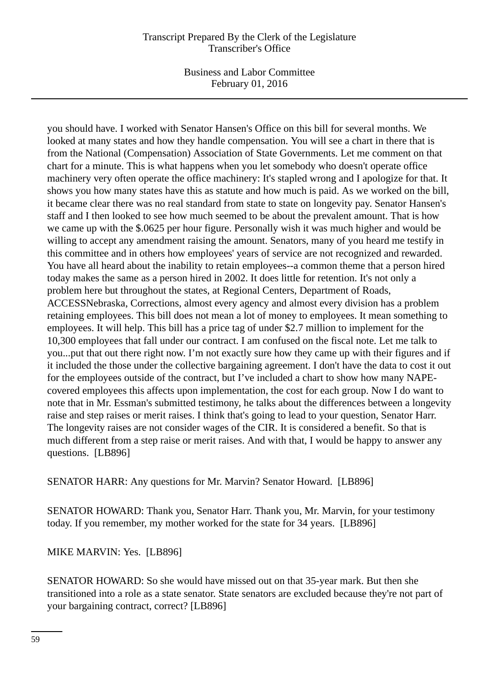Business and Labor Committee February 01, 2016

you should have. I worked with Senator Hansen's Office on this bill for several months. We looked at many states and how they handle compensation. You will see a chart in there that is from the National (Compensation) Association of State Governments. Let me comment on that chart for a minute. This is what happens when you let somebody who doesn't operate office machinery very often operate the office machinery: It's stapled wrong and I apologize for that. It shows you how many states have this as statute and how much is paid. As we worked on the bill, it became clear there was no real standard from state to state on longevity pay. Senator Hansen's staff and I then looked to see how much seemed to be about the prevalent amount. That is how we came up with the \$.0625 per hour figure. Personally wish it was much higher and would be willing to accept any amendment raising the amount. Senators, many of you heard me testify in this committee and in others how employees' years of service are not recognized and rewarded. You have all heard about the inability to retain employees--a common theme that a person hired today makes the same as a person hired in 2002. It does little for retention. It's not only a problem here but throughout the states, at Regional Centers, Department of Roads, ACCESSNebraska, Corrections, almost every agency and almost every division has a problem retaining employees. This bill does not mean a lot of money to employees. It mean something to employees. It will help. This bill has a price tag of under \$2.7 million to implement for the 10,300 employees that fall under our contract. I am confused on the fiscal note. Let me talk to you...put that out there right now. I'm not exactly sure how they came up with their figures and if it included the those under the collective bargaining agreement. I don't have the data to cost it out for the employees outside of the contract, but I've included a chart to show how many NAPEcovered employees this affects upon implementation, the cost for each group. Now I do want to note that in Mr. Essman's submitted testimony, he talks about the differences between a longevity raise and step raises or merit raises. I think that's going to lead to your question, Senator Harr. The longevity raises are not consider wages of the CIR. It is considered a benefit. So that is much different from a step raise or merit raises. And with that, I would be happy to answer any questions. [LB896]

SENATOR HARR: Any questions for Mr. Marvin? Senator Howard. [LB896]

SENATOR HOWARD: Thank you, Senator Harr. Thank you, Mr. Marvin, for your testimony today. If you remember, my mother worked for the state for 34 years. [LB896]

MIKE MARVIN: Yes. [LB896]

SENATOR HOWARD: So she would have missed out on that 35-year mark. But then she transitioned into a role as a state senator. State senators are excluded because they're not part of your bargaining contract, correct? [LB896]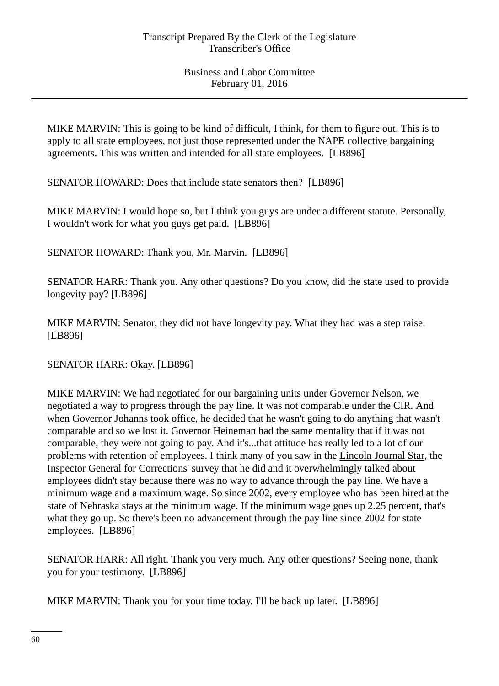MIKE MARVIN: This is going to be kind of difficult, I think, for them to figure out. This is to apply to all state employees, not just those represented under the NAPE collective bargaining agreements. This was written and intended for all state employees. [LB896]

SENATOR HOWARD: Does that include state senators then? [LB896]

MIKE MARVIN: I would hope so, but I think you guys are under a different statute. Personally, I wouldn't work for what you guys get paid. [LB896]

SENATOR HOWARD: Thank you, Mr. Marvin. [LB896]

SENATOR HARR: Thank you. Any other questions? Do you know, did the state used to provide longevity pay? [LB896]

MIKE MARVIN: Senator, they did not have longevity pay. What they had was a step raise. [LB896]

SENATOR HARR: Okay. [LB896]

MIKE MARVIN: We had negotiated for our bargaining units under Governor Nelson, we negotiated a way to progress through the pay line. It was not comparable under the CIR. And when Governor Johanns took office, he decided that he wasn't going to do anything that wasn't comparable and so we lost it. Governor Heineman had the same mentality that if it was not comparable, they were not going to pay. And it's...that attitude has really led to a lot of our problems with retention of employees. I think many of you saw in the Lincoln Journal Star, the Inspector General for Corrections' survey that he did and it overwhelmingly talked about employees didn't stay because there was no way to advance through the pay line. We have a minimum wage and a maximum wage. So since 2002, every employee who has been hired at the state of Nebraska stays at the minimum wage. If the minimum wage goes up 2.25 percent, that's what they go up. So there's been no advancement through the pay line since 2002 for state employees. [LB896]

SENATOR HARR: All right. Thank you very much. Any other questions? Seeing none, thank you for your testimony. [LB896]

MIKE MARVIN: Thank you for your time today. I'll be back up later. [LB896]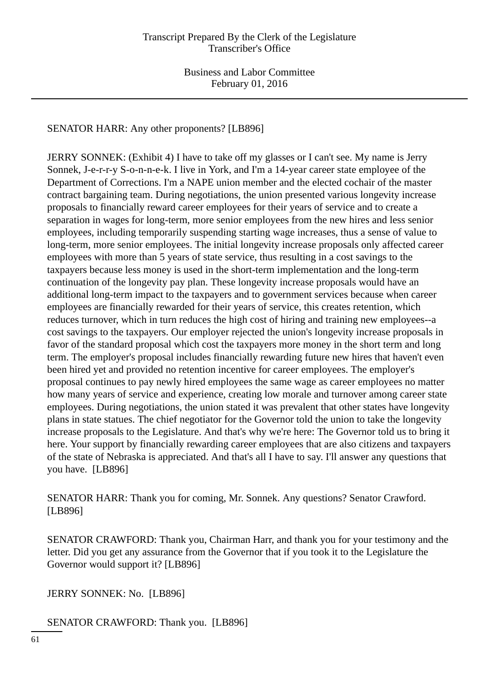SENATOR HARR: Any other proponents? [LB896]

JERRY SONNEK: (Exhibit 4) I have to take off my glasses or I can't see. My name is Jerry Sonnek, J-e-r-r-y S-o-n-n-e-k. I live in York, and I'm a 14-year career state employee of the Department of Corrections. I'm a NAPE union member and the elected cochair of the master contract bargaining team. During negotiations, the union presented various longevity increase proposals to financially reward career employees for their years of service and to create a separation in wages for long-term, more senior employees from the new hires and less senior employees, including temporarily suspending starting wage increases, thus a sense of value to long-term, more senior employees. The initial longevity increase proposals only affected career employees with more than 5 years of state service, thus resulting in a cost savings to the taxpayers because less money is used in the short-term implementation and the long-term continuation of the longevity pay plan. These longevity increase proposals would have an additional long-term impact to the taxpayers and to government services because when career employees are financially rewarded for their years of service, this creates retention, which reduces turnover, which in turn reduces the high cost of hiring and training new employees--a cost savings to the taxpayers. Our employer rejected the union's longevity increase proposals in favor of the standard proposal which cost the taxpayers more money in the short term and long term. The employer's proposal includes financially rewarding future new hires that haven't even been hired yet and provided no retention incentive for career employees. The employer's proposal continues to pay newly hired employees the same wage as career employees no matter how many years of service and experience, creating low morale and turnover among career state employees. During negotiations, the union stated it was prevalent that other states have longevity plans in state statues. The chief negotiator for the Governor told the union to take the longevity increase proposals to the Legislature. And that's why we're here: The Governor told us to bring it here. Your support by financially rewarding career employees that are also citizens and taxpayers of the state of Nebraska is appreciated. And that's all I have to say. I'll answer any questions that you have. [LB896]

SENATOR HARR: Thank you for coming, Mr. Sonnek. Any questions? Senator Crawford. [LB896]

SENATOR CRAWFORD: Thank you, Chairman Harr, and thank you for your testimony and the letter. Did you get any assurance from the Governor that if you took it to the Legislature the Governor would support it? [LB896]

JERRY SONNEK: No. [LB896]

SENATOR CRAWFORD: Thank you. [LB896]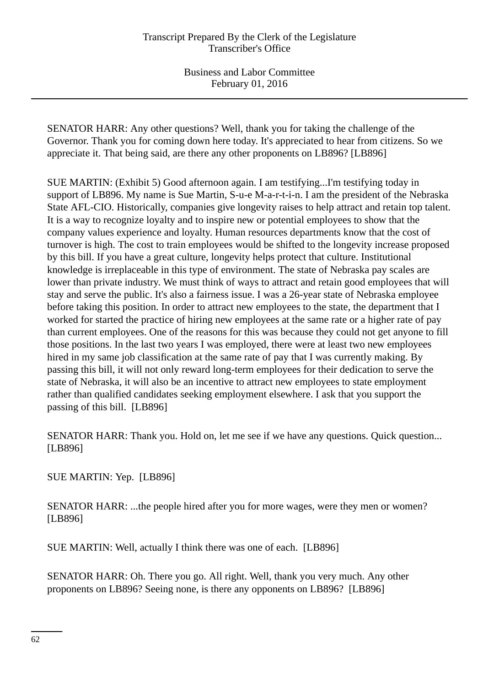SENATOR HARR: Any other questions? Well, thank you for taking the challenge of the Governor. Thank you for coming down here today. It's appreciated to hear from citizens. So we appreciate it. That being said, are there any other proponents on LB896? [LB896]

SUE MARTIN: (Exhibit 5) Good afternoon again. I am testifying...I'm testifying today in support of LB896. My name is Sue Martin, S-u-e M-a-r-t-i-n. I am the president of the Nebraska State AFL-CIO. Historically, companies give longevity raises to help attract and retain top talent. It is a way to recognize loyalty and to inspire new or potential employees to show that the company values experience and loyalty. Human resources departments know that the cost of turnover is high. The cost to train employees would be shifted to the longevity increase proposed by this bill. If you have a great culture, longevity helps protect that culture. Institutional knowledge is irreplaceable in this type of environment. The state of Nebraska pay scales are lower than private industry. We must think of ways to attract and retain good employees that will stay and serve the public. It's also a fairness issue. I was a 26-year state of Nebraska employee before taking this position. In order to attract new employees to the state, the department that I worked for started the practice of hiring new employees at the same rate or a higher rate of pay than current employees. One of the reasons for this was because they could not get anyone to fill those positions. In the last two years I was employed, there were at least two new employees hired in my same job classification at the same rate of pay that I was currently making. By passing this bill, it will not only reward long-term employees for their dedication to serve the state of Nebraska, it will also be an incentive to attract new employees to state employment rather than qualified candidates seeking employment elsewhere. I ask that you support the passing of this bill. [LB896]

SENATOR HARR: Thank you. Hold on, let me see if we have any questions. Quick question... [LB896]

SUE MARTIN: Yep. [LB896]

SENATOR HARR: ...the people hired after you for more wages, were they men or women? [LB896]

SUE MARTIN: Well, actually I think there was one of each. [LB896]

SENATOR HARR: Oh. There you go. All right. Well, thank you very much. Any other proponents on LB896? Seeing none, is there any opponents on LB896? [LB896]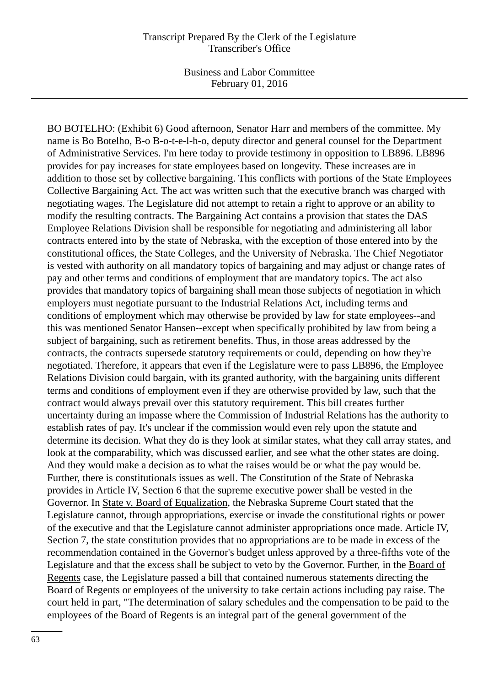BO BOTELHO: (Exhibit 6) Good afternoon, Senator Harr and members of the committee. My name is Bo Botelho, B-o B-o-t-e-l-h-o, deputy director and general counsel for the Department of Administrative Services. I'm here today to provide testimony in opposition to LB896. LB896 provides for pay increases for state employees based on longevity. These increases are in addition to those set by collective bargaining. This conflicts with portions of the State Employees Collective Bargaining Act. The act was written such that the executive branch was charged with negotiating wages. The Legislature did not attempt to retain a right to approve or an ability to modify the resulting contracts. The Bargaining Act contains a provision that states the DAS Employee Relations Division shall be responsible for negotiating and administering all labor contracts entered into by the state of Nebraska, with the exception of those entered into by the constitutional offices, the State Colleges, and the University of Nebraska. The Chief Negotiator is vested with authority on all mandatory topics of bargaining and may adjust or change rates of pay and other terms and conditions of employment that are mandatory topics. The act also provides that mandatory topics of bargaining shall mean those subjects of negotiation in which employers must negotiate pursuant to the Industrial Relations Act, including terms and conditions of employment which may otherwise be provided by law for state employees--and this was mentioned Senator Hansen--except when specifically prohibited by law from being a subject of bargaining, such as retirement benefits. Thus, in those areas addressed by the contracts, the contracts supersede statutory requirements or could, depending on how they're negotiated. Therefore, it appears that even if the Legislature were to pass LB896, the Employee Relations Division could bargain, with its granted authority, with the bargaining units different terms and conditions of employment even if they are otherwise provided by law, such that the contract would always prevail over this statutory requirement. This bill creates further uncertainty during an impasse where the Commission of Industrial Relations has the authority to establish rates of pay. It's unclear if the commission would even rely upon the statute and determine its decision. What they do is they look at similar states, what they call array states, and look at the comparability, which was discussed earlier, and see what the other states are doing. And they would make a decision as to what the raises would be or what the pay would be. Further, there is constitutionals issues as well. The Constitution of the State of Nebraska provides in Article IV, Section 6 that the supreme executive power shall be vested in the Governor. In State v. Board of Equalization, the Nebraska Supreme Court stated that the Legislature cannot, through appropriations, exercise or invade the constitutional rights or power of the executive and that the Legislature cannot administer appropriations once made. Article IV, Section 7, the state constitution provides that no appropriations are to be made in excess of the recommendation contained in the Governor's budget unless approved by a three-fifths vote of the Legislature and that the excess shall be subject to veto by the Governor. Further, in the Board of Regents case, the Legislature passed a bill that contained numerous statements directing the Board of Regents or employees of the university to take certain actions including pay raise. The court held in part, "The determination of salary schedules and the compensation to be paid to the employees of the Board of Regents is an integral part of the general government of the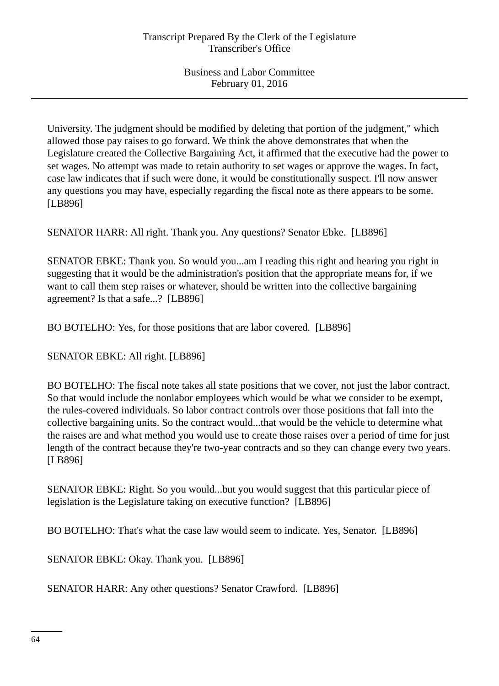University. The judgment should be modified by deleting that portion of the judgment," which allowed those pay raises to go forward. We think the above demonstrates that when the Legislature created the Collective Bargaining Act, it affirmed that the executive had the power to set wages. No attempt was made to retain authority to set wages or approve the wages. In fact, case law indicates that if such were done, it would be constitutionally suspect. I'll now answer any questions you may have, especially regarding the fiscal note as there appears to be some. [LB896]

SENATOR HARR: All right. Thank you. Any questions? Senator Ebke. [LB896]

SENATOR EBKE: Thank you. So would you...am I reading this right and hearing you right in suggesting that it would be the administration's position that the appropriate means for, if we want to call them step raises or whatever, should be written into the collective bargaining agreement? Is that a safe...? [LB896]

BO BOTELHO: Yes, for those positions that are labor covered. [LB896]

SENATOR EBKE: All right. [LB896]

BO BOTELHO: The fiscal note takes all state positions that we cover, not just the labor contract. So that would include the nonlabor employees which would be what we consider to be exempt, the rules-covered individuals. So labor contract controls over those positions that fall into the collective bargaining units. So the contract would...that would be the vehicle to determine what the raises are and what method you would use to create those raises over a period of time for just length of the contract because they're two-year contracts and so they can change every two years. [LB896]

SENATOR EBKE: Right. So you would...but you would suggest that this particular piece of legislation is the Legislature taking on executive function? [LB896]

BO BOTELHO: That's what the case law would seem to indicate. Yes, Senator. [LB896]

SENATOR EBKE: Okay. Thank you. [LB896]

SENATOR HARR: Any other questions? Senator Crawford. [LB896]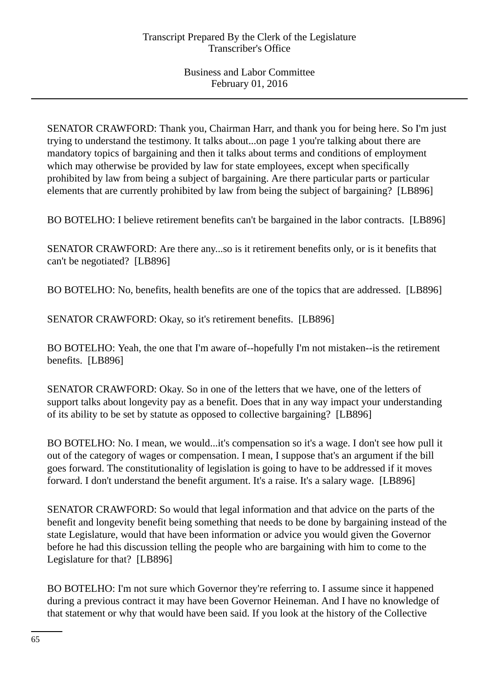SENATOR CRAWFORD: Thank you, Chairman Harr, and thank you for being here. So I'm just trying to understand the testimony. It talks about...on page 1 you're talking about there are mandatory topics of bargaining and then it talks about terms and conditions of employment which may otherwise be provided by law for state employees, except when specifically prohibited by law from being a subject of bargaining. Are there particular parts or particular elements that are currently prohibited by law from being the subject of bargaining? [LB896]

BO BOTELHO: I believe retirement benefits can't be bargained in the labor contracts. [LB896]

SENATOR CRAWFORD: Are there any...so is it retirement benefits only, or is it benefits that can't be negotiated? [LB896]

BO BOTELHO: No, benefits, health benefits are one of the topics that are addressed. [LB896]

SENATOR CRAWFORD: Okay, so it's retirement benefits. [LB896]

BO BOTELHO: Yeah, the one that I'm aware of--hopefully I'm not mistaken--is the retirement benefits. [LB896]

SENATOR CRAWFORD: Okay. So in one of the letters that we have, one of the letters of support talks about longevity pay as a benefit. Does that in any way impact your understanding of its ability to be set by statute as opposed to collective bargaining? [LB896]

BO BOTELHO: No. I mean, we would...it's compensation so it's a wage. I don't see how pull it out of the category of wages or compensation. I mean, I suppose that's an argument if the bill goes forward. The constitutionality of legislation is going to have to be addressed if it moves forward. I don't understand the benefit argument. It's a raise. It's a salary wage. [LB896]

SENATOR CRAWFORD: So would that legal information and that advice on the parts of the benefit and longevity benefit being something that needs to be done by bargaining instead of the state Legislature, would that have been information or advice you would given the Governor before he had this discussion telling the people who are bargaining with him to come to the Legislature for that? [LB896]

BO BOTELHO: I'm not sure which Governor they're referring to. I assume since it happened during a previous contract it may have been Governor Heineman. And I have no knowledge of that statement or why that would have been said. If you look at the history of the Collective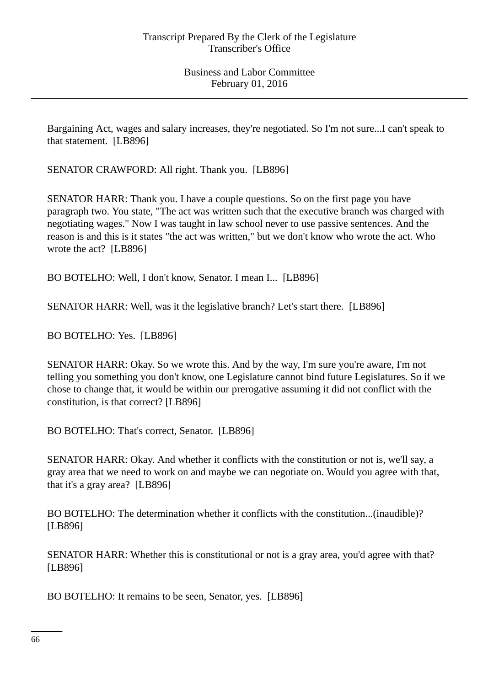Bargaining Act, wages and salary increases, they're negotiated. So I'm not sure...I can't speak to that statement. [LB896]

SENATOR CRAWFORD: All right. Thank you. [LB896]

SENATOR HARR: Thank you. I have a couple questions. So on the first page you have paragraph two. You state, "The act was written such that the executive branch was charged with negotiating wages." Now I was taught in law school never to use passive sentences. And the reason is and this is it states "the act was written," but we don't know who wrote the act. Who wrote the act? [LB896]

BO BOTELHO: Well, I don't know, Senator. I mean I... [LB896]

SENATOR HARR: Well, was it the legislative branch? Let's start there. [LB896]

BO BOTELHO: Yes. [LB896]

SENATOR HARR: Okay. So we wrote this. And by the way, I'm sure you're aware, I'm not telling you something you don't know, one Legislature cannot bind future Legislatures. So if we chose to change that, it would be within our prerogative assuming it did not conflict with the constitution, is that correct? [LB896]

BO BOTELHO: That's correct, Senator. [LB896]

SENATOR HARR: Okay. And whether it conflicts with the constitution or not is, we'll say, a gray area that we need to work on and maybe we can negotiate on. Would you agree with that, that it's a gray area? [LB896]

BO BOTELHO: The determination whether it conflicts with the constitution...(inaudible)? [LB896]

SENATOR HARR: Whether this is constitutional or not is a gray area, you'd agree with that? [LB896]

BO BOTELHO: It remains to be seen, Senator, yes. [LB896]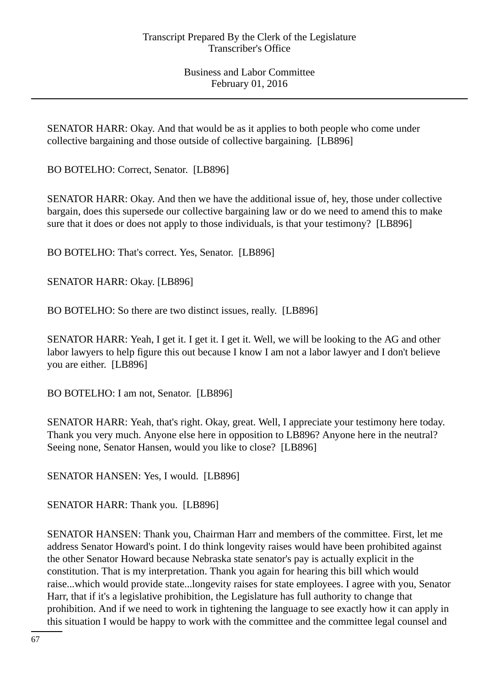SENATOR HARR: Okay. And that would be as it applies to both people who come under collective bargaining and those outside of collective bargaining. [LB896]

BO BOTELHO: Correct, Senator. [LB896]

SENATOR HARR: Okay. And then we have the additional issue of, hey, those under collective bargain, does this supersede our collective bargaining law or do we need to amend this to make sure that it does or does not apply to those individuals, is that your testimony? [LB896]

BO BOTELHO: That's correct. Yes, Senator. [LB896]

SENATOR HARR: Okay. [LB896]

BO BOTELHO: So there are two distinct issues, really. [LB896]

SENATOR HARR: Yeah, I get it. I get it. I get it. Well, we will be looking to the AG and other labor lawyers to help figure this out because I know I am not a labor lawyer and I don't believe you are either. [LB896]

BO BOTELHO: I am not, Senator. [LB896]

SENATOR HARR: Yeah, that's right. Okay, great. Well, I appreciate your testimony here today. Thank you very much. Anyone else here in opposition to LB896? Anyone here in the neutral? Seeing none, Senator Hansen, would you like to close? [LB896]

SENATOR HANSEN: Yes, I would. [LB896]

SENATOR HARR: Thank you. [LB896]

SENATOR HANSEN: Thank you, Chairman Harr and members of the committee. First, let me address Senator Howard's point. I do think longevity raises would have been prohibited against the other Senator Howard because Nebraska state senator's pay is actually explicit in the constitution. That is my interpretation. Thank you again for hearing this bill which would raise...which would provide state...longevity raises for state employees. I agree with you, Senator Harr, that if it's a legislative prohibition, the Legislature has full authority to change that prohibition. And if we need to work in tightening the language to see exactly how it can apply in this situation I would be happy to work with the committee and the committee legal counsel and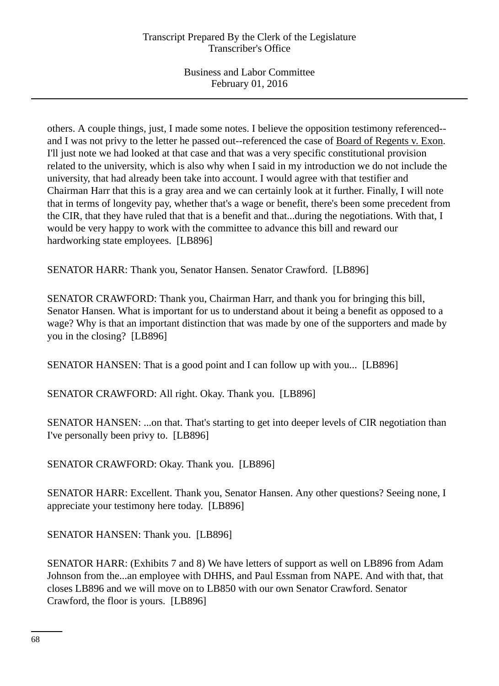others. A couple things, just, I made some notes. I believe the opposition testimony referenced- and I was not privy to the letter he passed out--referenced the case of Board of Regents v. Exon. I'll just note we had looked at that case and that was a very specific constitutional provision related to the university, which is also why when I said in my introduction we do not include the university, that had already been take into account. I would agree with that testifier and Chairman Harr that this is a gray area and we can certainly look at it further. Finally, I will note that in terms of longevity pay, whether that's a wage or benefit, there's been some precedent from the CIR, that they have ruled that that is a benefit and that...during the negotiations. With that, I would be very happy to work with the committee to advance this bill and reward our hardworking state employees. [LB896]

SENATOR HARR: Thank you, Senator Hansen. Senator Crawford. [LB896]

SENATOR CRAWFORD: Thank you, Chairman Harr, and thank you for bringing this bill, Senator Hansen. What is important for us to understand about it being a benefit as opposed to a wage? Why is that an important distinction that was made by one of the supporters and made by you in the closing? [LB896]

SENATOR HANSEN: That is a good point and I can follow up with you... [LB896]

SENATOR CRAWFORD: All right. Okay. Thank you. [LB896]

SENATOR HANSEN: ...on that. That's starting to get into deeper levels of CIR negotiation than I've personally been privy to. [LB896]

SENATOR CRAWFORD: Okay. Thank you. [LB896]

SENATOR HARR: Excellent. Thank you, Senator Hansen. Any other questions? Seeing none, I appreciate your testimony here today. [LB896]

SENATOR HANSEN: Thank you. [LB896]

SENATOR HARR: (Exhibits 7 and 8) We have letters of support as well on LB896 from Adam Johnson from the...an employee with DHHS, and Paul Essman from NAPE. And with that, that closes LB896 and we will move on to LB850 with our own Senator Crawford. Senator Crawford, the floor is yours. [LB896]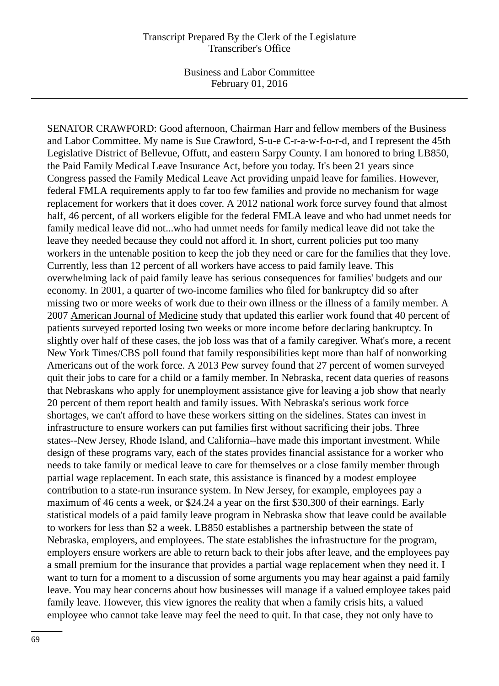SENATOR CRAWFORD: Good afternoon, Chairman Harr and fellow members of the Business and Labor Committee. My name is Sue Crawford, S-u-e C-r-a-w-f-o-r-d, and I represent the 45th Legislative District of Bellevue, Offutt, and eastern Sarpy County. I am honored to bring LB850, the Paid Family Medical Leave Insurance Act, before you today. It's been 21 years since Congress passed the Family Medical Leave Act providing unpaid leave for families. However, federal FMLA requirements apply to far too few families and provide no mechanism for wage replacement for workers that it does cover. A 2012 national work force survey found that almost half, 46 percent, of all workers eligible for the federal FMLA leave and who had unmet needs for family medical leave did not...who had unmet needs for family medical leave did not take the leave they needed because they could not afford it. In short, current policies put too many workers in the untenable position to keep the job they need or care for the families that they love. Currently, less than 12 percent of all workers have access to paid family leave. This overwhelming lack of paid family leave has serious consequences for families' budgets and our economy. In 2001, a quarter of two-income families who filed for bankruptcy did so after missing two or more weeks of work due to their own illness or the illness of a family member. A 2007 American Journal of Medicine study that updated this earlier work found that 40 percent of patients surveyed reported losing two weeks or more income before declaring bankruptcy. In slightly over half of these cases, the job loss was that of a family caregiver. What's more, a recent New York Times/CBS poll found that family responsibilities kept more than half of nonworking Americans out of the work force. A 2013 Pew survey found that 27 percent of women surveyed quit their jobs to care for a child or a family member. In Nebraska, recent data queries of reasons that Nebraskans who apply for unemployment assistance give for leaving a job show that nearly 20 percent of them report health and family issues. With Nebraska's serious work force shortages, we can't afford to have these workers sitting on the sidelines. States can invest in infrastructure to ensure workers can put families first without sacrificing their jobs. Three states--New Jersey, Rhode Island, and California--have made this important investment. While design of these programs vary, each of the states provides financial assistance for a worker who needs to take family or medical leave to care for themselves or a close family member through partial wage replacement. In each state, this assistance is financed by a modest employee contribution to a state-run insurance system. In New Jersey, for example, employees pay a maximum of 46 cents a week, or \$24.24 a year on the first \$30,300 of their earnings. Early statistical models of a paid family leave program in Nebraska show that leave could be available to workers for less than \$2 a week. LB850 establishes a partnership between the state of Nebraska, employers, and employees. The state establishes the infrastructure for the program, employers ensure workers are able to return back to their jobs after leave, and the employees pay a small premium for the insurance that provides a partial wage replacement when they need it. I want to turn for a moment to a discussion of some arguments you may hear against a paid family leave. You may hear concerns about how businesses will manage if a valued employee takes paid family leave. However, this view ignores the reality that when a family crisis hits, a valued employee who cannot take leave may feel the need to quit. In that case, they not only have to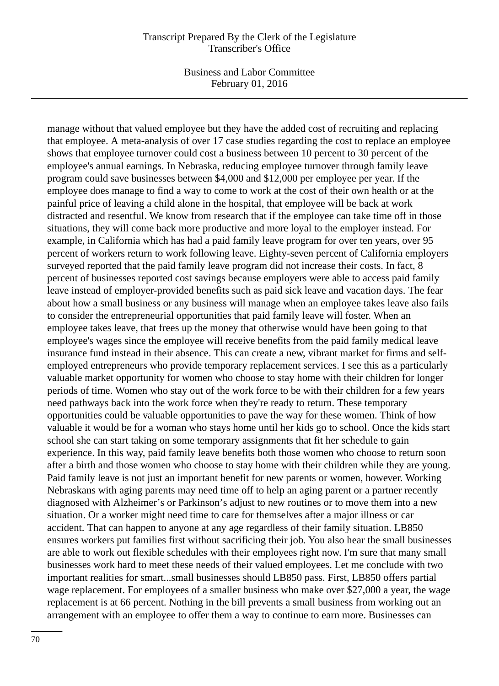Business and Labor Committee February 01, 2016

manage without that valued employee but they have the added cost of recruiting and replacing that employee. A meta-analysis of over 17 case studies regarding the cost to replace an employee shows that employee turnover could cost a business between 10 percent to 30 percent of the employee's annual earnings. In Nebraska, reducing employee turnover through family leave program could save businesses between \$4,000 and \$12,000 per employee per year. If the employee does manage to find a way to come to work at the cost of their own health or at the painful price of leaving a child alone in the hospital, that employee will be back at work distracted and resentful. We know from research that if the employee can take time off in those situations, they will come back more productive and more loyal to the employer instead. For example, in California which has had a paid family leave program for over ten years, over 95 percent of workers return to work following leave. Eighty-seven percent of California employers surveyed reported that the paid family leave program did not increase their costs. In fact, 8 percent of businesses reported cost savings because employers were able to access paid family leave instead of employer-provided benefits such as paid sick leave and vacation days. The fear about how a small business or any business will manage when an employee takes leave also fails to consider the entrepreneurial opportunities that paid family leave will foster. When an employee takes leave, that frees up the money that otherwise would have been going to that employee's wages since the employee will receive benefits from the paid family medical leave insurance fund instead in their absence. This can create a new, vibrant market for firms and selfemployed entrepreneurs who provide temporary replacement services. I see this as a particularly valuable market opportunity for women who choose to stay home with their children for longer periods of time. Women who stay out of the work force to be with their children for a few years need pathways back into the work force when they're ready to return. These temporary opportunities could be valuable opportunities to pave the way for these women. Think of how valuable it would be for a woman who stays home until her kids go to school. Once the kids start school she can start taking on some temporary assignments that fit her schedule to gain experience. In this way, paid family leave benefits both those women who choose to return soon after a birth and those women who choose to stay home with their children while they are young. Paid family leave is not just an important benefit for new parents or women, however. Working Nebraskans with aging parents may need time off to help an aging parent or a partner recently diagnosed with Alzheimer's or Parkinson's adjust to new routines or to move them into a new situation. Or a worker might need time to care for themselves after a major illness or car accident. That can happen to anyone at any age regardless of their family situation. LB850 ensures workers put families first without sacrificing their job. You also hear the small businesses are able to work out flexible schedules with their employees right now. I'm sure that many small businesses work hard to meet these needs of their valued employees. Let me conclude with two important realities for smart...small businesses should LB850 pass. First, LB850 offers partial wage replacement. For employees of a smaller business who make over \$27,000 a year, the wage replacement is at 66 percent. Nothing in the bill prevents a small business from working out an arrangement with an employee to offer them a way to continue to earn more. Businesses can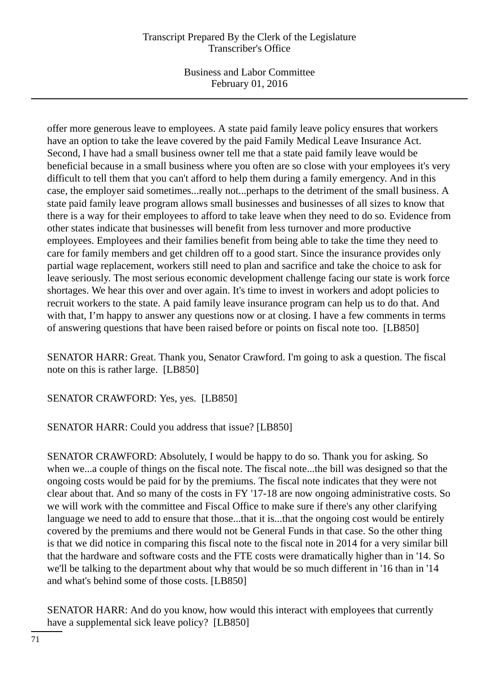Business and Labor Committee February 01, 2016

offer more generous leave to employees. A state paid family leave policy ensures that workers have an option to take the leave covered by the paid Family Medical Leave Insurance Act. Second, I have had a small business owner tell me that a state paid family leave would be beneficial because in a small business where you often are so close with your employees it's very difficult to tell them that you can't afford to help them during a family emergency. And in this case, the employer said sometimes...really not...perhaps to the detriment of the small business. A state paid family leave program allows small businesses and businesses of all sizes to know that there is a way for their employees to afford to take leave when they need to do so. Evidence from other states indicate that businesses will benefit from less turnover and more productive employees. Employees and their families benefit from being able to take the time they need to care for family members and get children off to a good start. Since the insurance provides only partial wage replacement, workers still need to plan and sacrifice and take the choice to ask for leave seriously. The most serious economic development challenge facing our state is work force shortages. We hear this over and over again. It's time to invest in workers and adopt policies to recruit workers to the state. A paid family leave insurance program can help us to do that. And with that, I'm happy to answer any questions now or at closing. I have a few comments in terms of answering questions that have been raised before or points on fiscal note too. [LB850]

SENATOR HARR: Great. Thank you, Senator Crawford. I'm going to ask a question. The fiscal note on this is rather large. [LB850]

SENATOR CRAWFORD: Yes, yes. [LB850]

SENATOR HARR: Could you address that issue? [LB850]

SENATOR CRAWFORD: Absolutely, I would be happy to do so. Thank you for asking. So when we...a couple of things on the fiscal note. The fiscal note...the bill was designed so that the ongoing costs would be paid for by the premiums. The fiscal note indicates that they were not clear about that. And so many of the costs in FY '17-18 are now ongoing administrative costs. So we will work with the committee and Fiscal Office to make sure if there's any other clarifying language we need to add to ensure that those...that it is...that the ongoing cost would be entirely covered by the premiums and there would not be General Funds in that case. So the other thing is that we did notice in comparing this fiscal note to the fiscal note in 2014 for a very similar bill that the hardware and software costs and the FTE costs were dramatically higher than in '14. So we'll be talking to the department about why that would be so much different in '16 than in '14 and what's behind some of those costs. [LB850]

SENATOR HARR: And do you know, how would this interact with employees that currently have a supplemental sick leave policy? [LB850]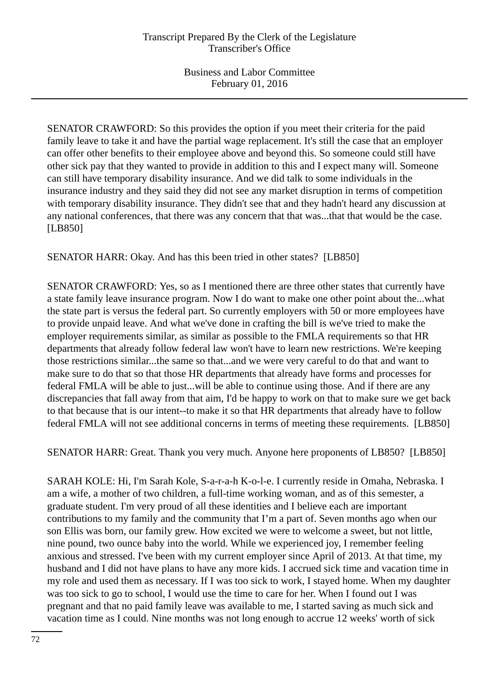SENATOR CRAWFORD: So this provides the option if you meet their criteria for the paid family leave to take it and have the partial wage replacement. It's still the case that an employer can offer other benefits to their employee above and beyond this. So someone could still have other sick pay that they wanted to provide in addition to this and I expect many will. Someone can still have temporary disability insurance. And we did talk to some individuals in the insurance industry and they said they did not see any market disruption in terms of competition with temporary disability insurance. They didn't see that and they hadn't heard any discussion at any national conferences, that there was any concern that that was...that that would be the case. [LB850]

SENATOR HARR: Okay. And has this been tried in other states? [LB850]

SENATOR CRAWFORD: Yes, so as I mentioned there are three other states that currently have a state family leave insurance program. Now I do want to make one other point about the...what the state part is versus the federal part. So currently employers with 50 or more employees have to provide unpaid leave. And what we've done in crafting the bill is we've tried to make the employer requirements similar, as similar as possible to the FMLA requirements so that HR departments that already follow federal law won't have to learn new restrictions. We're keeping those restrictions similar...the same so that...and we were very careful to do that and want to make sure to do that so that those HR departments that already have forms and processes for federal FMLA will be able to just...will be able to continue using those. And if there are any discrepancies that fall away from that aim, I'd be happy to work on that to make sure we get back to that because that is our intent--to make it so that HR departments that already have to follow federal FMLA will not see additional concerns in terms of meeting these requirements. [LB850]

SENATOR HARR: Great. Thank you very much. Anyone here proponents of LB850? [LB850]

SARAH KOLE: Hi, I'm Sarah Kole, S-a-r-a-h K-o-l-e. I currently reside in Omaha, Nebraska. I am a wife, a mother of two children, a full-time working woman, and as of this semester, a graduate student. I'm very proud of all these identities and I believe each are important contributions to my family and the community that I'm a part of. Seven months ago when our son Ellis was born, our family grew. How excited we were to welcome a sweet, but not little, nine pound, two ounce baby into the world. While we experienced joy, I remember feeling anxious and stressed. I've been with my current employer since April of 2013. At that time, my husband and I did not have plans to have any more kids. I accrued sick time and vacation time in my role and used them as necessary. If I was too sick to work, I stayed home. When my daughter was too sick to go to school, I would use the time to care for her. When I found out I was pregnant and that no paid family leave was available to me, I started saving as much sick and vacation time as I could. Nine months was not long enough to accrue 12 weeks' worth of sick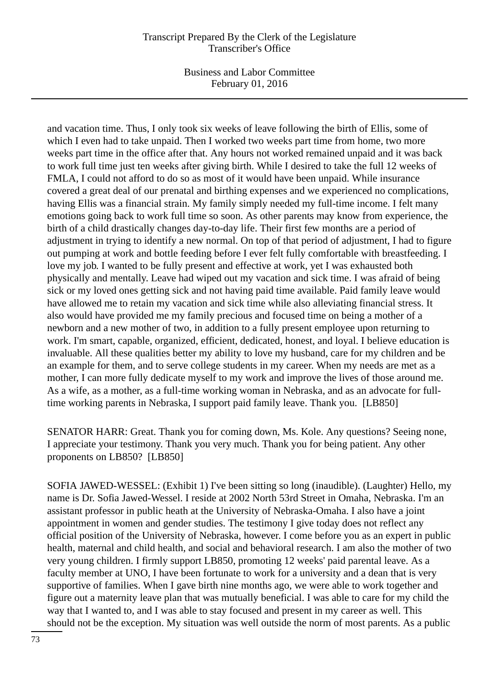Business and Labor Committee February 01, 2016

and vacation time. Thus, I only took six weeks of leave following the birth of Ellis, some of which I even had to take unpaid. Then I worked two weeks part time from home, two more weeks part time in the office after that. Any hours not worked remained unpaid and it was back to work full time just ten weeks after giving birth. While I desired to take the full 12 weeks of FMLA, I could not afford to do so as most of it would have been unpaid. While insurance covered a great deal of our prenatal and birthing expenses and we experienced no complications, having Ellis was a financial strain. My family simply needed my full-time income. I felt many emotions going back to work full time so soon. As other parents may know from experience, the birth of a child drastically changes day-to-day life. Their first few months are a period of adjustment in trying to identify a new normal. On top of that period of adjustment, I had to figure out pumping at work and bottle feeding before I ever felt fully comfortable with breastfeeding. I love my job. I wanted to be fully present and effective at work, yet I was exhausted both physically and mentally. Leave had wiped out my vacation and sick time. I was afraid of being sick or my loved ones getting sick and not having paid time available. Paid family leave would have allowed me to retain my vacation and sick time while also alleviating financial stress. It also would have provided me my family precious and focused time on being a mother of a newborn and a new mother of two, in addition to a fully present employee upon returning to work. I'm smart, capable, organized, efficient, dedicated, honest, and loyal. I believe education is invaluable. All these qualities better my ability to love my husband, care for my children and be an example for them, and to serve college students in my career. When my needs are met as a mother, I can more fully dedicate myself to my work and improve the lives of those around me. As a wife, as a mother, as a full-time working woman in Nebraska, and as an advocate for fulltime working parents in Nebraska, I support paid family leave. Thank you. [LB850]

SENATOR HARR: Great. Thank you for coming down, Ms. Kole. Any questions? Seeing none, I appreciate your testimony. Thank you very much. Thank you for being patient. Any other proponents on LB850? [LB850]

SOFIA JAWED-WESSEL: (Exhibit 1) I've been sitting so long (inaudible). (Laughter) Hello, my name is Dr. Sofia Jawed-Wessel. I reside at 2002 North 53rd Street in Omaha, Nebraska. I'm an assistant professor in public heath at the University of Nebraska-Omaha. I also have a joint appointment in women and gender studies. The testimony I give today does not reflect any official position of the University of Nebraska, however. I come before you as an expert in public health, maternal and child health, and social and behavioral research. I am also the mother of two very young children. I firmly support LB850, promoting 12 weeks' paid parental leave. As a faculty member at UNO, I have been fortunate to work for a university and a dean that is very supportive of families. When I gave birth nine months ago, we were able to work together and figure out a maternity leave plan that was mutually beneficial. I was able to care for my child the way that I wanted to, and I was able to stay focused and present in my career as well. This should not be the exception. My situation was well outside the norm of most parents. As a public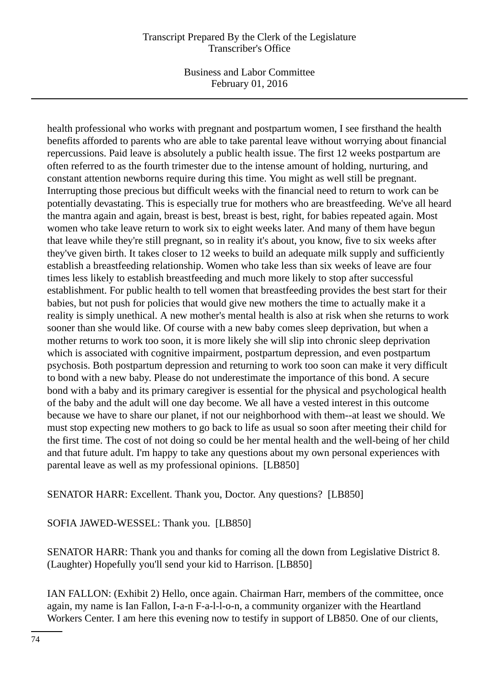Business and Labor Committee February 01, 2016

health professional who works with pregnant and postpartum women, I see firsthand the health benefits afforded to parents who are able to take parental leave without worrying about financial repercussions. Paid leave is absolutely a public health issue. The first 12 weeks postpartum are often referred to as the fourth trimester due to the intense amount of holding, nurturing, and constant attention newborns require during this time. You might as well still be pregnant. Interrupting those precious but difficult weeks with the financial need to return to work can be potentially devastating. This is especially true for mothers who are breastfeeding. We've all heard the mantra again and again, breast is best, breast is best, right, for babies repeated again. Most women who take leave return to work six to eight weeks later. And many of them have begun that leave while they're still pregnant, so in reality it's about, you know, five to six weeks after they've given birth. It takes closer to 12 weeks to build an adequate milk supply and sufficiently establish a breastfeeding relationship. Women who take less than six weeks of leave are four times less likely to establish breastfeeding and much more likely to stop after successful establishment. For public health to tell women that breastfeeding provides the best start for their babies, but not push for policies that would give new mothers the time to actually make it a reality is simply unethical. A new mother's mental health is also at risk when she returns to work sooner than she would like. Of course with a new baby comes sleep deprivation, but when a mother returns to work too soon, it is more likely she will slip into chronic sleep deprivation which is associated with cognitive impairment, postpartum depression, and even postpartum psychosis. Both postpartum depression and returning to work too soon can make it very difficult to bond with a new baby. Please do not underestimate the importance of this bond. A secure bond with a baby and its primary caregiver is essential for the physical and psychological health of the baby and the adult will one day become. We all have a vested interest in this outcome because we have to share our planet, if not our neighborhood with them--at least we should. We must stop expecting new mothers to go back to life as usual so soon after meeting their child for the first time. The cost of not doing so could be her mental health and the well-being of her child and that future adult. I'm happy to take any questions about my own personal experiences with parental leave as well as my professional opinions. [LB850]

SENATOR HARR: Excellent. Thank you, Doctor. Any questions? [LB850]

SOFIA JAWED-WESSEL: Thank you. [LB850]

SENATOR HARR: Thank you and thanks for coming all the down from Legislative District 8. (Laughter) Hopefully you'll send your kid to Harrison. [LB850]

IAN FALLON: (Exhibit 2) Hello, once again. Chairman Harr, members of the committee, once again, my name is Ian Fallon, I-a-n F-a-l-l-o-n, a community organizer with the Heartland Workers Center. I am here this evening now to testify in support of LB850. One of our clients,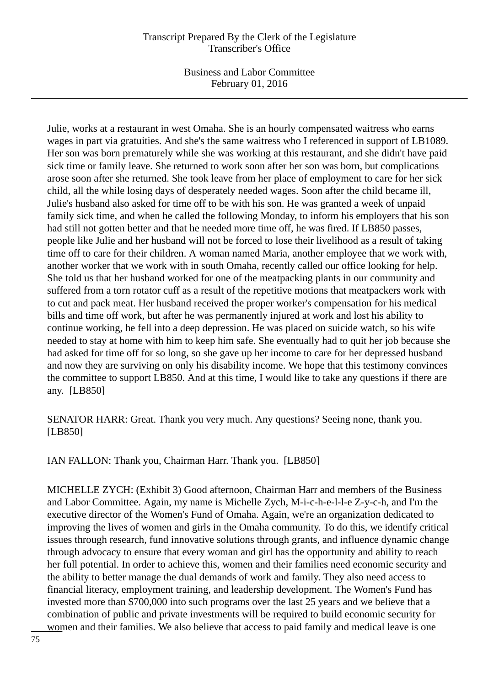Business and Labor Committee February 01, 2016

Julie, works at a restaurant in west Omaha. She is an hourly compensated waitress who earns wages in part via gratuities. And she's the same waitress who I referenced in support of LB1089. Her son was born prematurely while she was working at this restaurant, and she didn't have paid sick time or family leave. She returned to work soon after her son was born, but complications arose soon after she returned. She took leave from her place of employment to care for her sick child, all the while losing days of desperately needed wages. Soon after the child became ill, Julie's husband also asked for time off to be with his son. He was granted a week of unpaid family sick time, and when he called the following Monday, to inform his employers that his son had still not gotten better and that he needed more time off, he was fired. If LB850 passes, people like Julie and her husband will not be forced to lose their livelihood as a result of taking time off to care for their children. A woman named Maria, another employee that we work with, another worker that we work with in south Omaha, recently called our office looking for help. She told us that her husband worked for one of the meatpacking plants in our community and suffered from a torn rotator cuff as a result of the repetitive motions that meatpackers work with to cut and pack meat. Her husband received the proper worker's compensation for his medical bills and time off work, but after he was permanently injured at work and lost his ability to continue working, he fell into a deep depression. He was placed on suicide watch, so his wife needed to stay at home with him to keep him safe. She eventually had to quit her job because she had asked for time off for so long, so she gave up her income to care for her depressed husband and now they are surviving on only his disability income. We hope that this testimony convinces the committee to support LB850. And at this time, I would like to take any questions if there are any. [LB850]

SENATOR HARR: Great. Thank you very much. Any questions? Seeing none, thank you. [LB850]

IAN FALLON: Thank you, Chairman Harr. Thank you. [LB850]

MICHELLE ZYCH: (Exhibit 3) Good afternoon, Chairman Harr and members of the Business and Labor Committee. Again, my name is Michelle Zych, M-i-c-h-e-l-l-e Z-y-c-h, and I'm the executive director of the Women's Fund of Omaha. Again, we're an organization dedicated to improving the lives of women and girls in the Omaha community. To do this, we identify critical issues through research, fund innovative solutions through grants, and influence dynamic change through advocacy to ensure that every woman and girl has the opportunity and ability to reach her full potential. In order to achieve this, women and their families need economic security and the ability to better manage the dual demands of work and family. They also need access to financial literacy, employment training, and leadership development. The Women's Fund has invested more than \$700,000 into such programs over the last 25 years and we believe that a combination of public and private investments will be required to build economic security for women and their families. We also believe that access to paid family and medical leave is one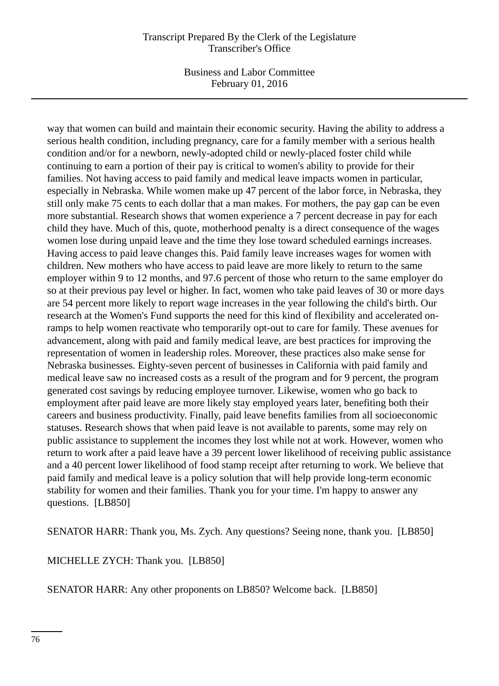Business and Labor Committee February 01, 2016

way that women can build and maintain their economic security. Having the ability to address a serious health condition, including pregnancy, care for a family member with a serious health condition and/or for a newborn, newly-adopted child or newly-placed foster child while continuing to earn a portion of their pay is critical to women's ability to provide for their families. Not having access to paid family and medical leave impacts women in particular, especially in Nebraska. While women make up 47 percent of the labor force, in Nebraska, they still only make 75 cents to each dollar that a man makes. For mothers, the pay gap can be even more substantial. Research shows that women experience a 7 percent decrease in pay for each child they have. Much of this, quote, motherhood penalty is a direct consequence of the wages women lose during unpaid leave and the time they lose toward scheduled earnings increases. Having access to paid leave changes this. Paid family leave increases wages for women with children. New mothers who have access to paid leave are more likely to return to the same employer within 9 to 12 months, and 97.6 percent of those who return to the same employer do so at their previous pay level or higher. In fact, women who take paid leaves of 30 or more days are 54 percent more likely to report wage increases in the year following the child's birth. Our research at the Women's Fund supports the need for this kind of flexibility and accelerated onramps to help women reactivate who temporarily opt-out to care for family. These avenues for advancement, along with paid and family medical leave, are best practices for improving the representation of women in leadership roles. Moreover, these practices also make sense for Nebraska businesses. Eighty-seven percent of businesses in California with paid family and medical leave saw no increased costs as a result of the program and for 9 percent, the program generated cost savings by reducing employee turnover. Likewise, women who go back to employment after paid leave are more likely stay employed years later, benefiting both their careers and business productivity. Finally, paid leave benefits families from all socioeconomic statuses. Research shows that when paid leave is not available to parents, some may rely on public assistance to supplement the incomes they lost while not at work. However, women who return to work after a paid leave have a 39 percent lower likelihood of receiving public assistance and a 40 percent lower likelihood of food stamp receipt after returning to work. We believe that paid family and medical leave is a policy solution that will help provide long-term economic stability for women and their families. Thank you for your time. I'm happy to answer any questions. [LB850]

SENATOR HARR: Thank you, Ms. Zych. Any questions? Seeing none, thank you. [LB850]

MICHELLE ZYCH: Thank you. [LB850]

SENATOR HARR: Any other proponents on LB850? Welcome back. [LB850]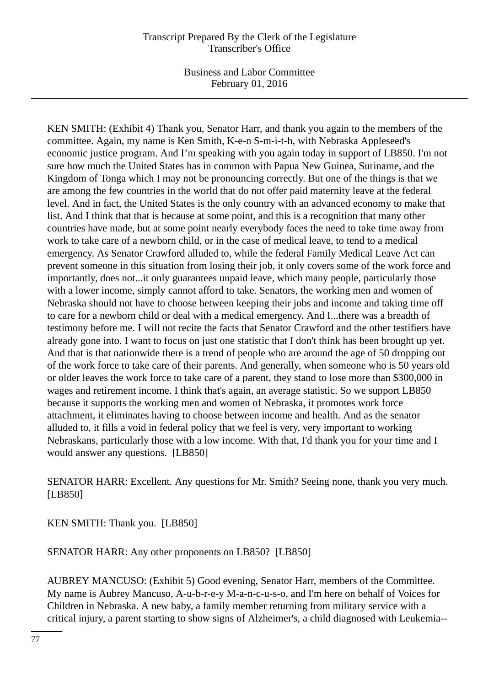Business and Labor Committee February 01, 2016

KEN SMITH: (Exhibit 4) Thank you, Senator Harr, and thank you again to the members of the committee. Again, my name is Ken Smith, K-e-n S-m-i-t-h, with Nebraska Appleseed's economic justice program. And I'm speaking with you again today in support of LB850. I'm not sure how much the United States has in common with Papua New Guinea, Suriname, and the Kingdom of Tonga which I may not be pronouncing correctly. But one of the things is that we are among the few countries in the world that do not offer paid maternity leave at the federal level. And in fact, the United States is the only country with an advanced economy to make that list. And I think that that is because at some point, and this is a recognition that many other countries have made, but at some point nearly everybody faces the need to take time away from work to take care of a newborn child, or in the case of medical leave, to tend to a medical emergency. As Senator Crawford alluded to, while the federal Family Medical Leave Act can prevent someone in this situation from losing their job, it only covers some of the work force and importantly, does not...it only guarantees unpaid leave, which many people, particularly those with a lower income, simply cannot afford to take. Senators, the working men and women of Nebraska should not have to choose between keeping their jobs and income and taking time off to care for a newborn child or deal with a medical emergency. And I...there was a breadth of testimony before me. I will not recite the facts that Senator Crawford and the other testifiers have already gone into. I want to focus on just one statistic that I don't think has been brought up yet. And that is that nationwide there is a trend of people who are around the age of 50 dropping out of the work force to take care of their parents. And generally, when someone who is 50 years old or older leaves the work force to take care of a parent, they stand to lose more than \$300,000 in wages and retirement income. I think that's again, an average statistic. So we support LB850 because it supports the working men and women of Nebraska, it promotes work force attachment, it eliminates having to choose between income and health. And as the senator alluded to, it fills a void in federal policy that we feel is very, very important to working Nebraskans, particularly those with a low income. With that, I'd thank you for your time and I would answer any questions. [LB850]

SENATOR HARR: Excellent. Any questions for Mr. Smith? Seeing none, thank you very much. [LB850]

KEN SMITH: Thank you. [LB850]

SENATOR HARR: Any other proponents on LB850? [LB850]

AUBREY MANCUSO: (Exhibit 5) Good evening, Senator Harr, members of the Committee. My name is Aubrey Mancuso, A-u-b-r-e-y M-a-n-c-u-s-o, and I'm here on behalf of Voices for Children in Nebraska. A new baby, a family member returning from military service with a critical injury, a parent starting to show signs of Alzheimer's, a child diagnosed with Leukemia--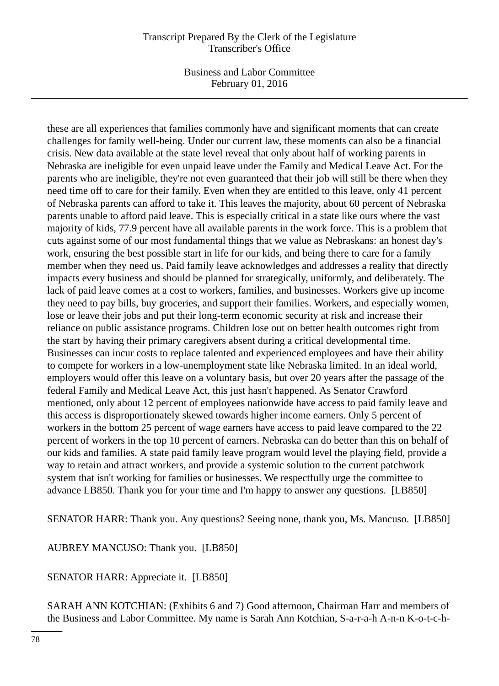Business and Labor Committee February 01, 2016

these are all experiences that families commonly have and significant moments that can create challenges for family well-being. Under our current law, these moments can also be a financial crisis. New data available at the state level reveal that only about half of working parents in Nebraska are ineligible for even unpaid leave under the Family and Medical Leave Act. For the parents who are ineligible, they're not even guaranteed that their job will still be there when they need time off to care for their family. Even when they are entitled to this leave, only 41 percent of Nebraska parents can afford to take it. This leaves the majority, about 60 percent of Nebraska parents unable to afford paid leave. This is especially critical in a state like ours where the vast majority of kids, 77.9 percent have all available parents in the work force. This is a problem that cuts against some of our most fundamental things that we value as Nebraskans: an honest day's work, ensuring the best possible start in life for our kids, and being there to care for a family member when they need us. Paid family leave acknowledges and addresses a reality that directly impacts every business and should be planned for strategically, uniformly, and deliberately. The lack of paid leave comes at a cost to workers, families, and businesses. Workers give up income they need to pay bills, buy groceries, and support their families. Workers, and especially women, lose or leave their jobs and put their long-term economic security at risk and increase their reliance on public assistance programs. Children lose out on better health outcomes right from the start by having their primary caregivers absent during a critical developmental time. Businesses can incur costs to replace talented and experienced employees and have their ability to compete for workers in a low-unemployment state like Nebraska limited. In an ideal world, employers would offer this leave on a voluntary basis, but over 20 years after the passage of the federal Family and Medical Leave Act, this just hasn't happened. As Senator Crawford mentioned, only about 12 percent of employees nationwide have access to paid family leave and this access is disproportionately skewed towards higher income earners. Only 5 percent of workers in the bottom 25 percent of wage earners have access to paid leave compared to the 22 percent of workers in the top 10 percent of earners. Nebraska can do better than this on behalf of our kids and families. A state paid family leave program would level the playing field, provide a way to retain and attract workers, and provide a systemic solution to the current patchwork system that isn't working for families or businesses. We respectfully urge the committee to advance LB850. Thank you for your time and I'm happy to answer any questions. [LB850]

SENATOR HARR: Thank you. Any questions? Seeing none, thank you, Ms. Mancuso. [LB850]

AUBREY MANCUSO: Thank you. [LB850]

SENATOR HARR: Appreciate it. [LB850]

SARAH ANN KOTCHIAN: (Exhibits 6 and 7) Good afternoon, Chairman Harr and members of the Business and Labor Committee. My name is Sarah Ann Kotchian, S-a-r-a-h A-n-n K-o-t-c-h-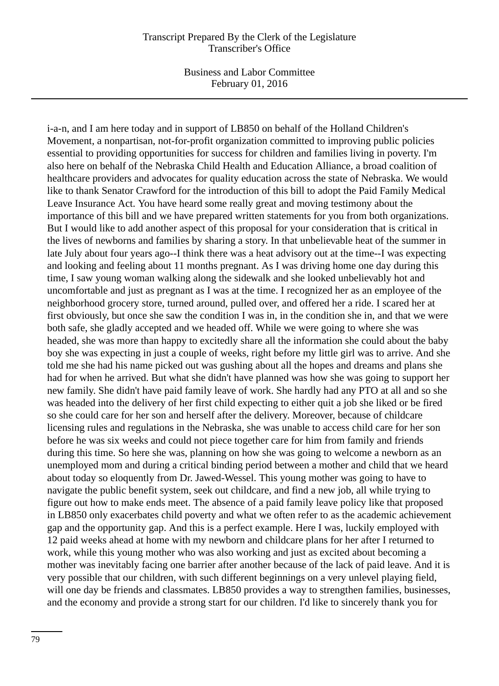Business and Labor Committee February 01, 2016

i-a-n, and I am here today and in support of LB850 on behalf of the Holland Children's Movement, a nonpartisan, not-for-profit organization committed to improving public policies essential to providing opportunities for success for children and families living in poverty. I'm also here on behalf of the Nebraska Child Health and Education Alliance, a broad coalition of healthcare providers and advocates for quality education across the state of Nebraska. We would like to thank Senator Crawford for the introduction of this bill to adopt the Paid Family Medical Leave Insurance Act. You have heard some really great and moving testimony about the importance of this bill and we have prepared written statements for you from both organizations. But I would like to add another aspect of this proposal for your consideration that is critical in the lives of newborns and families by sharing a story. In that unbelievable heat of the summer in late July about four years ago--I think there was a heat advisory out at the time--I was expecting and looking and feeling about 11 months pregnant. As I was driving home one day during this time, I saw young woman walking along the sidewalk and she looked unbelievably hot and uncomfortable and just as pregnant as I was at the time. I recognized her as an employee of the neighborhood grocery store, turned around, pulled over, and offered her a ride. I scared her at first obviously, but once she saw the condition I was in, in the condition she in, and that we were both safe, she gladly accepted and we headed off. While we were going to where she was headed, she was more than happy to excitedly share all the information she could about the baby boy she was expecting in just a couple of weeks, right before my little girl was to arrive. And she told me she had his name picked out was gushing about all the hopes and dreams and plans she had for when he arrived. But what she didn't have planned was how she was going to support her new family. She didn't have paid family leave of work. She hardly had any PTO at all and so she was headed into the delivery of her first child expecting to either quit a job she liked or be fired so she could care for her son and herself after the delivery. Moreover, because of childcare licensing rules and regulations in the Nebraska, she was unable to access child care for her son before he was six weeks and could not piece together care for him from family and friends during this time. So here she was, planning on how she was going to welcome a newborn as an unemployed mom and during a critical binding period between a mother and child that we heard about today so eloquently from Dr. Jawed-Wessel. This young mother was going to have to navigate the public benefit system, seek out childcare, and find a new job, all while trying to figure out how to make ends meet. The absence of a paid family leave policy like that proposed in LB850 only exacerbates child poverty and what we often refer to as the academic achievement gap and the opportunity gap. And this is a perfect example. Here I was, luckily employed with 12 paid weeks ahead at home with my newborn and childcare plans for her after I returned to work, while this young mother who was also working and just as excited about becoming a mother was inevitably facing one barrier after another because of the lack of paid leave. And it is very possible that our children, with such different beginnings on a very unlevel playing field, will one day be friends and classmates. LB850 provides a way to strengthen families, businesses, and the economy and provide a strong start for our children. I'd like to sincerely thank you for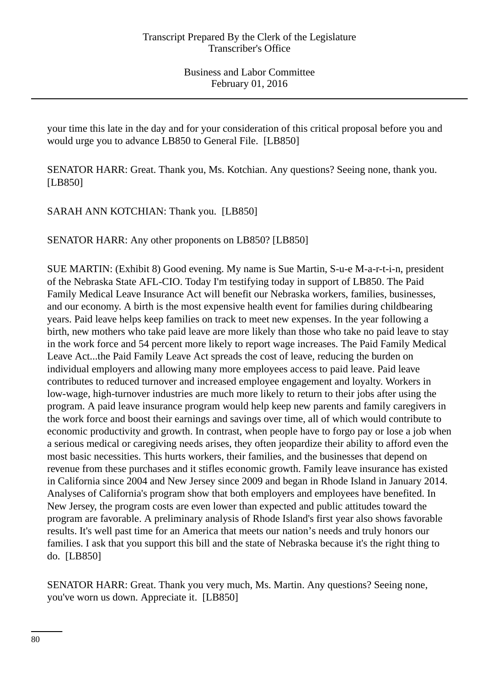your time this late in the day and for your consideration of this critical proposal before you and would urge you to advance LB850 to General File. [LB850]

SENATOR HARR: Great. Thank you, Ms. Kotchian. Any questions? Seeing none, thank you. [LB850]

SARAH ANN KOTCHIAN: Thank you. [LB850]

SENATOR HARR: Any other proponents on LB850? [LB850]

SUE MARTIN: (Exhibit 8) Good evening. My name is Sue Martin, S-u-e M-a-r-t-i-n, president of the Nebraska State AFL-CIO. Today I'm testifying today in support of LB850. The Paid Family Medical Leave Insurance Act will benefit our Nebraska workers, families, businesses, and our economy. A birth is the most expensive health event for families during childbearing years. Paid leave helps keep families on track to meet new expenses. In the year following a birth, new mothers who take paid leave are more likely than those who take no paid leave to stay in the work force and 54 percent more likely to report wage increases. The Paid Family Medical Leave Act...the Paid Family Leave Act spreads the cost of leave, reducing the burden on individual employers and allowing many more employees access to paid leave. Paid leave contributes to reduced turnover and increased employee engagement and loyalty. Workers in low-wage, high-turnover industries are much more likely to return to their jobs after using the program. A paid leave insurance program would help keep new parents and family caregivers in the work force and boost their earnings and savings over time, all of which would contribute to economic productivity and growth. In contrast, when people have to forgo pay or lose a job when a serious medical or caregiving needs arises, they often jeopardize their ability to afford even the most basic necessities. This hurts workers, their families, and the businesses that depend on revenue from these purchases and it stifles economic growth. Family leave insurance has existed in California since 2004 and New Jersey since 2009 and began in Rhode Island in January 2014. Analyses of California's program show that both employers and employees have benefited. In New Jersey, the program costs are even lower than expected and public attitudes toward the program are favorable. A preliminary analysis of Rhode Island's first year also shows favorable results. It's well past time for an America that meets our nation's needs and truly honors our families. I ask that you support this bill and the state of Nebraska because it's the right thing to do. [LB850]

SENATOR HARR: Great. Thank you very much, Ms. Martin. Any questions? Seeing none, you've worn us down. Appreciate it. [LB850]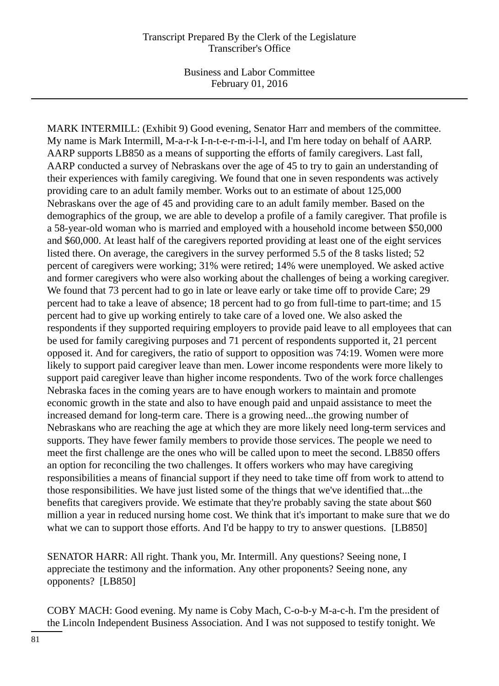MARK INTERMILL: (Exhibit 9) Good evening, Senator Harr and members of the committee. My name is Mark Intermill, M-a-r-k I-n-t-e-r-m-i-l-l, and I'm here today on behalf of AARP. AARP supports LB850 as a means of supporting the efforts of family caregivers. Last fall, AARP conducted a survey of Nebraskans over the age of 45 to try to gain an understanding of their experiences with family caregiving. We found that one in seven respondents was actively providing care to an adult family member. Works out to an estimate of about 125,000 Nebraskans over the age of 45 and providing care to an adult family member. Based on the demographics of the group, we are able to develop a profile of a family caregiver. That profile is a 58-year-old woman who is married and employed with a household income between \$50,000 and \$60,000. At least half of the caregivers reported providing at least one of the eight services listed there. On average, the caregivers in the survey performed 5.5 of the 8 tasks listed; 52 percent of caregivers were working; 31% were retired; 14% were unemployed. We asked active and former caregivers who were also working about the challenges of being a working caregiver. We found that 73 percent had to go in late or leave early or take time off to provide Care; 29 percent had to take a leave of absence; 18 percent had to go from full-time to part-time; and 15 percent had to give up working entirely to take care of a loved one. We also asked the respondents if they supported requiring employers to provide paid leave to all employees that can be used for family caregiving purposes and 71 percent of respondents supported it, 21 percent opposed it. And for caregivers, the ratio of support to opposition was 74:19. Women were more likely to support paid caregiver leave than men. Lower income respondents were more likely to support paid caregiver leave than higher income respondents. Two of the work force challenges Nebraska faces in the coming years are to have enough workers to maintain and promote economic growth in the state and also to have enough paid and unpaid assistance to meet the increased demand for long-term care. There is a growing need...the growing number of Nebraskans who are reaching the age at which they are more likely need long-term services and supports. They have fewer family members to provide those services. The people we need to meet the first challenge are the ones who will be called upon to meet the second. LB850 offers an option for reconciling the two challenges. It offers workers who may have caregiving responsibilities a means of financial support if they need to take time off from work to attend to those responsibilities. We have just listed some of the things that we've identified that...the benefits that caregivers provide. We estimate that they're probably saving the state about \$60 million a year in reduced nursing home cost. We think that it's important to make sure that we do what we can to support those efforts. And I'd be happy to try to answer questions. [LB850]

SENATOR HARR: All right. Thank you, Mr. Intermill. Any questions? Seeing none, I appreciate the testimony and the information. Any other proponents? Seeing none, any opponents? [LB850]

COBY MACH: Good evening. My name is Coby Mach, C-o-b-y M-a-c-h. I'm the president of the Lincoln Independent Business Association. And I was not supposed to testify tonight. We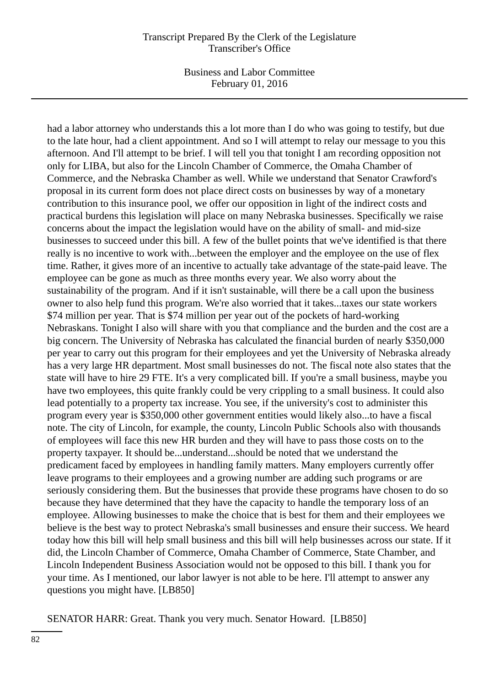Business and Labor Committee February 01, 2016

had a labor attorney who understands this a lot more than I do who was going to testify, but due to the late hour, had a client appointment. And so I will attempt to relay our message to you this afternoon. And I'll attempt to be brief. I will tell you that tonight I am recording opposition not only for LIBA, but also for the Lincoln Chamber of Commerce, the Omaha Chamber of Commerce, and the Nebraska Chamber as well. While we understand that Senator Crawford's proposal in its current form does not place direct costs on businesses by way of a monetary contribution to this insurance pool, we offer our opposition in light of the indirect costs and practical burdens this legislation will place on many Nebraska businesses. Specifically we raise concerns about the impact the legislation would have on the ability of small- and mid-size businesses to succeed under this bill. A few of the bullet points that we've identified is that there really is no incentive to work with...between the employer and the employee on the use of flex time. Rather, it gives more of an incentive to actually take advantage of the state-paid leave. The employee can be gone as much as three months every year. We also worry about the sustainability of the program. And if it isn't sustainable, will there be a call upon the business owner to also help fund this program. We're also worried that it takes...taxes our state workers \$74 million per year. That is \$74 million per year out of the pockets of hard-working Nebraskans. Tonight I also will share with you that compliance and the burden and the cost are a big concern. The University of Nebraska has calculated the financial burden of nearly \$350,000 per year to carry out this program for their employees and yet the University of Nebraska already has a very large HR department. Most small businesses do not. The fiscal note also states that the state will have to hire 29 FTE. It's a very complicated bill. If you're a small business, maybe you have two employees, this quite frankly could be very crippling to a small business. It could also lead potentially to a property tax increase. You see, if the university's cost to administer this program every year is \$350,000 other government entities would likely also...to have a fiscal note. The city of Lincoln, for example, the county, Lincoln Public Schools also with thousands of employees will face this new HR burden and they will have to pass those costs on to the property taxpayer. It should be...understand...should be noted that we understand the predicament faced by employees in handling family matters. Many employers currently offer leave programs to their employees and a growing number are adding such programs or are seriously considering them. But the businesses that provide these programs have chosen to do so because they have determined that they have the capacity to handle the temporary loss of an employee. Allowing businesses to make the choice that is best for them and their employees we believe is the best way to protect Nebraska's small businesses and ensure their success. We heard today how this bill will help small business and this bill will help businesses across our state. If it did, the Lincoln Chamber of Commerce, Omaha Chamber of Commerce, State Chamber, and Lincoln Independent Business Association would not be opposed to this bill. I thank you for your time. As I mentioned, our labor lawyer is not able to be here. I'll attempt to answer any questions you might have. [LB850]

SENATOR HARR: Great. Thank you very much. Senator Howard. [LB850]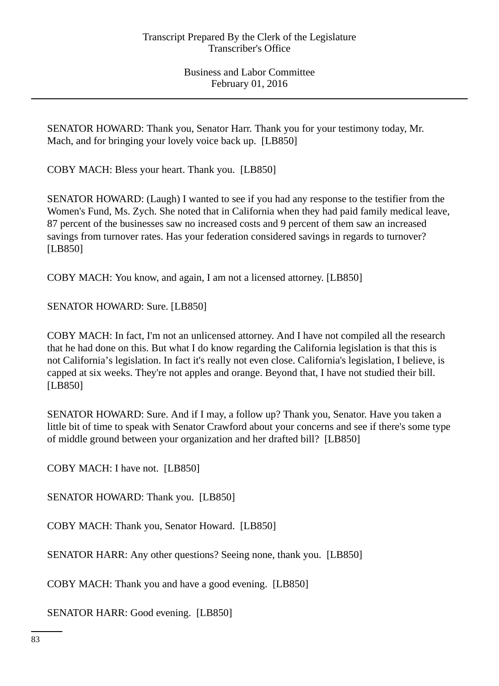SENATOR HOWARD: Thank you, Senator Harr. Thank you for your testimony today, Mr. Mach, and for bringing your lovely voice back up. [LB850]

COBY MACH: Bless your heart. Thank you. [LB850]

SENATOR HOWARD: (Laugh) I wanted to see if you had any response to the testifier from the Women's Fund, Ms. Zych. She noted that in California when they had paid family medical leave, 87 percent of the businesses saw no increased costs and 9 percent of them saw an increased savings from turnover rates. Has your federation considered savings in regards to turnover? [LB850]

COBY MACH: You know, and again, I am not a licensed attorney. [LB850]

SENATOR HOWARD: Sure. [LB850]

COBY MACH: In fact, I'm not an unlicensed attorney. And I have not compiled all the research that he had done on this. But what I do know regarding the California legislation is that this is not California's legislation. In fact it's really not even close. California's legislation, I believe, is capped at six weeks. They're not apples and orange. Beyond that, I have not studied their bill. [LB850]

SENATOR HOWARD: Sure. And if I may, a follow up? Thank you, Senator. Have you taken a little bit of time to speak with Senator Crawford about your concerns and see if there's some type of middle ground between your organization and her drafted bill? [LB850]

COBY MACH: I have not. [LB850]

SENATOR HOWARD: Thank you. [LB850]

COBY MACH: Thank you, Senator Howard. [LB850]

SENATOR HARR: Any other questions? Seeing none, thank you. [LB850]

COBY MACH: Thank you and have a good evening. [LB850]

SENATOR HARR: Good evening. [LB850]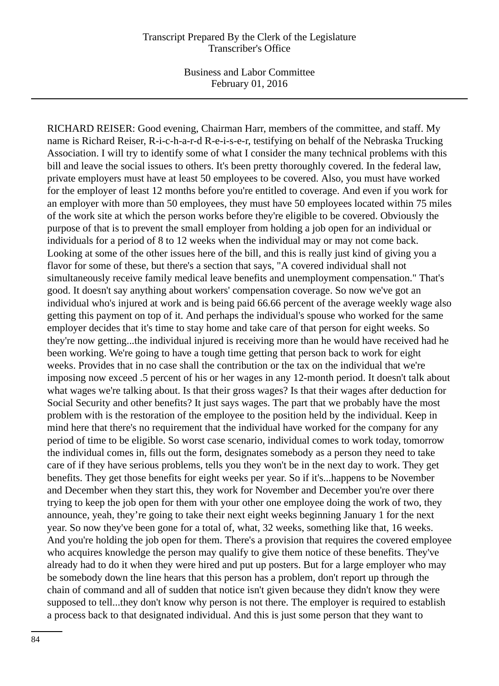RICHARD REISER: Good evening, Chairman Harr, members of the committee, and staff. My name is Richard Reiser, R-i-c-h-a-r-d R-e-i-s-e-r, testifying on behalf of the Nebraska Trucking Association. I will try to identify some of what I consider the many technical problems with this bill and leave the social issues to others. It's been pretty thoroughly covered. In the federal law, private employers must have at least 50 employees to be covered. Also, you must have worked for the employer of least 12 months before you're entitled to coverage. And even if you work for an employer with more than 50 employees, they must have 50 employees located within 75 miles of the work site at which the person works before they're eligible to be covered. Obviously the purpose of that is to prevent the small employer from holding a job open for an individual or individuals for a period of 8 to 12 weeks when the individual may or may not come back. Looking at some of the other issues here of the bill, and this is really just kind of giving you a flavor for some of these, but there's a section that says, "A covered individual shall not simultaneously receive family medical leave benefits and unemployment compensation." That's good. It doesn't say anything about workers' compensation coverage. So now we've got an individual who's injured at work and is being paid 66.66 percent of the average weekly wage also getting this payment on top of it. And perhaps the individual's spouse who worked for the same employer decides that it's time to stay home and take care of that person for eight weeks. So they're now getting...the individual injured is receiving more than he would have received had he been working. We're going to have a tough time getting that person back to work for eight weeks. Provides that in no case shall the contribution or the tax on the individual that we're imposing now exceed .5 percent of his or her wages in any 12-month period. It doesn't talk about what wages we're talking about. Is that their gross wages? Is that their wages after deduction for Social Security and other benefits? It just says wages. The part that we probably have the most problem with is the restoration of the employee to the position held by the individual. Keep in mind here that there's no requirement that the individual have worked for the company for any period of time to be eligible. So worst case scenario, individual comes to work today, tomorrow the individual comes in, fills out the form, designates somebody as a person they need to take care of if they have serious problems, tells you they won't be in the next day to work. They get benefits. They get those benefits for eight weeks per year. So if it's...happens to be November and December when they start this, they work for November and December you're over there trying to keep the job open for them with your other one employee doing the work of two, they announce, yeah, they're going to take their next eight weeks beginning January 1 for the next year. So now they've been gone for a total of, what, 32 weeks, something like that, 16 weeks. And you're holding the job open for them. There's a provision that requires the covered employee who acquires knowledge the person may qualify to give them notice of these benefits. They've already had to do it when they were hired and put up posters. But for a large employer who may be somebody down the line hears that this person has a problem, don't report up through the chain of command and all of sudden that notice isn't given because they didn't know they were supposed to tell...they don't know why person is not there. The employer is required to establish a process back to that designated individual. And this is just some person that they want to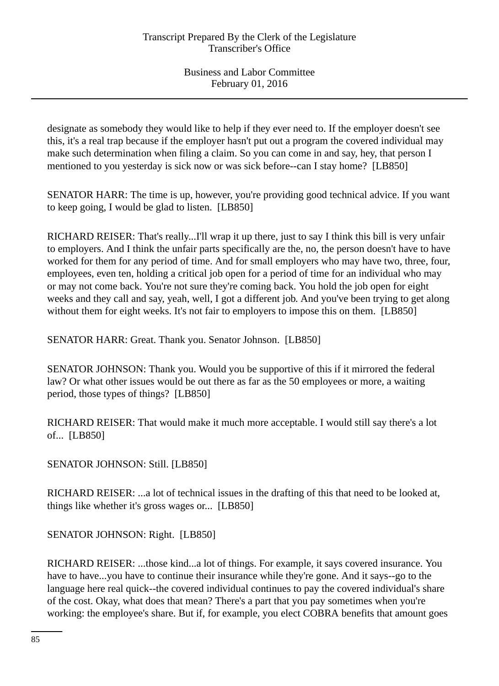designate as somebody they would like to help if they ever need to. If the employer doesn't see this, it's a real trap because if the employer hasn't put out a program the covered individual may make such determination when filing a claim. So you can come in and say, hey, that person I mentioned to you yesterday is sick now or was sick before--can I stay home? [LB850]

SENATOR HARR: The time is up, however, you're providing good technical advice. If you want to keep going, I would be glad to listen. [LB850]

RICHARD REISER: That's really...I'll wrap it up there, just to say I think this bill is very unfair to employers. And I think the unfair parts specifically are the, no, the person doesn't have to have worked for them for any period of time. And for small employers who may have two, three, four, employees, even ten, holding a critical job open for a period of time for an individual who may or may not come back. You're not sure they're coming back. You hold the job open for eight weeks and they call and say, yeah, well, I got a different job. And you've been trying to get along without them for eight weeks. It's not fair to employers to impose this on them. [LB850]

SENATOR HARR: Great. Thank you. Senator Johnson. [LB850]

SENATOR JOHNSON: Thank you. Would you be supportive of this if it mirrored the federal law? Or what other issues would be out there as far as the 50 employees or more, a waiting period, those types of things? [LB850]

RICHARD REISER: That would make it much more acceptable. I would still say there's a lot of... [LB850]

SENATOR JOHNSON: Still. [LB850]

RICHARD REISER: ...a lot of technical issues in the drafting of this that need to be looked at, things like whether it's gross wages or... [LB850]

SENATOR JOHNSON: Right. [LB850]

RICHARD REISER: ...those kind...a lot of things. For example, it says covered insurance. You have to have...you have to continue their insurance while they're gone. And it says--go to the language here real quick--the covered individual continues to pay the covered individual's share of the cost. Okay, what does that mean? There's a part that you pay sometimes when you're working: the employee's share. But if, for example, you elect COBRA benefits that amount goes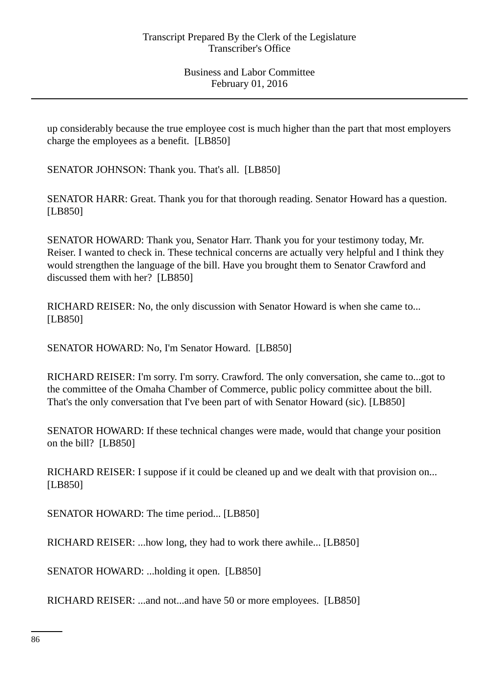up considerably because the true employee cost is much higher than the part that most employers charge the employees as a benefit. [LB850]

SENATOR JOHNSON: Thank you. That's all. [LB850]

SENATOR HARR: Great. Thank you for that thorough reading. Senator Howard has a question. [LB850]

SENATOR HOWARD: Thank you, Senator Harr. Thank you for your testimony today, Mr. Reiser. I wanted to check in. These technical concerns are actually very helpful and I think they would strengthen the language of the bill. Have you brought them to Senator Crawford and discussed them with her? [LB850]

RICHARD REISER: No, the only discussion with Senator Howard is when she came to... [LB850]

SENATOR HOWARD: No, I'm Senator Howard. [LB850]

RICHARD REISER: I'm sorry. I'm sorry. Crawford. The only conversation, she came to...got to the committee of the Omaha Chamber of Commerce, public policy committee about the bill. That's the only conversation that I've been part of with Senator Howard (sic). [LB850]

SENATOR HOWARD: If these technical changes were made, would that change your position on the bill? [LB850]

RICHARD REISER: I suppose if it could be cleaned up and we dealt with that provision on... [LB850]

SENATOR HOWARD: The time period... [LB850]

RICHARD REISER: ...how long, they had to work there awhile... [LB850]

SENATOR HOWARD: ...holding it open. [LB850]

RICHARD REISER: ...and not...and have 50 or more employees. [LB850]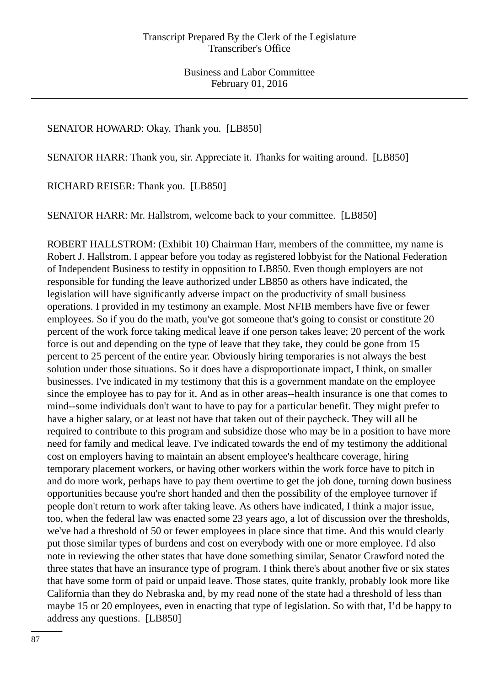# SENATOR HOWARD: Okay. Thank you. [LB850]

SENATOR HARR: Thank you, sir. Appreciate it. Thanks for waiting around. [LB850]

RICHARD REISER: Thank you. [LB850]

SENATOR HARR: Mr. Hallstrom, welcome back to your committee. [LB850]

ROBERT HALLSTROM: (Exhibit 10) Chairman Harr, members of the committee, my name is Robert J. Hallstrom. I appear before you today as registered lobbyist for the National Federation of Independent Business to testify in opposition to LB850. Even though employers are not responsible for funding the leave authorized under LB850 as others have indicated, the legislation will have significantly adverse impact on the productivity of small business operations. I provided in my testimony an example. Most NFIB members have five or fewer employees. So if you do the math, you've got someone that's going to consist or constitute 20 percent of the work force taking medical leave if one person takes leave; 20 percent of the work force is out and depending on the type of leave that they take, they could be gone from 15 percent to 25 percent of the entire year. Obviously hiring temporaries is not always the best solution under those situations. So it does have a disproportionate impact, I think, on smaller businesses. I've indicated in my testimony that this is a government mandate on the employee since the employee has to pay for it. And as in other areas--health insurance is one that comes to mind--some individuals don't want to have to pay for a particular benefit. They might prefer to have a higher salary, or at least not have that taken out of their paycheck. They will all be required to contribute to this program and subsidize those who may be in a position to have more need for family and medical leave. I've indicated towards the end of my testimony the additional cost on employers having to maintain an absent employee's healthcare coverage, hiring temporary placement workers, or having other workers within the work force have to pitch in and do more work, perhaps have to pay them overtime to get the job done, turning down business opportunities because you're short handed and then the possibility of the employee turnover if people don't return to work after taking leave. As others have indicated, I think a major issue, too, when the federal law was enacted some 23 years ago, a lot of discussion over the thresholds, we've had a threshold of 50 or fewer employees in place since that time. And this would clearly put those similar types of burdens and cost on everybody with one or more employee. I'd also note in reviewing the other states that have done something similar, Senator Crawford noted the three states that have an insurance type of program. I think there's about another five or six states that have some form of paid or unpaid leave. Those states, quite frankly, probably look more like California than they do Nebraska and, by my read none of the state had a threshold of less than maybe 15 or 20 employees, even in enacting that type of legislation. So with that, I'd be happy to address any questions. [LB850]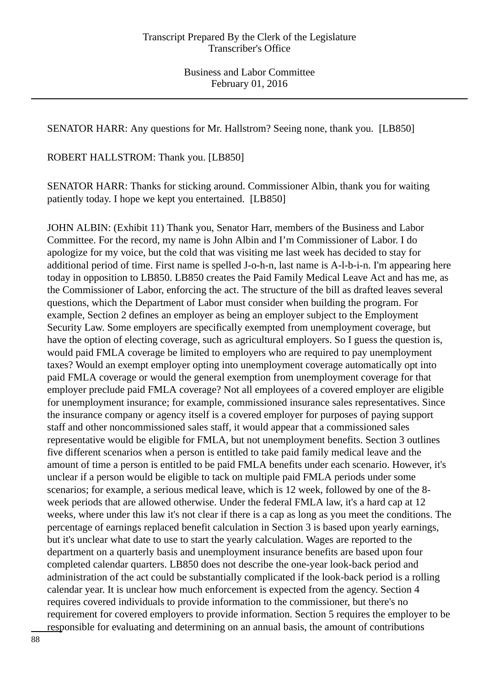SENATOR HARR: Any questions for Mr. Hallstrom? Seeing none, thank you. [LB850]

ROBERT HALLSTROM: Thank you. [LB850]

SENATOR HARR: Thanks for sticking around. Commissioner Albin, thank you for waiting patiently today. I hope we kept you entertained. [LB850]

JOHN ALBIN: (Exhibit 11) Thank you, Senator Harr, members of the Business and Labor Committee. For the record, my name is John Albin and I'm Commissioner of Labor. I do apologize for my voice, but the cold that was visiting me last week has decided to stay for additional period of time. First name is spelled J-o-h-n, last name is A-l-b-i-n. I'm appearing here today in opposition to LB850. LB850 creates the Paid Family Medical Leave Act and has me, as the Commissioner of Labor, enforcing the act. The structure of the bill as drafted leaves several questions, which the Department of Labor must consider when building the program. For example, Section 2 defines an employer as being an employer subject to the Employment Security Law. Some employers are specifically exempted from unemployment coverage, but have the option of electing coverage, such as agricultural employers. So I guess the question is, would paid FMLA coverage be limited to employers who are required to pay unemployment taxes? Would an exempt employer opting into unemployment coverage automatically opt into paid FMLA coverage or would the general exemption from unemployment coverage for that employer preclude paid FMLA coverage? Not all employees of a covered employer are eligible for unemployment insurance; for example, commissioned insurance sales representatives. Since the insurance company or agency itself is a covered employer for purposes of paying support staff and other noncommissioned sales staff, it would appear that a commissioned sales representative would be eligible for FMLA, but not unemployment benefits. Section 3 outlines five different scenarios when a person is entitled to take paid family medical leave and the amount of time a person is entitled to be paid FMLA benefits under each scenario. However, it's unclear if a person would be eligible to tack on multiple paid FMLA periods under some scenarios; for example, a serious medical leave, which is 12 week, followed by one of the 8 week periods that are allowed otherwise. Under the federal FMLA law, it's a hard cap at 12 weeks, where under this law it's not clear if there is a cap as long as you meet the conditions. The percentage of earnings replaced benefit calculation in Section 3 is based upon yearly earnings, but it's unclear what date to use to start the yearly calculation. Wages are reported to the department on a quarterly basis and unemployment insurance benefits are based upon four completed calendar quarters. LB850 does not describe the one-year look-back period and administration of the act could be substantially complicated if the look-back period is a rolling calendar year. It is unclear how much enforcement is expected from the agency. Section 4 requires covered individuals to provide information to the commissioner, but there's no requirement for covered employers to provide information. Section 5 requires the employer to be responsible for evaluating and determining on an annual basis, the amount of contributions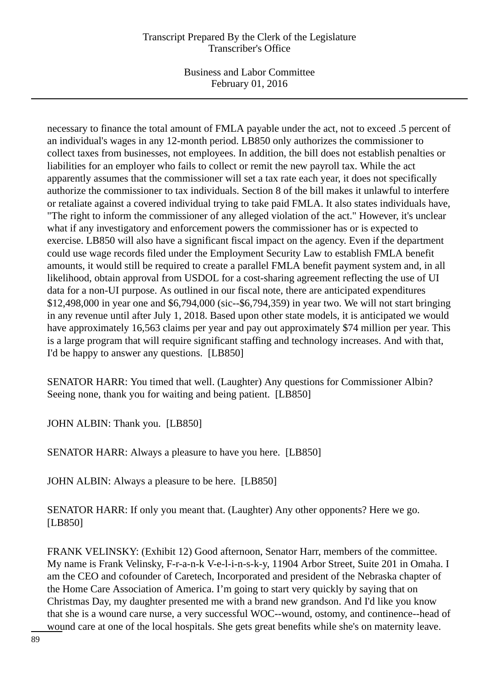Business and Labor Committee February 01, 2016

necessary to finance the total amount of FMLA payable under the act, not to exceed .5 percent of an individual's wages in any 12-month period. LB850 only authorizes the commissioner to collect taxes from businesses, not employees. In addition, the bill does not establish penalties or liabilities for an employer who fails to collect or remit the new payroll tax. While the act apparently assumes that the commissioner will set a tax rate each year, it does not specifically authorize the commissioner to tax individuals. Section 8 of the bill makes it unlawful to interfere or retaliate against a covered individual trying to take paid FMLA. It also states individuals have, "The right to inform the commissioner of any alleged violation of the act." However, it's unclear what if any investigatory and enforcement powers the commissioner has or is expected to exercise. LB850 will also have a significant fiscal impact on the agency. Even if the department could use wage records filed under the Employment Security Law to establish FMLA benefit amounts, it would still be required to create a parallel FMLA benefit payment system and, in all likelihood, obtain approval from USDOL for a cost-sharing agreement reflecting the use of UI data for a non-UI purpose. As outlined in our fiscal note, there are anticipated expenditures \$12,498,000 in year one and \$6,794,000 (sic--\$6,794,359) in year two. We will not start bringing in any revenue until after July 1, 2018. Based upon other state models, it is anticipated we would have approximately 16,563 claims per year and pay out approximately \$74 million per year. This is a large program that will require significant staffing and technology increases. And with that, I'd be happy to answer any questions. [LB850]

SENATOR HARR: You timed that well. (Laughter) Any questions for Commissioner Albin? Seeing none, thank you for waiting and being patient. [LB850]

JOHN ALBIN: Thank you. [LB850]

SENATOR HARR: Always a pleasure to have you here. [LB850]

JOHN ALBIN: Always a pleasure to be here. [LB850]

SENATOR HARR: If only you meant that. (Laughter) Any other opponents? Here we go. [LB850]

FRANK VELINSKY: (Exhibit 12) Good afternoon, Senator Harr, members of the committee. My name is Frank Velinsky, F-r-a-n-k V-e-l-i-n-s-k-y, 11904 Arbor Street, Suite 201 in Omaha. I am the CEO and cofounder of Caretech, Incorporated and president of the Nebraska chapter of the Home Care Association of America. I'm going to start very quickly by saying that on Christmas Day, my daughter presented me with a brand new grandson. And I'd like you know that she is a wound care nurse, a very successful WOC--wound, ostomy, and continence--head of wound care at one of the local hospitals. She gets great benefits while she's on maternity leave.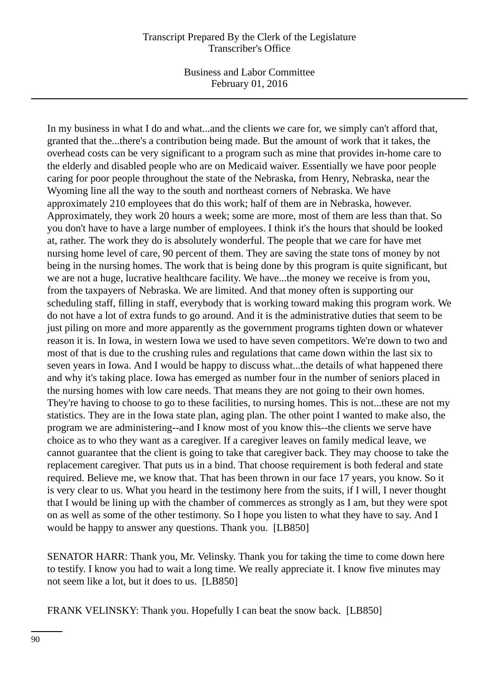Business and Labor Committee February 01, 2016

In my business in what I do and what...and the clients we care for, we simply can't afford that, granted that the...there's a contribution being made. But the amount of work that it takes, the overhead costs can be very significant to a program such as mine that provides in-home care to the elderly and disabled people who are on Medicaid waiver. Essentially we have poor people caring for poor people throughout the state of the Nebraska, from Henry, Nebraska, near the Wyoming line all the way to the south and northeast corners of Nebraska. We have approximately 210 employees that do this work; half of them are in Nebraska, however. Approximately, they work 20 hours a week; some are more, most of them are less than that. So you don't have to have a large number of employees. I think it's the hours that should be looked at, rather. The work they do is absolutely wonderful. The people that we care for have met nursing home level of care, 90 percent of them. They are saving the state tons of money by not being in the nursing homes. The work that is being done by this program is quite significant, but we are not a huge, lucrative healthcare facility. We have...the money we receive is from you, from the taxpayers of Nebraska. We are limited. And that money often is supporting our scheduling staff, filling in staff, everybody that is working toward making this program work. We do not have a lot of extra funds to go around. And it is the administrative duties that seem to be just piling on more and more apparently as the government programs tighten down or whatever reason it is. In Iowa, in western Iowa we used to have seven competitors. We're down to two and most of that is due to the crushing rules and regulations that came down within the last six to seven years in Iowa. And I would be happy to discuss what...the details of what happened there and why it's taking place. Iowa has emerged as number four in the number of seniors placed in the nursing homes with low care needs. That means they are not going to their own homes. They're having to choose to go to these facilities, to nursing homes. This is not...these are not my statistics. They are in the Iowa state plan, aging plan. The other point I wanted to make also, the program we are administering--and I know most of you know this--the clients we serve have choice as to who they want as a caregiver. If a caregiver leaves on family medical leave, we cannot guarantee that the client is going to take that caregiver back. They may choose to take the replacement caregiver. That puts us in a bind. That choose requirement is both federal and state required. Believe me, we know that. That has been thrown in our face 17 years, you know. So it is very clear to us. What you heard in the testimony here from the suits, if I will, I never thought that I would be lining up with the chamber of commerces as strongly as I am, but they were spot on as well as some of the other testimony. So I hope you listen to what they have to say. And I would be happy to answer any questions. Thank you. [LB850]

SENATOR HARR: Thank you, Mr. Velinsky. Thank you for taking the time to come down here to testify. I know you had to wait a long time. We really appreciate it. I know five minutes may not seem like a lot, but it does to us. [LB850]

FRANK VELINSKY: Thank you. Hopefully I can beat the snow back. [LB850]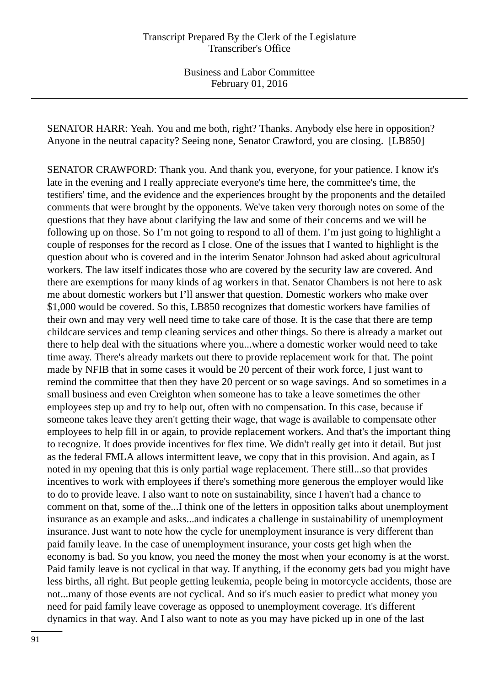SENATOR HARR: Yeah. You and me both, right? Thanks. Anybody else here in opposition? Anyone in the neutral capacity? Seeing none, Senator Crawford, you are closing. [LB850]

SENATOR CRAWFORD: Thank you. And thank you, everyone, for your patience. I know it's late in the evening and I really appreciate everyone's time here, the committee's time, the testifiers' time, and the evidence and the experiences brought by the proponents and the detailed comments that were brought by the opponents. We've taken very thorough notes on some of the questions that they have about clarifying the law and some of their concerns and we will be following up on those. So I'm not going to respond to all of them. I'm just going to highlight a couple of responses for the record as I close. One of the issues that I wanted to highlight is the question about who is covered and in the interim Senator Johnson had asked about agricultural workers. The law itself indicates those who are covered by the security law are covered. And there are exemptions for many kinds of ag workers in that. Senator Chambers is not here to ask me about domestic workers but I'll answer that question. Domestic workers who make over \$1,000 would be covered. So this, LB850 recognizes that domestic workers have families of their own and may very well need time to take care of those. It is the case that there are temp childcare services and temp cleaning services and other things. So there is already a market out there to help deal with the situations where you...where a domestic worker would need to take time away. There's already markets out there to provide replacement work for that. The point made by NFIB that in some cases it would be 20 percent of their work force, I just want to remind the committee that then they have 20 percent or so wage savings. And so sometimes in a small business and even Creighton when someone has to take a leave sometimes the other employees step up and try to help out, often with no compensation. In this case, because if someone takes leave they aren't getting their wage, that wage is available to compensate other employees to help fill in or again, to provide replacement workers. And that's the important thing to recognize. It does provide incentives for flex time. We didn't really get into it detail. But just as the federal FMLA allows intermittent leave, we copy that in this provision. And again, as I noted in my opening that this is only partial wage replacement. There still...so that provides incentives to work with employees if there's something more generous the employer would like to do to provide leave. I also want to note on sustainability, since I haven't had a chance to comment on that, some of the...I think one of the letters in opposition talks about unemployment insurance as an example and asks...and indicates a challenge in sustainability of unemployment insurance. Just want to note how the cycle for unemployment insurance is very different than paid family leave. In the case of unemployment insurance, your costs get high when the economy is bad. So you know, you need the money the most when your economy is at the worst. Paid family leave is not cyclical in that way. If anything, if the economy gets bad you might have less births, all right. But people getting leukemia, people being in motorcycle accidents, those are not...many of those events are not cyclical. And so it's much easier to predict what money you need for paid family leave coverage as opposed to unemployment coverage. It's different dynamics in that way. And I also want to note as you may have picked up in one of the last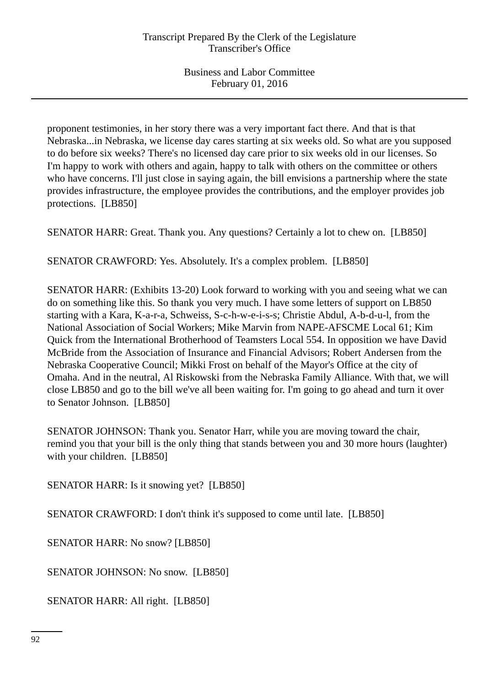proponent testimonies, in her story there was a very important fact there. And that is that Nebraska...in Nebraska, we license day cares starting at six weeks old. So what are you supposed to do before six weeks? There's no licensed day care prior to six weeks old in our licenses. So I'm happy to work with others and again, happy to talk with others on the committee or others who have concerns. I'll just close in saying again, the bill envisions a partnership where the state provides infrastructure, the employee provides the contributions, and the employer provides job protections. [LB850]

SENATOR HARR: Great. Thank you. Any questions? Certainly a lot to chew on. [LB850]

SENATOR CRAWFORD: Yes. Absolutely. It's a complex problem. [LB850]

SENATOR HARR: (Exhibits 13-20) Look forward to working with you and seeing what we can do on something like this. So thank you very much. I have some letters of support on LB850 starting with a Kara, K-a-r-a, Schweiss, S-c-h-w-e-i-s-s; Christie Abdul, A-b-d-u-l, from the National Association of Social Workers; Mike Marvin from NAPE-AFSCME Local 61; Kim Quick from the International Brotherhood of Teamsters Local 554. In opposition we have David McBride from the Association of Insurance and Financial Advisors; Robert Andersen from the Nebraska Cooperative Council; Mikki Frost on behalf of the Mayor's Office at the city of Omaha. And in the neutral, Al Riskowski from the Nebraska Family Alliance. With that, we will close LB850 and go to the bill we've all been waiting for. I'm going to go ahead and turn it over to Senator Johnson. [LB850]

SENATOR JOHNSON: Thank you. Senator Harr, while you are moving toward the chair, remind you that your bill is the only thing that stands between you and 30 more hours (laughter) with your children. [LB850]

SENATOR HARR: Is it snowing yet? [LB850]

SENATOR CRAWFORD: I don't think it's supposed to come until late. [LB850]

SENATOR HARR: No snow? [LB850]

SENATOR JOHNSON: No snow. [LB850]

SENATOR HARR: All right. [LB850]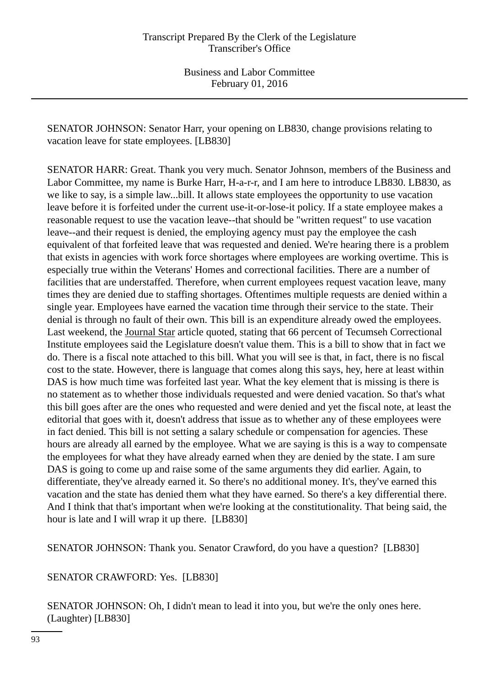SENATOR JOHNSON: Senator Harr, your opening on LB830, change provisions relating to vacation leave for state employees. [LB830]

SENATOR HARR: Great. Thank you very much. Senator Johnson, members of the Business and Labor Committee, my name is Burke Harr, H-a-r-r, and I am here to introduce LB830. LB830, as we like to say, is a simple law...bill. It allows state employees the opportunity to use vacation leave before it is forfeited under the current use-it-or-lose-it policy. If a state employee makes a reasonable request to use the vacation leave--that should be "written request" to use vacation leave--and their request is denied, the employing agency must pay the employee the cash equivalent of that forfeited leave that was requested and denied. We're hearing there is a problem that exists in agencies with work force shortages where employees are working overtime. This is especially true within the Veterans' Homes and correctional facilities. There are a number of facilities that are understaffed. Therefore, when current employees request vacation leave, many times they are denied due to staffing shortages. Oftentimes multiple requests are denied within a single year. Employees have earned the vacation time through their service to the state. Their denial is through no fault of their own. This bill is an expenditure already owed the employees. Last weekend, the Journal Star article quoted, stating that 66 percent of Tecumseh Correctional Institute employees said the Legislature doesn't value them. This is a bill to show that in fact we do. There is a fiscal note attached to this bill. What you will see is that, in fact, there is no fiscal cost to the state. However, there is language that comes along this says, hey, here at least within DAS is how much time was forfeited last year. What the key element that is missing is there is no statement as to whether those individuals requested and were denied vacation. So that's what this bill goes after are the ones who requested and were denied and yet the fiscal note, at least the editorial that goes with it, doesn't address that issue as to whether any of these employees were in fact denied. This bill is not setting a salary schedule or compensation for agencies. These hours are already all earned by the employee. What we are saying is this is a way to compensate the employees for what they have already earned when they are denied by the state. I am sure DAS is going to come up and raise some of the same arguments they did earlier. Again, to differentiate, they've already earned it. So there's no additional money. It's, they've earned this vacation and the state has denied them what they have earned. So there's a key differential there. And I think that that's important when we're looking at the constitutionality. That being said, the hour is late and I will wrap it up there. [LB830]

SENATOR JOHNSON: Thank you. Senator Crawford, do you have a question? [LB830]

SENATOR CRAWFORD: Yes. [LB830]

SENATOR JOHNSON: Oh, I didn't mean to lead it into you, but we're the only ones here. (Laughter) [LB830]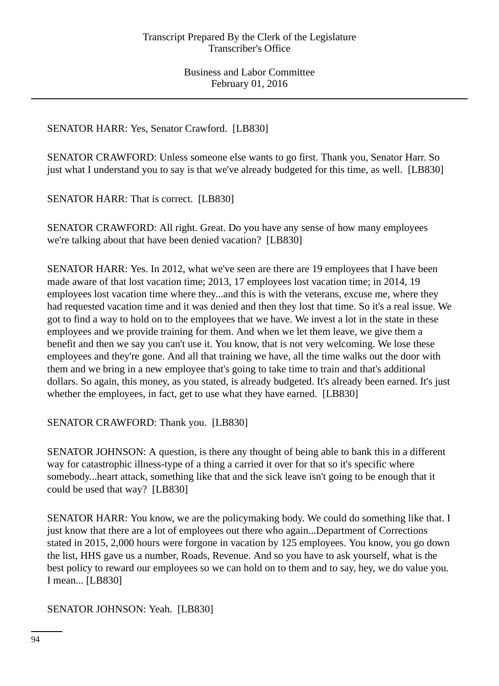SENATOR HARR: Yes, Senator Crawford. [LB830]

SENATOR CRAWFORD: Unless someone else wants to go first. Thank you, Senator Harr. So just what I understand you to say is that we've already budgeted for this time, as well. [LB830]

SENATOR HARR: That is correct. [LB830]

SENATOR CRAWFORD: All right. Great. Do you have any sense of how many employees we're talking about that have been denied vacation? [LB830]

SENATOR HARR: Yes. In 2012, what we've seen are there are 19 employees that I have been made aware of that lost vacation time; 2013, 17 employees lost vacation time; in 2014, 19 employees lost vacation time where they...and this is with the veterans, excuse me, where they had requested vacation time and it was denied and then they lost that time. So it's a real issue. We got to find a way to hold on to the employees that we have. We invest a lot in the state in these employees and we provide training for them. And when we let them leave, we give them a benefit and then we say you can't use it. You know, that is not very welcoming. We lose these employees and they're gone. And all that training we have, all the time walks out the door with them and we bring in a new employee that's going to take time to train and that's additional dollars. So again, this money, as you stated, is already budgeted. It's already been earned. It's just whether the employees, in fact, get to use what they have earned. [LB830]

SENATOR CRAWFORD: Thank you. [LB830]

SENATOR JOHNSON: A question, is there any thought of being able to bank this in a different way for catastrophic illness-type of a thing a carried it over for that so it's specific where somebody...heart attack, something like that and the sick leave isn't going to be enough that it could be used that way? [LB830]

SENATOR HARR: You know, we are the policymaking body. We could do something like that. I just know that there are a lot of employees out there who again...Department of Corrections stated in 2015, 2,000 hours were forgone in vacation by 125 employees. You know, you go down the list, HHS gave us a number, Roads, Revenue. And so you have to ask yourself, what is the best policy to reward our employees so we can hold on to them and to say, hey, we do value you. I mean... [LB830]

SENATOR JOHNSON: Yeah. [LB830]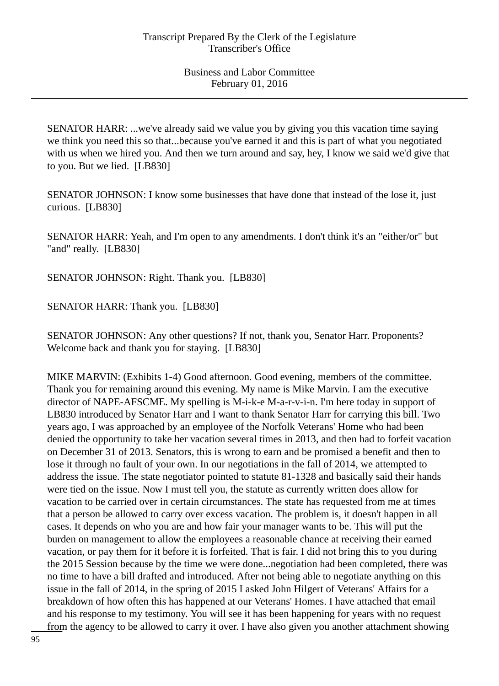SENATOR HARR: ...we've already said we value you by giving you this vacation time saying we think you need this so that...because you've earned it and this is part of what you negotiated with us when we hired you. And then we turn around and say, hey, I know we said we'd give that to you. But we lied. [LB830]

SENATOR JOHNSON: I know some businesses that have done that instead of the lose it, just curious. [LB830]

SENATOR HARR: Yeah, and I'm open to any amendments. I don't think it's an "either/or" but "and" really. [LB830]

SENATOR JOHNSON: Right. Thank you. [LB830]

SENATOR HARR: Thank you. [LB830]

SENATOR JOHNSON: Any other questions? If not, thank you, Senator Harr. Proponents? Welcome back and thank you for staying. [LB830]

MIKE MARVIN: (Exhibits 1-4) Good afternoon. Good evening, members of the committee. Thank you for remaining around this evening. My name is Mike Marvin. I am the executive director of NAPE-AFSCME. My spelling is M-i-k-e M-a-r-v-i-n. I'm here today in support of LB830 introduced by Senator Harr and I want to thank Senator Harr for carrying this bill. Two years ago, I was approached by an employee of the Norfolk Veterans' Home who had been denied the opportunity to take her vacation several times in 2013, and then had to forfeit vacation on December 31 of 2013. Senators, this is wrong to earn and be promised a benefit and then to lose it through no fault of your own. In our negotiations in the fall of 2014, we attempted to address the issue. The state negotiator pointed to statute 81-1328 and basically said their hands were tied on the issue. Now I must tell you, the statute as currently written does allow for vacation to be carried over in certain circumstances. The state has requested from me at times that a person be allowed to carry over excess vacation. The problem is, it doesn't happen in all cases. It depends on who you are and how fair your manager wants to be. This will put the burden on management to allow the employees a reasonable chance at receiving their earned vacation, or pay them for it before it is forfeited. That is fair. I did not bring this to you during the 2015 Session because by the time we were done...negotiation had been completed, there was no time to have a bill drafted and introduced. After not being able to negotiate anything on this issue in the fall of 2014, in the spring of 2015 I asked John Hilgert of Veterans' Affairs for a breakdown of how often this has happened at our Veterans' Homes. I have attached that email and his response to my testimony. You will see it has been happening for years with no request from the agency to be allowed to carry it over. I have also given you another attachment showing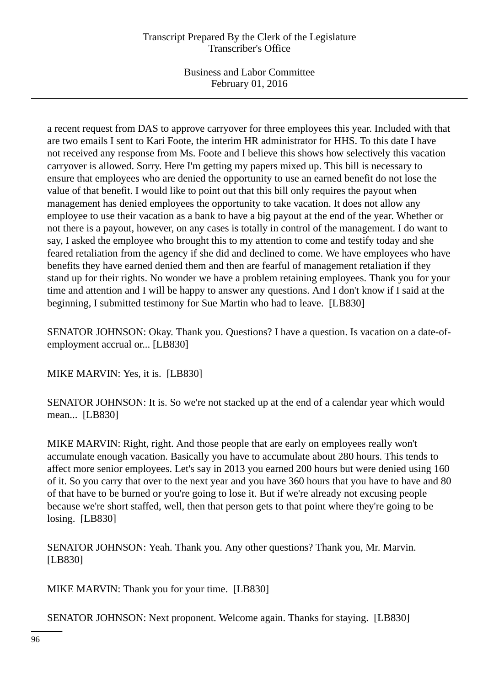Business and Labor Committee February 01, 2016

a recent request from DAS to approve carryover for three employees this year. Included with that are two emails I sent to Kari Foote, the interim HR administrator for HHS. To this date I have not received any response from Ms. Foote and I believe this shows how selectively this vacation carryover is allowed. Sorry. Here I'm getting my papers mixed up. This bill is necessary to ensure that employees who are denied the opportunity to use an earned benefit do not lose the value of that benefit. I would like to point out that this bill only requires the payout when management has denied employees the opportunity to take vacation. It does not allow any employee to use their vacation as a bank to have a big payout at the end of the year. Whether or not there is a payout, however, on any cases is totally in control of the management. I do want to say, I asked the employee who brought this to my attention to come and testify today and she feared retaliation from the agency if she did and declined to come. We have employees who have benefits they have earned denied them and then are fearful of management retaliation if they stand up for their rights. No wonder we have a problem retaining employees. Thank you for your time and attention and I will be happy to answer any questions. And I don't know if I said at the beginning, I submitted testimony for Sue Martin who had to leave. [LB830]

SENATOR JOHNSON: Okay. Thank you. Questions? I have a question. Is vacation on a date-ofemployment accrual or... [LB830]

MIKE MARVIN: Yes, it is. [LB830]

SENATOR JOHNSON: It is. So we're not stacked up at the end of a calendar year which would mean... [LB830]

MIKE MARVIN: Right, right. And those people that are early on employees really won't accumulate enough vacation. Basically you have to accumulate about 280 hours. This tends to affect more senior employees. Let's say in 2013 you earned 200 hours but were denied using 160 of it. So you carry that over to the next year and you have 360 hours that you have to have and 80 of that have to be burned or you're going to lose it. But if we're already not excusing people because we're short staffed, well, then that person gets to that point where they're going to be losing. [LB830]

SENATOR JOHNSON: Yeah. Thank you. Any other questions? Thank you, Mr. Marvin. [LB830]

MIKE MARVIN: Thank you for your time. [LB830]

SENATOR JOHNSON: Next proponent. Welcome again. Thanks for staying. [LB830]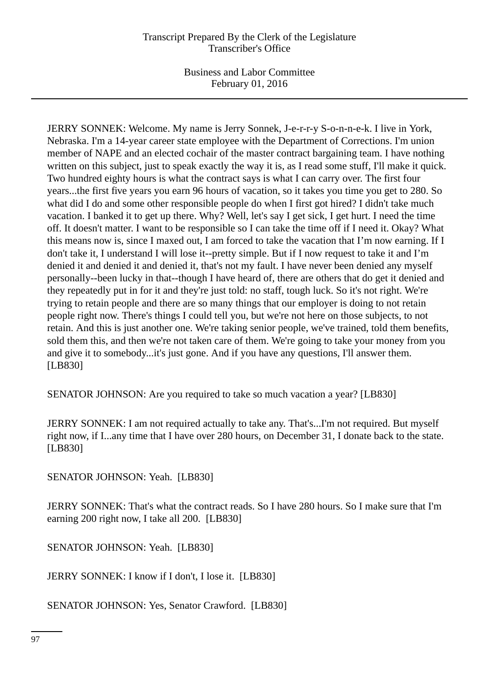JERRY SONNEK: Welcome. My name is Jerry Sonnek, J-e-r-r-y S-o-n-n-e-k. I live in York, Nebraska. I'm a 14-year career state employee with the Department of Corrections. I'm union member of NAPE and an elected cochair of the master contract bargaining team. I have nothing written on this subject, just to speak exactly the way it is, as I read some stuff, I'll make it quick. Two hundred eighty hours is what the contract says is what I can carry over. The first four years...the first five years you earn 96 hours of vacation, so it takes you time you get to 280. So what did I do and some other responsible people do when I first got hired? I didn't take much vacation. I banked it to get up there. Why? Well, let's say I get sick, I get hurt. I need the time off. It doesn't matter. I want to be responsible so I can take the time off if I need it. Okay? What this means now is, since I maxed out, I am forced to take the vacation that I'm now earning. If I don't take it, I understand I will lose it--pretty simple. But if I now request to take it and I'm denied it and denied it and denied it, that's not my fault. I have never been denied any myself personally--been lucky in that--though I have heard of, there are others that do get it denied and they repeatedly put in for it and they're just told: no staff, tough luck. So it's not right. We're trying to retain people and there are so many things that our employer is doing to not retain people right now. There's things I could tell you, but we're not here on those subjects, to not retain. And this is just another one. We're taking senior people, we've trained, told them benefits, sold them this, and then we're not taken care of them. We're going to take your money from you and give it to somebody...it's just gone. And if you have any questions, I'll answer them. [LB830]

SENATOR JOHNSON: Are you required to take so much vacation a year? [LB830]

JERRY SONNEK: I am not required actually to take any. That's...I'm not required. But myself right now, if I...any time that I have over 280 hours, on December 31, I donate back to the state. [LB830]

SENATOR JOHNSON: Yeah. [LB830]

JERRY SONNEK: That's what the contract reads. So I have 280 hours. So I make sure that I'm earning 200 right now, I take all 200. [LB830]

SENATOR JOHNSON: Yeah. [LB830]

JERRY SONNEK: I know if I don't, I lose it. [LB830]

SENATOR JOHNSON: Yes, Senator Crawford. [LB830]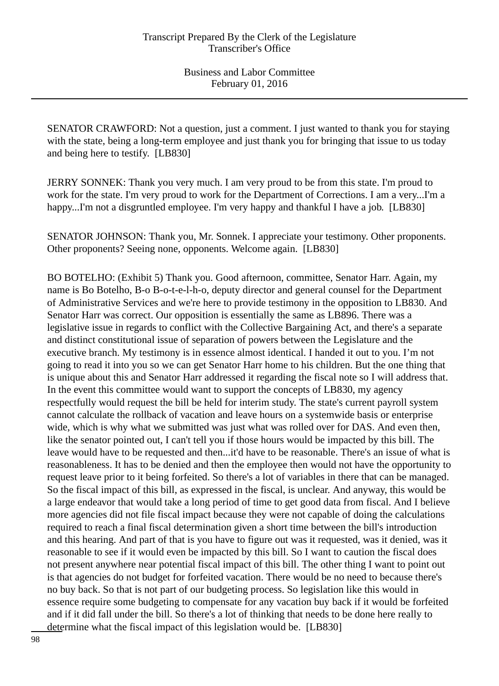SENATOR CRAWFORD: Not a question, just a comment. I just wanted to thank you for staying with the state, being a long-term employee and just thank you for bringing that issue to us today and being here to testify. [LB830]

JERRY SONNEK: Thank you very much. I am very proud to be from this state. I'm proud to work for the state. I'm very proud to work for the Department of Corrections. I am a very...I'm a happy...I'm not a disgruntled employee. I'm very happy and thankful I have a job. [LB830]

SENATOR JOHNSON: Thank you, Mr. Sonnek. I appreciate your testimony. Other proponents. Other proponents? Seeing none, opponents. Welcome again. [LB830]

BO BOTELHO: (Exhibit 5) Thank you. Good afternoon, committee, Senator Harr. Again, my name is Bo Botelho, B-o B-o-t-e-l-h-o, deputy director and general counsel for the Department of Administrative Services and we're here to provide testimony in the opposition to LB830. And Senator Harr was correct. Our opposition is essentially the same as LB896. There was a legislative issue in regards to conflict with the Collective Bargaining Act, and there's a separate and distinct constitutional issue of separation of powers between the Legislature and the executive branch. My testimony is in essence almost identical. I handed it out to you. I'm not going to read it into you so we can get Senator Harr home to his children. But the one thing that is unique about this and Senator Harr addressed it regarding the fiscal note so I will address that. In the event this committee would want to support the concepts of LB830, my agency respectfully would request the bill be held for interim study. The state's current payroll system cannot calculate the rollback of vacation and leave hours on a systemwide basis or enterprise wide, which is why what we submitted was just what was rolled over for DAS. And even then, like the senator pointed out, I can't tell you if those hours would be impacted by this bill. The leave would have to be requested and then...it'd have to be reasonable. There's an issue of what is reasonableness. It has to be denied and then the employee then would not have the opportunity to request leave prior to it being forfeited. So there's a lot of variables in there that can be managed. So the fiscal impact of this bill, as expressed in the fiscal, is unclear. And anyway, this would be a large endeavor that would take a long period of time to get good data from fiscal. And I believe more agencies did not file fiscal impact because they were not capable of doing the calculations required to reach a final fiscal determination given a short time between the bill's introduction and this hearing. And part of that is you have to figure out was it requested, was it denied, was it reasonable to see if it would even be impacted by this bill. So I want to caution the fiscal does not present anywhere near potential fiscal impact of this bill. The other thing I want to point out is that agencies do not budget for forfeited vacation. There would be no need to because there's no buy back. So that is not part of our budgeting process. So legislation like this would in essence require some budgeting to compensate for any vacation buy back if it would be forfeited and if it did fall under the bill. So there's a lot of thinking that needs to be done here really to determine what the fiscal impact of this legislation would be. [LB830]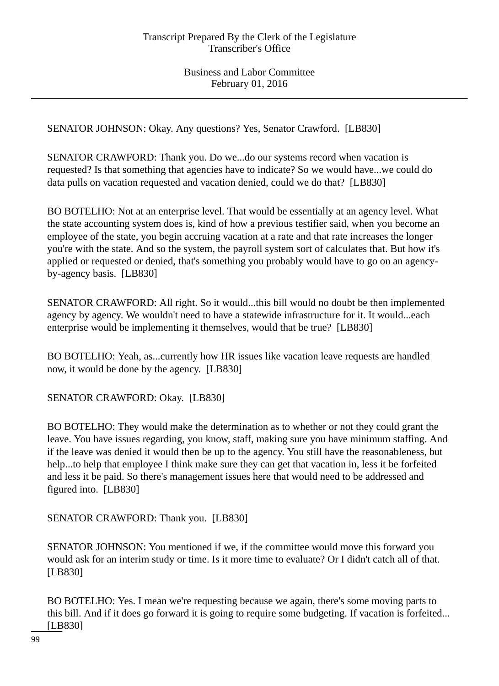SENATOR JOHNSON: Okay. Any questions? Yes, Senator Crawford. [LB830]

SENATOR CRAWFORD: Thank you. Do we...do our systems record when vacation is requested? Is that something that agencies have to indicate? So we would have...we could do data pulls on vacation requested and vacation denied, could we do that? [LB830]

BO BOTELHO: Not at an enterprise level. That would be essentially at an agency level. What the state accounting system does is, kind of how a previous testifier said, when you become an employee of the state, you begin accruing vacation at a rate and that rate increases the longer you're with the state. And so the system, the payroll system sort of calculates that. But how it's applied or requested or denied, that's something you probably would have to go on an agencyby-agency basis. [LB830]

SENATOR CRAWFORD: All right. So it would...this bill would no doubt be then implemented agency by agency. We wouldn't need to have a statewide infrastructure for it. It would...each enterprise would be implementing it themselves, would that be true? [LB830]

BO BOTELHO: Yeah, as...currently how HR issues like vacation leave requests are handled now, it would be done by the agency. [LB830]

SENATOR CRAWFORD: Okay. [LB830]

BO BOTELHO: They would make the determination as to whether or not they could grant the leave. You have issues regarding, you know, staff, making sure you have minimum staffing. And if the leave was denied it would then be up to the agency. You still have the reasonableness, but help...to help that employee I think make sure they can get that vacation in, less it be forfeited and less it be paid. So there's management issues here that would need to be addressed and figured into. [LB830]

SENATOR CRAWFORD: Thank you. [LB830]

SENATOR JOHNSON: You mentioned if we, if the committee would move this forward you would ask for an interim study or time. Is it more time to evaluate? Or I didn't catch all of that. [LB830]

BO BOTELHO: Yes. I mean we're requesting because we again, there's some moving parts to this bill. And if it does go forward it is going to require some budgeting. If vacation is forfeited... [LB830]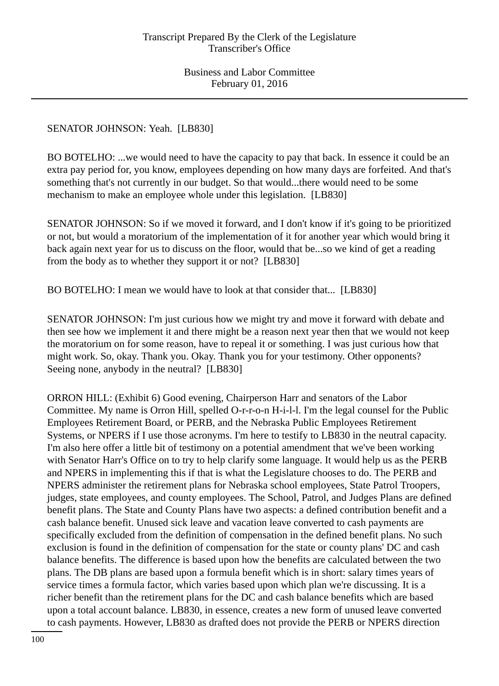# SENATOR JOHNSON: Yeah. [LB830]

BO BOTELHO: ...we would need to have the capacity to pay that back. In essence it could be an extra pay period for, you know, employees depending on how many days are forfeited. And that's something that's not currently in our budget. So that would...there would need to be some mechanism to make an employee whole under this legislation. [LB830]

SENATOR JOHNSON: So if we moved it forward, and I don't know if it's going to be prioritized or not, but would a moratorium of the implementation of it for another year which would bring it back again next year for us to discuss on the floor, would that be...so we kind of get a reading from the body as to whether they support it or not? [LB830]

BO BOTELHO: I mean we would have to look at that consider that... [LB830]

SENATOR JOHNSON: I'm just curious how we might try and move it forward with debate and then see how we implement it and there might be a reason next year then that we would not keep the moratorium on for some reason, have to repeal it or something. I was just curious how that might work. So, okay. Thank you. Okay. Thank you for your testimony. Other opponents? Seeing none, anybody in the neutral? [LB830]

ORRON HILL: (Exhibit 6) Good evening, Chairperson Harr and senators of the Labor Committee. My name is Orron Hill, spelled O-r-r-o-n H-i-l-l. I'm the legal counsel for the Public Employees Retirement Board, or PERB, and the Nebraska Public Employees Retirement Systems, or NPERS if I use those acronyms. I'm here to testify to LB830 in the neutral capacity. I'm also here offer a little bit of testimony on a potential amendment that we've been working with Senator Harr's Office on to try to help clarify some language. It would help us as the PERB and NPERS in implementing this if that is what the Legislature chooses to do. The PERB and NPERS administer the retirement plans for Nebraska school employees, State Patrol Troopers, judges, state employees, and county employees. The School, Patrol, and Judges Plans are defined benefit plans. The State and County Plans have two aspects: a defined contribution benefit and a cash balance benefit. Unused sick leave and vacation leave converted to cash payments are specifically excluded from the definition of compensation in the defined benefit plans. No such exclusion is found in the definition of compensation for the state or county plans' DC and cash balance benefits. The difference is based upon how the benefits are calculated between the two plans. The DB plans are based upon a formula benefit which is in short: salary times years of service times a formula factor, which varies based upon which plan we're discussing. It is a richer benefit than the retirement plans for the DC and cash balance benefits which are based upon a total account balance. LB830, in essence, creates a new form of unused leave converted to cash payments. However, LB830 as drafted does not provide the PERB or NPERS direction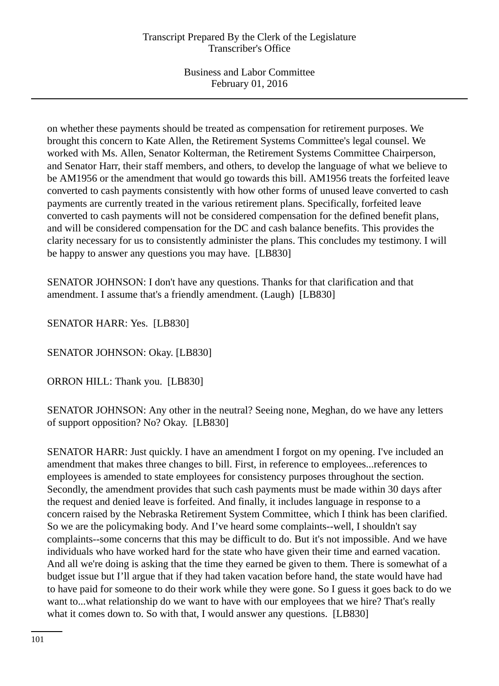on whether these payments should be treated as compensation for retirement purposes. We brought this concern to Kate Allen, the Retirement Systems Committee's legal counsel. We worked with Ms. Allen, Senator Kolterman, the Retirement Systems Committee Chairperson, and Senator Harr, their staff members, and others, to develop the language of what we believe to be AM1956 or the amendment that would go towards this bill. AM1956 treats the forfeited leave converted to cash payments consistently with how other forms of unused leave converted to cash payments are currently treated in the various retirement plans. Specifically, forfeited leave converted to cash payments will not be considered compensation for the defined benefit plans, and will be considered compensation for the DC and cash balance benefits. This provides the clarity necessary for us to consistently administer the plans. This concludes my testimony. I will be happy to answer any questions you may have. [LB830]

SENATOR JOHNSON: I don't have any questions. Thanks for that clarification and that amendment. I assume that's a friendly amendment. (Laugh) [LB830]

SENATOR HARR: Yes. [LB830]

SENATOR JOHNSON: Okay. [LB830]

ORRON HILL: Thank you. [LB830]

SENATOR JOHNSON: Any other in the neutral? Seeing none, Meghan, do we have any letters of support opposition? No? Okay. [LB830]

SENATOR HARR: Just quickly. I have an amendment I forgot on my opening. I've included an amendment that makes three changes to bill. First, in reference to employees...references to employees is amended to state employees for consistency purposes throughout the section. Secondly, the amendment provides that such cash payments must be made within 30 days after the request and denied leave is forfeited. And finally, it includes language in response to a concern raised by the Nebraska Retirement System Committee, which I think has been clarified. So we are the policymaking body. And I've heard some complaints--well, I shouldn't say complaints--some concerns that this may be difficult to do. But it's not impossible. And we have individuals who have worked hard for the state who have given their time and earned vacation. And all we're doing is asking that the time they earned be given to them. There is somewhat of a budget issue but I'll argue that if they had taken vacation before hand, the state would have had to have paid for someone to do their work while they were gone. So I guess it goes back to do we want to...what relationship do we want to have with our employees that we hire? That's really what it comes down to. So with that, I would answer any questions. [LB830]